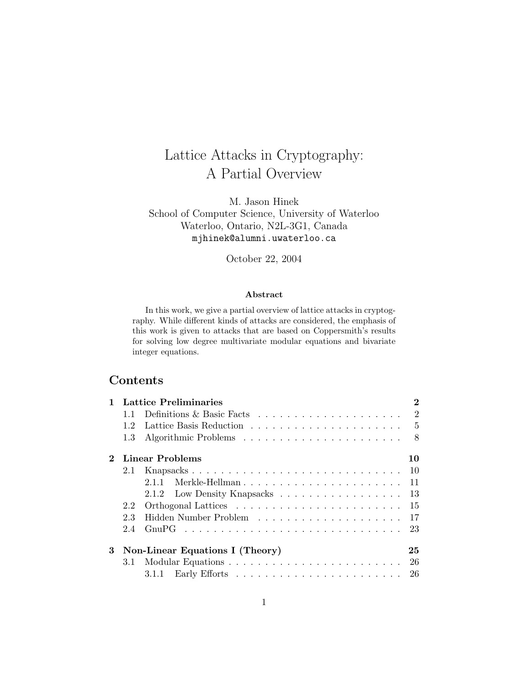# Lattice Attacks in Cryptography: A Partial Overview

M. Jason Hinek School of Computer Science, University of Waterloo Waterloo, Ontario, N2L-3G1, Canada mjhinek@alumni.uwaterloo.ca

October 22, 2004

#### Abstract

In this work, we give a partial overview of lattice attacks in cryptography. While different kinds of attacks are considered, the emphasis of this work is given to attacks that are based on Coppersmith's results for solving low degree multivariate modular equations and bivariate integer equations.

# Contents

|   |                                       | <b>Lattice Preliminaries</b>                                            | 2  |  |  |  |  |  |
|---|---------------------------------------|-------------------------------------------------------------------------|----|--|--|--|--|--|
|   | 1.1                                   | Definitions & Basic Facts $\ldots \ldots \ldots \ldots \ldots \ldots 2$ |    |  |  |  |  |  |
|   | 12                                    |                                                                         |    |  |  |  |  |  |
|   | 1.3                                   |                                                                         | 8  |  |  |  |  |  |
|   | Linear Problems<br>10                 |                                                                         |    |  |  |  |  |  |
|   | 2.1                                   |                                                                         | 10 |  |  |  |  |  |
|   |                                       | 2.1.1                                                                   | 11 |  |  |  |  |  |
|   |                                       | 2.1.2 Low Density Knapsacks 13                                          |    |  |  |  |  |  |
|   | 2.2                                   |                                                                         | 15 |  |  |  |  |  |
|   | 2.3                                   |                                                                         | 17 |  |  |  |  |  |
|   | 24                                    |                                                                         | 23 |  |  |  |  |  |
| 3 | Non-Linear Equations I (Theory)<br>25 |                                                                         |    |  |  |  |  |  |
|   | 3.1                                   |                                                                         |    |  |  |  |  |  |
|   |                                       |                                                                         | 26 |  |  |  |  |  |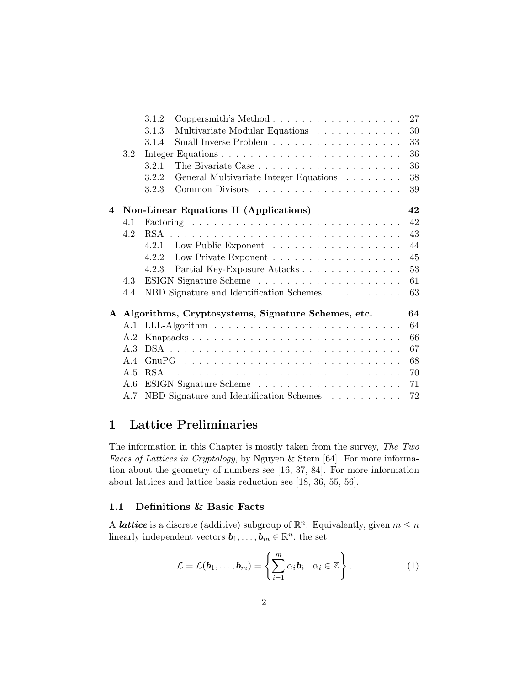|   |     | 3.1.2<br>$Coppersmith's Method$                                       | 27 |
|---|-----|-----------------------------------------------------------------------|----|
|   |     | Multivariate Modular Equations $\ldots \ldots \ldots \ldots$<br>3.1.3 | 30 |
|   |     | Small Inverse Problem<br>3.1.4                                        | 33 |
|   | 3.2 |                                                                       | 36 |
|   |     | 3.2.1                                                                 | 36 |
|   |     | General Multivariate Integer Equations<br>3.2.2                       | 38 |
|   |     | 3.2.3                                                                 | 39 |
| 4 |     | Non-Linear Equations II (Applications)                                | 42 |
|   | 4.1 |                                                                       | 42 |
|   | 4.2 |                                                                       | 43 |
|   |     | 4.2.1 Low Public Exponent                                             | 44 |
|   |     | 4.2.2                                                                 | 45 |
|   |     | 4.2.3                                                                 | 53 |
|   | 4.3 |                                                                       | 61 |
|   | 4.4 | NBD Signature and Identification Schemes                              | 63 |
|   |     | A Algorithms, Cryptosystems, Signature Schemes, etc.                  | 64 |
|   | A.1 |                                                                       | 64 |
|   | A.2 |                                                                       | 66 |
|   | A 3 |                                                                       | 67 |
|   | A.4 |                                                                       | 68 |
|   | A.5 |                                                                       | 70 |
|   | A.6 |                                                                       | 71 |
|   | A.7 | NBD Signature and Identification Schemes                              | 72 |

## 1 Lattice Preliminaries

The information in this Chapter is mostly taken from the survey, The Two Faces of Lattices in Cryptology, by Nguyen & Stern [64]. For more information about the geometry of numbers see [16, 37, 84]. For more information about lattices and lattice basis reduction see [18, 36, 55, 56].

#### 1.1 Definitions & Basic Facts

A *lattice* is a discrete (additive) subgroup of  $\mathbb{R}^n$ . Equivalently, given  $m \leq n$ linearly independent vectors  $\mathbf{b}_1, \ldots, \mathbf{b}_m \in \mathbb{R}^n$ , the set

$$
\mathcal{L} = \mathcal{L}(\boldsymbol{b}_1, \dots, \boldsymbol{b}_m) = \left\{ \sum_{i=1}^m \alpha_i \boldsymbol{b}_i \mid \alpha_i \in \mathbb{Z} \right\},\tag{1}
$$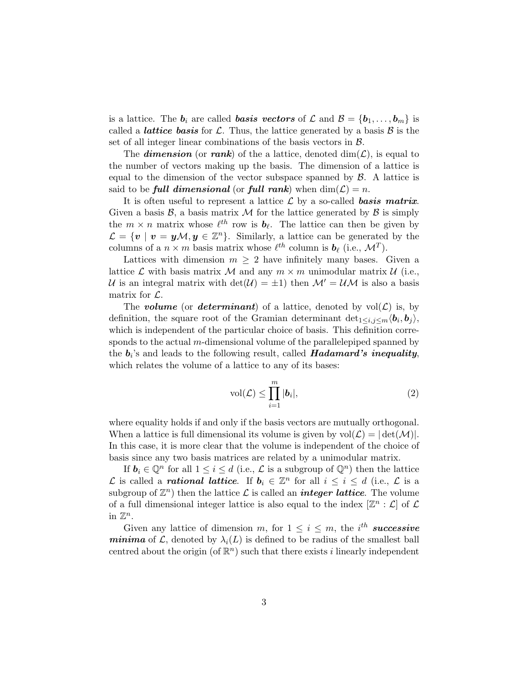is a lattice. The  $b_i$  are called **basis vectors** of  $\mathcal{L}$  and  $\mathcal{B} = \{b_1, \ldots, b_m\}$  is called a *lattice basis* for L. Thus, the lattice generated by a basis  $\beta$  is the set of all integer linear combinations of the basis vectors in  $\beta$ .

The **dimension** (or rank) of the a lattice, denoted  $\dim(\mathcal{L})$ , is equal to the number of vectors making up the basis. The dimension of a lattice is equal to the dimension of the vector subspace spanned by  $\beta$ . A lattice is said to be **full dimensional** (or **full rank**) when  $dim(\mathcal{L}) = n$ .

It is often useful to represent a lattice  $\mathcal L$  by a so-called **basis matrix**. Given a basis  $\mathcal{B}$ , a basis matrix M for the lattice generated by  $\mathcal{B}$  is simply the  $m \times n$  matrix whose  $\ell^{th}$  row is  $\mathbf{b}_{\ell}$ . The lattice can then be given by  $\mathcal{L} = \{v \mid v = y\mathcal{M}, y \in \mathbb{Z}^n\}.$  Similarly, a lattice can be generated by the columns of a  $n \times m$  basis matrix whose  $\ell^{th}$  column is  $\mathbf{b}_{\ell}$  (i.e.,  $\mathcal{M}^T$ ).

Lattices with dimension  $m \geq 2$  have infinitely many bases. Given a lattice  $\mathcal L$  with basis matrix  $\mathcal M$  and any  $m \times m$  unimodular matrix  $\mathcal U$  (i.e., U is an integral matrix with  $det(\mathcal{U}) = \pm 1$  then  $\mathcal{M}' = \mathcal{U}\mathcal{M}$  is also a basis matrix for  $\mathcal{L}$ .

The **volume** (or **determinant**) of a lattice, denoted by  $vol(\mathcal{L})$  is, by definition, the square root of the Gramian determinant  $\det_{1 \leq i,j \leq m} \langle b_i, b_j \rangle$ , which is independent of the particular choice of basis. This definition corresponds to the actual  $m$ -dimensional volume of the parallelepiped spanned by the  $b_i$ 's and leads to the following result, called  $Hadamard's$  inequality, which relates the volume of a lattice to any of its bases:

$$
\text{vol}(\mathcal{L}) \le \prod_{i=1}^{m} |\boldsymbol{b}_i|,\tag{2}
$$

where equality holds if and only if the basis vectors are mutually orthogonal. When a lattice is full dimensional its volume is given by  $vol(\mathcal{L}) = |det(\mathcal{M})|$ . In this case, it is more clear that the volume is independent of the choice of basis since any two basis matrices are related by a unimodular matrix.

If  $b_i \in \mathbb{Q}^n$  for all  $1 \leq i \leq d$  (i.e.,  $\mathcal L$  is a subgroup of  $\mathbb{Q}^n$ ) then the lattice L is called a **rational lattice**. If  $b_i \in \mathbb{Z}^n$  for all  $i \leq i \leq d$  (i.e., L is a subgroup of  $\mathbb{Z}^n$ ) then the lattice  $\mathcal L$  is called an *integer lattice*. The volume of a full dimensional integer lattice is also equal to the index  $[\mathbb{Z}^n : \mathcal{L}]$  of  $\mathcal{L}$ in  $\mathbb{Z}^n$ .

Given any lattice of dimension m, for  $1 \leq i \leq m$ , the *i*<sup>th</sup> successive *minima* of  $\mathcal{L}$ , denoted by  $\lambda_i(L)$  is defined to be radius of the smallest ball centred about the origin (of  $\mathbb{R}^n$ ) such that there exists *i* linearly independent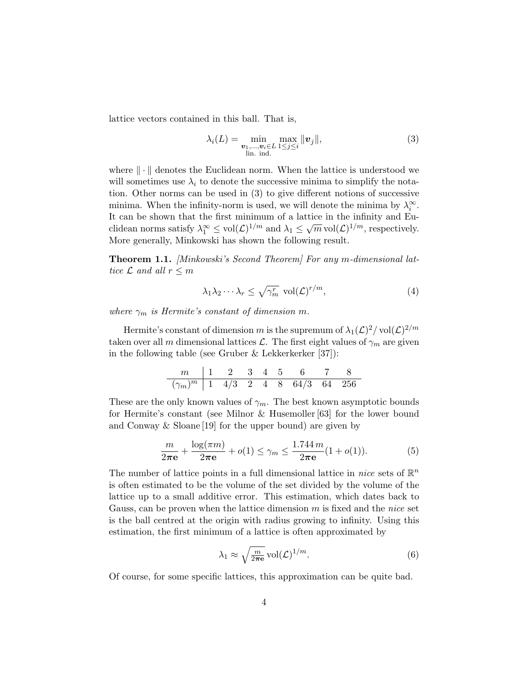lattice vectors contained in this ball. That is,

$$
\lambda_i(L) = \min_{\substack{\boldsymbol{v}_1,\ldots,\boldsymbol{v}_i \in L \\ \text{lin. ind.}}} \max_{1 \leq j \leq i} \|\boldsymbol{v}_j\|,
$$
\n(3)

where  $\|\cdot\|$  denotes the Euclidean norm. When the lattice is understood we will sometimes use  $\lambda_i$  to denote the successive minima to simplify the notation. Other norms can be used in (3) to give different notions of successive minima. When the infinity-norm is used, we will denote the minima by  $\lambda_i^{\infty}$ . It can be shown that the first minimum of a lattice in the infinity and Eu-To can be shown that the first minimum or a fattle in the minity and Euclidean norms satisfy  $\lambda_1^{\infty} \leq \text{vol}(\mathcal{L})^{1/m}$  and  $\lambda_1 \leq \sqrt{m} \text{vol}(\mathcal{L})^{1/m}$ , respectively. More generally, Minkowski has shown the following result.

**Theorem 1.1.** [Minkowski's Second Theorem] For any m-dimensional lattice  $\mathcal L$  and all  $r \leq m$ 

$$
\lambda_1 \lambda_2 \cdots \lambda_r \le \sqrt{\gamma_m^r} \operatorname{vol}(\mathcal{L})^{r/m},\tag{4}
$$

where  $\gamma_m$  is Hermite's constant of dimension m.

Hermite's constant of dimension m is the supremum of  $\lambda_1(\mathcal{L})^2/\operatorname{vol}(\mathcal{L})^{2/m}$ taken over all m dimensional lattices L. The first eight values of  $\gamma_m$  are given in the following table (see Gruber  $&$  Lekkerkerker [37]):

$$
\begin{array}{c|cccccccc}\nm & 1 & 2 & 3 & 4 & 5 & 6 & 7 & 8 \\
\hline\n(\gamma_m)^m & 1 & 4/3 & 2 & 4 & 8 & 64/3 & 64 & 256\n\end{array}
$$

These are the only known values of  $\gamma_m$ . The best known asymptotic bounds for Hermite's constant (see Milnor & Husemoller [63] for the lower bound and Conway & Sloane [19] for the upper bound) are given by

$$
\frac{m}{2\pi e} + \frac{\log(\pi m)}{2\pi e} + o(1) \le \gamma_m \le \frac{1.744 \, m}{2\pi e} (1 + o(1)).\tag{5}
$$

The number of lattice points in a full dimensional lattice in *nice* sets of  $\mathbb{R}^n$ is often estimated to be the volume of the set divided by the volume of the lattice up to a small additive error. This estimation, which dates back to Gauss, can be proven when the lattice dimension  $m$  is fixed and the nice set is the ball centred at the origin with radius growing to infinity. Using this estimation, the first minimum of a lattice is often approximated by

$$
\lambda_1 \approx \sqrt{\frac{m}{2\pi \mathbf{e}}} \operatorname{vol}(\mathcal{L})^{1/m}.\tag{6}
$$

Of course, for some specific lattices, this approximation can be quite bad.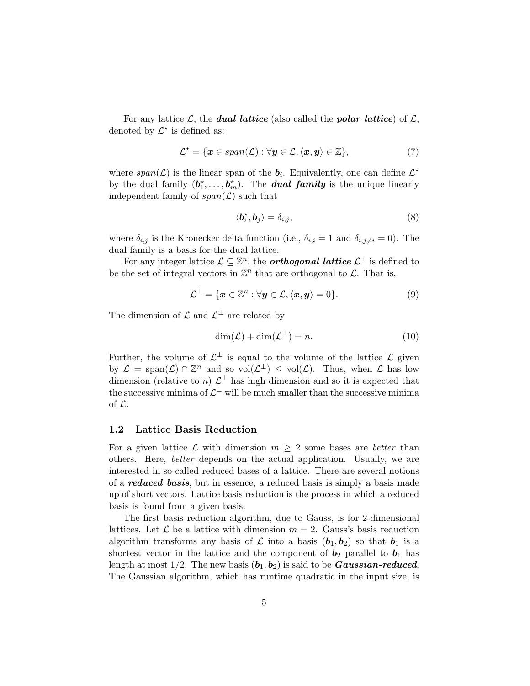For any lattice  $\mathcal{L}$ , the **dual lattice** (also called the **polar lattice**) of  $\mathcal{L}$ , denoted by  $\mathcal{L}^*$  is defined as:

$$
\mathcal{L}^{\star} = \{ \boldsymbol{x} \in span(\mathcal{L}) : \forall \boldsymbol{y} \in \mathcal{L}, \langle \boldsymbol{x}, \boldsymbol{y} \rangle \in \mathbb{Z} \},\tag{7}
$$

where  $span(\mathcal{L})$  is the linear span of the  $b_i$ . Equivalently, one can define  $\mathcal{L}^*$ by the dual family  $(b_1^*, \ldots, b_m^*)$ . The **dual family** is the unique linearly independent family of  $span(\mathcal{L})$  such that

$$
\langle \boldsymbol{b}_i^{\star}, \boldsymbol{b}_j \rangle = \delta_{i,j},\tag{8}
$$

where  $\delta_{i,j}$  is the Kronecker delta function (i.e.,  $\delta_{i,i} = 1$  and  $\delta_{i,j \neq i} = 0$ ). The dual family is a basis for the dual lattice.

For any integer lattice  $\mathcal{L} \subseteq \mathbb{Z}^n$ , the **orthogonal lattice**  $\mathcal{L}^{\perp}$  is defined to be the set of integral vectors in  $\mathbb{Z}^n$  that are orthogonal to  $\mathcal{L}$ . That is,

$$
\mathcal{L}^{\perp} = \{ \boldsymbol{x} \in \mathbb{Z}^n : \forall \boldsymbol{y} \in \mathcal{L}, \langle \boldsymbol{x}, \boldsymbol{y} \rangle = 0 \}.
$$
 (9)

The dimension of  $\mathcal L$  and  $\mathcal L^{\perp}$  are related by

$$
\dim(\mathcal{L}) + \dim(\mathcal{L}^{\perp}) = n. \tag{10}
$$

Further, the volume of  $\mathcal{L}^{\perp}$  is equal to the volume of the lattice  $\overline{\mathcal{L}}$  given by  $\overline{\mathcal{L}} = \text{span}(\mathcal{L}) \cap \mathbb{Z}^n$  and so  $\text{vol}(\mathcal{L}^{\perp}) \leq \text{vol}(\mathcal{L})$ . Thus, when  $\mathcal{L}$  has low dimension (relative to n)  $\mathcal{L}^{\perp}$  has high dimension and so it is expected that the successive minima of  $\mathcal{L}^{\perp}$  will be much smaller than the successive minima of L.

#### 1.2 Lattice Basis Reduction

For a given lattice  $\mathcal L$  with dimension  $m \geq 2$  some bases are *better* than others. Here, better depends on the actual application. Usually, we are interested in so-called reduced bases of a lattice. There are several notions of a **reduced basis**, but in essence, a reduced basis is simply a basis made up of short vectors. Lattice basis reduction is the process in which a reduced basis is found from a given basis.

The first basis reduction algorithm, due to Gauss, is for 2-dimensional lattices. Let  $\mathcal L$  be a lattice with dimension  $m = 2$ . Gauss's basis reduction algorithm transforms any basis of  $\mathcal L$  into a basis  $(b_1, b_2)$  so that  $b_1$  is a shortest vector in the lattice and the component of  $b_2$  parallel to  $b_1$  has length at most  $1/2$ . The new basis  $(b_1, b_2)$  is said to be *Gaussian-reduced*. The Gaussian algorithm, which has runtime quadratic in the input size, is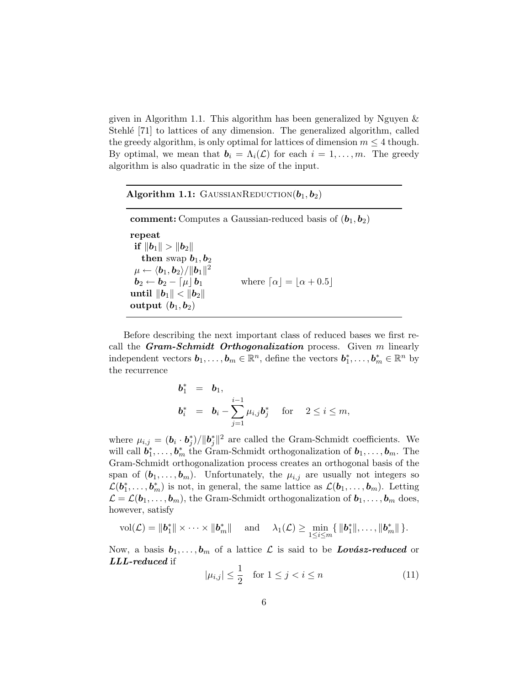given in Algorithm 1.1. This algorithm has been generalized by Nguyen & Stehle [71] to lattices of any dimension. The generalized algorithm, called the greedy algorithm, is only optimal for lattices of dimension  $m \leq 4$  though. By optimal, we mean that  $\mathbf{b}_i = \Lambda_i(\mathcal{L})$  for each  $i = 1, \ldots, m$ . The greedy algorithm is also quadratic in the size of the input.

Algorithm 1.1: GAUSSIANREDUCTION $(b_1, b_2)$ 

comment: Computes a Gaussian-reduced basis of  $(b_1, b_2)$ repeat if  $||b_1|| > ||b_2||$ then swap  $b_1, b_2$  $\mu \leftarrow \langle \boldsymbol{b}_1, \boldsymbol{b}_2\rangle/\|\boldsymbol{b}_1\|^2$  $\mathbf{b}_2 \leftarrow \mathbf{b}_2 - \lceil \mu \rfloor \mathbf{b}_1$  where  $\lceil \alpha \rfloor = \lfloor \alpha + 0.5 \rfloor$  $\text{until } \|\boldsymbol{b}_1\| < \|\boldsymbol{b}_2\|$ output  $(b_1, b_2)$ 

Before describing the next important class of reduced bases we first recall the **Gram-Schmidt** Orthogonalization process. Given  $m$  linearly independent vectors  $\mathbf{b}_1, \ldots, \mathbf{b}_m \in \mathbb{R}^n$ , define the vectors  $\mathbf{b}_1^*, \ldots, \mathbf{b}_m^* \in \mathbb{R}^n$  by the recurrence

$$
\begin{array}{rcl}\n\bm{b}_1^* & = & \bm{b}_1, \\
\bm{b}_i^* & = & \bm{b}_i - \sum_{j=1}^{i-1} \mu_{i,j} \bm{b}_j^* \quad \text{for} \quad 2 \leq i \leq m,\n\end{array}
$$

where  $\mu_{i,j} = (\boldsymbol{b}_i \cdot \boldsymbol{b}_j^*) / ||\boldsymbol{b}_j^*||^2$  are called the Gram-Schmidt coefficients. We will call  $\mathbf{b}_1^*, \ldots, \mathbf{b}_m^*$  the Gram-Schmidt orthogonalization of  $\mathbf{b}_1, \ldots, \mathbf{b}_m$ . The Gram-Schmidt orthogonalization process creates an orthogonal basis of the span of  $(\boldsymbol{b}_1, \ldots, \boldsymbol{b}_m)$ . Unfortunately, the  $\mu_{i,j}$  are usually not integers so  $\mathcal{L}(\bm{b}_1^*,\ldots,\bm{b}_m^*)$  is not, in general, the same lattice as  $\mathcal{L}(\bm{b}_1,\ldots,\bm{b}_m)$ . Letting  $\mathcal{L} = \mathcal{L}(\boldsymbol{b}_1, \ldots, \boldsymbol{b}_m)$ , the Gram-Schmidt orthogonalization of  $\boldsymbol{b}_1, \ldots, \boldsymbol{b}_m$  does, however, satisfy

$$
\mathrm{vol}(\mathcal{L})=\|\boldsymbol{b}_1^*\| \times \cdots \times \|\boldsymbol{b}_m^*\| \quad \text{ and } \quad \lambda_1(\mathcal{L}) \geq \min_{1 \leq i \leq m} \{ \|\boldsymbol{b}_1^*\|,\ldots,\|\boldsymbol{b}_m^*\| \}.
$$

Now, a basis  $b_1, \ldots, b_m$  of a lattice  $\mathcal L$  is said to be **Lovasz-reduced** or LLL-reduced if

$$
|\mu_{i,j}| \le \frac{1}{2} \quad \text{for } 1 \le j < i \le n \tag{11}
$$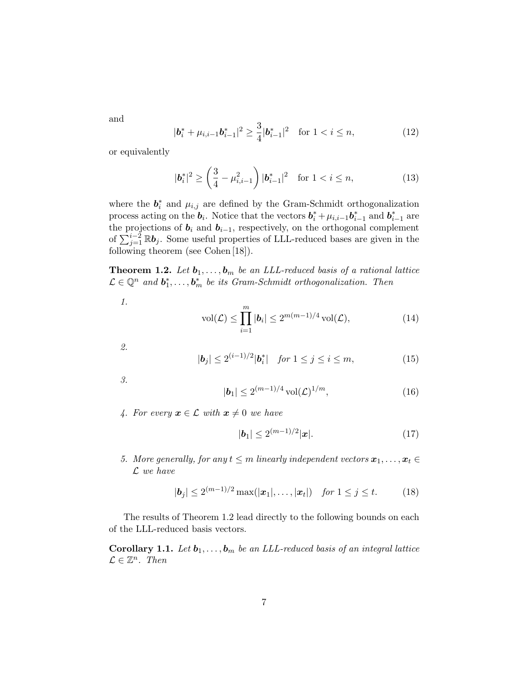and

$$
|\mathbf{b}_{i}^{*} + \mu_{i,i-1}\mathbf{b}_{i-1}^{*}|^{2} \geq \frac{3}{4}|\mathbf{b}_{i-1}^{*}|^{2} \quad \text{for } 1 < i \leq n,
$$
 (12)

or equivalently

$$
|\boldsymbol{b}_{i}^{*}|^{2} \ge \left(\frac{3}{4} - \mu_{i,i-1}^{2}\right)|\boldsymbol{b}_{i-1}^{*}|^{2} \quad \text{for } 1 < i \le n,
$$
 (13)

where the  $\mathbf{b}_i^*$  and  $\mu_{i,j}$  are defined by the Gram-Schmidt orthogonalization process acting on the  $\boldsymbol{b}_i$ . Notice that the vectors  $\boldsymbol{b}_i^* + \mu_{i,i-1} \boldsymbol{b}_{i-1}^*$  and  $\boldsymbol{b}_{i-1}^*$  are the projections of  $b_i$  and  $b_{i-1}$ , respectively, on the orthogonal complement of  $\sum_{j=1}^{i-2} \mathbb{R} b_j$ . Some useful properties of LLL-reduced bases are given in the following theorem (see Cohen [18]).

**Theorem 1.2.** Let  $\mathbf{b}_1, \ldots, \mathbf{b}_m$  be an LLL-reduced basis of a rational lattice  $\mathcal{L} \in \mathbb{Q}^n$  and  $\mathbf{b}_1^*, \ldots, \mathbf{b}_m^*$  be its Gram-Schmidt orthogonalization. Then

$$
\mathit{1}.
$$

$$
\text{vol}(\mathcal{L}) \le \prod_{i=1}^{m} |\mathbf{b}_i| \le 2^{m(m-1)/4} \text{vol}(\mathcal{L}),\tag{14}
$$

2.

$$
|\mathbf{b}_j| \le 2^{(i-1)/2} |\mathbf{b}_i^*| \quad \text{for } 1 \le j \le i \le m,
$$
 (15)

3.

$$
|\mathbf{b}_1| \le 2^{(m-1)/4} \operatorname{vol}(\mathcal{L})^{1/m},\tag{16}
$$

4. For every  $x \in \mathcal{L}$  with  $x \neq 0$  we have

$$
|\boldsymbol{b}_1| \le 2^{(m-1)/2} |\boldsymbol{x}|.\tag{17}
$$

5. More generally, for any  $t \leq m$  linearly independent vectors  $\boldsymbol{x}_1, \ldots, \boldsymbol{x}_t \in$  $\mathcal{L}$  we have

$$
|\mathbf{b}_j| \le 2^{(m-1)/2} \max(|\mathbf{x}_1|, \dots, |\mathbf{x}_t|) \quad \text{for } 1 \le j \le t. \tag{18}
$$

The results of Theorem 1.2 lead directly to the following bounds on each of the LLL-reduced basis vectors.

**Corollary 1.1.** Let  $\mathbf{b}_1, \ldots, \mathbf{b}_m$  be an LLL-reduced basis of an integral lattice  $\mathcal{L} \in \mathbb{Z}^n$ . Then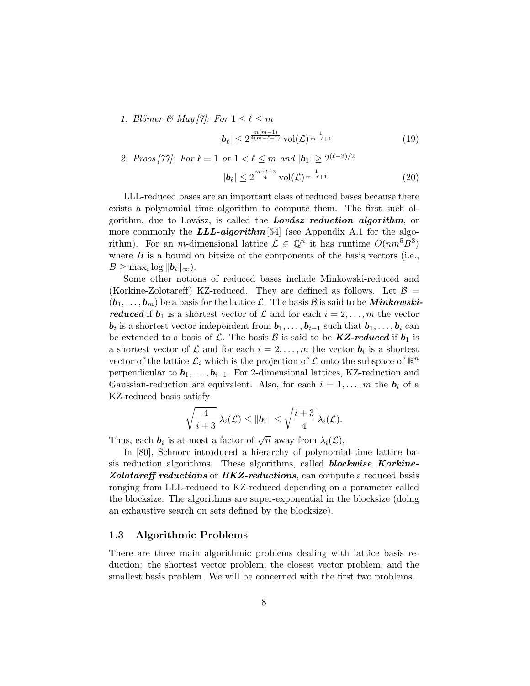1. Blömer & May  $|\gamma|$ : For  $1 \leq \ell \leq m$ 

$$
|\boldsymbol{b}_{\ell}| \le 2^{\frac{m(m-1)}{4(m-\ell+1)}} \operatorname{vol}(\mathcal{L})^{\frac{1}{m-\ell+1}} \tag{19}
$$

2. *Proof* [77]: For 
$$
\ell = 1
$$
 or  $1 < \ell \le m$  and  $|\mathbf{b}_1| \ge 2^{(\ell-2)/2}$   

$$
|\mathbf{b}_{\ell}| \le 2^{\frac{m+l-2}{4}} \operatorname{vol}(\mathcal{L})^{\frac{1}{m-\ell+1}}
$$
(20)

LLL-reduced bases are an important class of reduced bases because there exists a polynomial time algorithm to compute them. The first such algorithm, due to Lovász, is called the Lovász reduction algorithm, or more commonly the  $LLL\text{-}algorithm$  [54] (see Appendix A.1 for the algorithm). For an *m*-dimensional lattice  $\mathcal{L} \in \mathbb{Q}^n$  it has runtime  $O(nm^5B^3)$ where  $B$  is a bound on bitsize of the components of the basis vectors (i.e.,  $B \geq \max_i \log ||\boldsymbol{b}_i||_{\infty}$ ).

Some other notions of reduced bases include Minkowski-reduced and (Korkine-Zolotareff) KZ-reduced. They are defined as follows. Let  $\mathcal{B} =$  $(b_1, \ldots, b_m)$  be a basis for the lattice  $\mathcal{L}$ . The basis  $\mathcal{B}$  is said to be **Minkowski**reduced if  $b_1$  is a shortest vector of  $\mathcal L$  and for each  $i = 2, \ldots, m$  the vector  $\mathbf{b}_i$  is a shortest vector independent from  $\mathbf{b}_1, \ldots, \mathbf{b}_{i-1}$  such that  $\mathbf{b}_1, \ldots, \mathbf{b}_i$  can be extended to a basis of L. The basis B is said to be  $KZ-reduced$  if  $b_1$  is a shortest vector of  $\mathcal L$  and for each  $i = 2, \ldots, m$  the vector  $\mathbf b_i$  is a shortest vector of the lattice  $\mathcal{L}_i$  which is the projection of  $\mathcal L$  onto the subspace of  $\mathbb{R}^n$ perpendicular to  $b_1, \ldots, b_{i-1}$ . For 2-dimensional lattices, KZ-reduction and Gaussian-reduction are equivalent. Also, for each  $i = 1, \ldots, m$  the  $b_i$  of a KZ-reduced basis satisfy

$$
\sqrt{\frac{4}{i+3}}\ \lambda_i(\mathcal{L}) \leq \|\boldsymbol{b}_i\| \leq \sqrt{\frac{i+3}{4}}\ \lambda_i(\mathcal{L}).
$$

Thus, each  $\mathbf{b}_i$  is at most a factor of  $\sqrt{n}$  away from  $\lambda_i(\mathcal{L})$ .

In [80], Schnorr introduced a hierarchy of polynomial-time lattice basis reduction algorithms. These algorithms, called **blockwise Korkine-**Zolotareff reductions or BKZ-reductions, can compute a reduced basis ranging from LLL-reduced to KZ-reduced depending on a parameter called the blocksize. The algorithms are super-exponential in the blocksize (doing an exhaustive search on sets defined by the blocksize).

#### 1.3 Algorithmic Problems

There are three main algorithmic problems dealing with lattice basis reduction: the shortest vector problem, the closest vector problem, and the smallest basis problem. We will be concerned with the first two problems.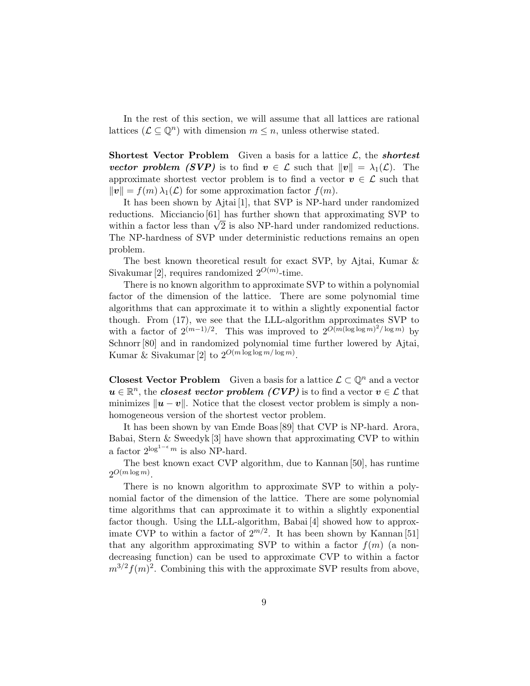In the rest of this section, we will assume that all lattices are rational lattices  $(\mathcal{L} \subseteq \mathbb{Q}^n)$  with dimension  $m \leq n$ , unless otherwise stated.

**Shortest Vector Problem** Given a basis for a lattice  $\mathcal{L}$ , the *shortest* vector problem (SVP) is to find  $v \in \mathcal{L}$  such that  $||v|| = \lambda_1(\mathcal{L})$ . The approximate shortest vector problem is to find a vector  $v \in \mathcal{L}$  such that  $||v|| = f(m) \lambda_1(\mathcal{L})$  for some approximation factor  $f(m)$ .

It has been shown by Ajtai [1], that SVP is NP-hard under randomized reductions. Micciancio [61] has further shown that approximating SVP to reductions. Micclancio [01] has further shown that approximating  $SVP$  to within a factor less than  $\sqrt{2}$  is also NP-hard under randomized reductions. The NP-hardness of SVP under deterministic reductions remains an open problem.

The best known theoretical result for exact SVP, by Ajtai, Kumar & Sivakumar [2], requires randomized  $2^{O(m)}$ -time.

There is no known algorithm to approximate SVP to within a polynomial factor of the dimension of the lattice. There are some polynomial time algorithms that can approximate it to within a slightly exponential factor though. From (17), we see that the LLL-algorithm approximates SVP to with a factor of  $2^{(m-1)/2}$ . This was improved to  $2^{O(m(\log \log m)^2/\log m)}$  by Schnorr [80] and in randomized polynomial time further lowered by Ajtai, Kumar & Sivakumar [2] to  $2^{O(m \log \log m / \log m)}$ .

**Closest Vector Problem** Given a basis for a lattice  $\mathcal{L} \subset \mathbb{Q}^n$  and a vector  $u\in\mathbb{R}^n,$  the closest vector problem  $(CVP)$  is to find a vector  $v\in\mathcal{L}$  that minimizes  $\|\boldsymbol{u} - \boldsymbol{v}\|$ . Notice that the closest vector problem is simply a nonhomogeneous version of the shortest vector problem.

It has been shown by van Emde Boas [89] that CVP is NP-hard. Arora, Babai, Stern & Sweedyk [3] have shown that approximating CVP to within a factor  $2^{\log^{1-\epsilon} m}$  is also NP-hard.

The best known exact CVP algorithm, due to Kannan [50], has runtime  $2^{O(m \log m)}$ .

There is no known algorithm to approximate SVP to within a polynomial factor of the dimension of the lattice. There are some polynomial time algorithms that can approximate it to within a slightly exponential factor though. Using the LLL-algorithm, Babai [4] showed how to approximate CVP to within a factor of  $2^{m/2}$ . It has been shown by Kannan [51] that any algorithm approximating SVP to within a factor  $f(m)$  (a nondecreasing function) can be used to approximate CVP to within a factor  $m^{3/2} f(m)^2$ . Combining this with the approximate SVP results from above,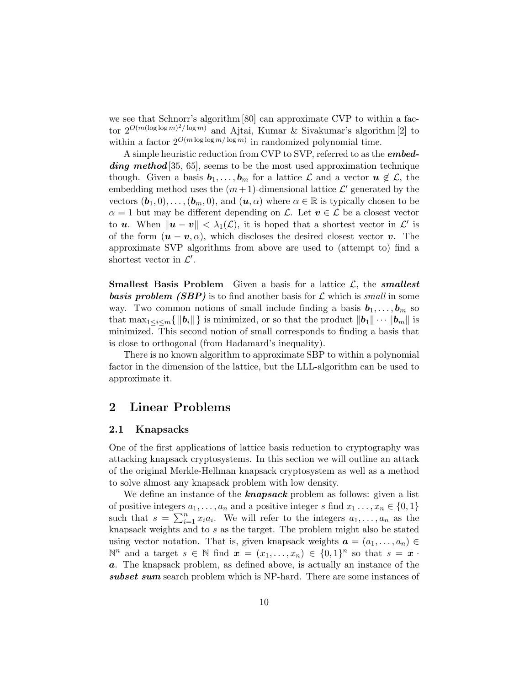we see that Schnorr's algorithm [80] can approximate CVP to within a factor  $2^{O(m(\log \log m)^2/\log m)}$  and Ajtai, Kumar & Sivakumar's algorithm [2] to within a factor  $2^{O(m \log \log m / \log m)}$  in randomized polynomial time.

A simple heuristic reduction from CVP to SVP, referred to as the **embed**ding method [35, 65], seems to be the most used approximation technique though. Given a basis  $b_1, \ldots, b_m$  for a lattice  $\mathcal L$  and a vector  $u \notin \mathcal L$ , the embedding method uses the  $(m+1)$ -dimensional lattice  $\mathcal{L}'$  generated by the vectors  $(b_1, 0), \ldots, (b_m, 0)$ , and  $(u, \alpha)$  where  $\alpha \in \mathbb{R}$  is typically chosen to be  $\alpha = 1$  but may be different depending on L. Let  $v \in \mathcal{L}$  be a closest vector to **u**. When  $\|\mathbf{u} - \mathbf{v}\| < \lambda_1(\mathcal{L})$ , it is hoped that a shortest vector in  $\mathcal{L}'$  is of the form  $(u - v, \alpha)$ , which discloses the desired closest vector v. The approximate SVP algorithms from above are used to (attempt to) find a shortest vector in  $\mathcal{L}'$ .

**Smallest Basis Problem** Given a basis for a lattice  $\mathcal{L}$ , the **smallest basis problem (SBP)** is to find another basis for  $\mathcal{L}$  which is small in some way. Two common notions of small include finding a basis  $b_1, \ldots, b_m$  so that  $\max_{1 \leq i \leq m} \{ ||b_i|| \}$  is minimized, or so that the product  $||b_1|| \cdots ||b_m||$  is minimized. This second notion of small corresponds to finding a basis that is close to orthogonal (from Hadamard's inequality).

There is no known algorithm to approximate SBP to within a polynomial factor in the dimension of the lattice, but the LLL-algorithm can be used to approximate it.

### 2 Linear Problems

#### 2.1 Knapsacks

One of the first applications of lattice basis reduction to cryptography was attacking knapsack cryptosystems. In this section we will outline an attack of the original Merkle-Hellman knapsack cryptosystem as well as a method to solve almost any knapsack problem with low density.

We define an instance of the **knapsack** problem as follows: given a list of positive integers  $a_1, \ldots, a_n$  and a positive integer s find  $x_1, \ldots, x_n \in \{0, 1\}$ such that  $s = \sum_{i=1}^{n} x_i a_i$ . We will refer to the integers  $a_1, \ldots, a_n$  as the knapsack weights and to s as the target. The problem might also be stated using vector notation. That is, given knapsack weights  $a = (a_1, \ldots, a_n) \in$  $\mathbb{N}^n$  and a target  $s \in \mathbb{N}$  find  $\boldsymbol{x} = (x_1, \ldots, x_n) \in \{0,1\}^n$  so that  $s = \boldsymbol{x}$ . a. The knapsack problem, as defined above, is actually an instance of the subset sum search problem which is NP-hard. There are some instances of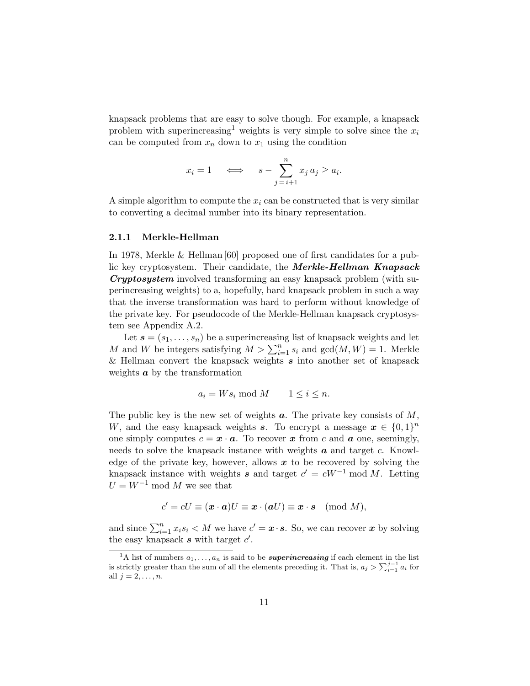knapsack problems that are easy to solve though. For example, a knapsack problem with superincreasing<sup>1</sup> weights is very simple to solve since the  $x_i$ can be computed from  $x_n$  down to  $x_1$  using the condition

$$
x_i = 1 \iff s - \sum_{j=i+1}^n x_j a_j \ge a_i.
$$

A simple algorithm to compute the  $x_i$  can be constructed that is very similar to converting a decimal number into its binary representation.

#### 2.1.1 Merkle-Hellman

In 1978, Merkle & Hellman [60] proposed one of first candidates for a public key cryptosystem. Their candidate, the **Merkle-Hellman Knapsack** Cryptosystem involved transforming an easy knapsack problem (with superincreasing weights) to a, hopefully, hard knapsack problem in such a way that the inverse transformation was hard to perform without knowledge of the private key. For pseudocode of the Merkle-Hellman knapsack cryptosystem see Appendix A.2.

Let  $s = (s_1, \ldots, s_n)$  be a superincreasing list of knapsack weights and let M and W be integers satisfying  $M > \sum_{i=1}^{n} s_i$  and  $gcd(M, W) = 1$ . Merkle & Hellman convert the knapsack weights  $s$  into another set of knapsack weights  $\boldsymbol{a}$  by the transformation

$$
a_i = W s_i \bmod M \qquad 1 \le i \le n.
$$

The public key is the new set of weights  $a$ . The private key consists of  $M$ , W, and the easy knapsack weights s. To encrypt a message  $x \in \{0,1\}^n$ one simply computes  $c = \mathbf{x} \cdot \mathbf{a}$ . To recover x from c and  $\mathbf{a}$  one, seemingly, needs to solve the knapsack instance with weights  $\boldsymbol{a}$  and target c. Knowledge of the private key, however, allows  $x$  to be recovered by solving the knapsack instance with weights s and target  $c' = cW^{-1}$  mod M. Letting  $U = W^{-1}$  mod M we see that

$$
c' = cU \equiv (\mathbf{x} \cdot \mathbf{a})U \equiv \mathbf{x} \cdot (\mathbf{a}U) \equiv \mathbf{x} \cdot \mathbf{s} \pmod{M},
$$

and since  $\sum_{i=1}^{n} x_i s_i < M$  we have  $c' = \boldsymbol{x} \cdot \boldsymbol{s}$ . So, we can recover  $\boldsymbol{x}$  by solving the easy knapsack  $s$  with target  $c'$ .

<sup>&</sup>lt;sup>1</sup>A list of numbers  $a_1, \ldots, a_n$  is said to be *superincreasing* if each element in the list is strictly greater than the sum of all the elements preceding it. That is,  $a_j > \sum_{i=1}^{j-1} a_i$  for all  $j = 2, \ldots, n$ .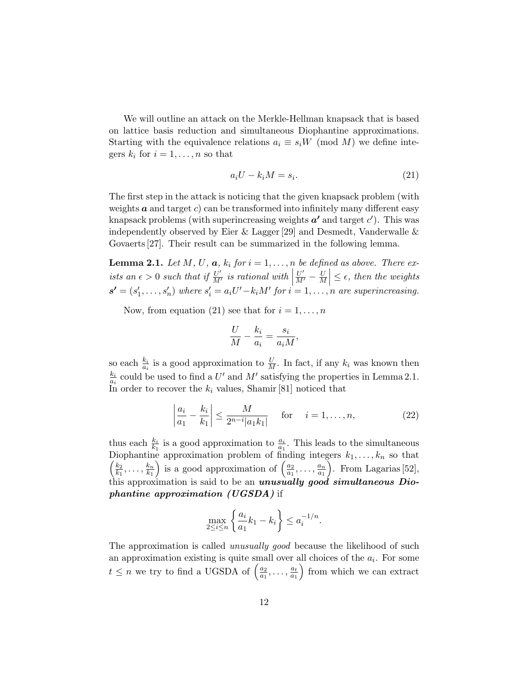We will outline an attack on the Merkle-Hellman knapsack that is based on lattice basis reduction and simultaneous Diophantine approximations. Starting with the equivalence relations  $a_i \equiv s_i W \pmod{M}$  we define integers  $k_i$  for  $i = 1, \ldots, n$  so that

$$
a_i U - k_i M = s_i. \t\t(21)
$$

The first step in the attack is noticing that the given knapsack problem (with weights  $\boldsymbol{a}$  and target c) can be transformed into infinitely many different easy knapsack problems (with superincreasing weights  $a'$  and target  $c'$ ). This was independently observed by Eier  $\&$  Lagger [29] and Desmedt, Vanderwalle  $\&$ Govaerts [27]. Their result can be summarized in the following lemma.

**Lemma 2.1.** Let M, U,  $a, k_i$  for  $i = 1, \ldots, n$  be defined as above. There exists an  $\epsilon > 0$  such that if  $\frac{U'}{M'}$  is rational with  $\left| \frac{U'}{M'} - \frac{U}{M} \right|$  $\overline{\phantom{a}}$  $\left| \frac{U}{M} \right| \leq \epsilon$ , then the weights  $s' = (s'_1, \ldots, s'_n)$  where  $s'_i = a_i U' - k_i M'$  for  $i = 1, \ldots, n$  are superincreasing.

Now, from equation (21) see that for  $i = 1, \ldots, n$ 

$$
\frac{U}{M} - \frac{k_i}{a_i} = \frac{s_i}{a_i M}
$$

so each  $\frac{k_i}{a_i}$  is a good approximation to  $\frac{U}{M}$ . In fact, if any  $k_i$  was known then  $k_i$  $\frac{k_i}{a_i}$  could be used to find a U' and M' satisfying the properties in Lemma 2.1. In order to recover the  $k_i$  values, Shamir [81] noticed that

$$
\left| \frac{a_i}{a_1} - \frac{k_i}{k_1} \right| \le \frac{M}{2^{n-i}|a_1k_1|} \quad \text{for} \quad i = 1, \dots, n,
$$
 (22)

,

thus each  $\frac{k_i}{k_1}$  is a good approximation to  $\frac{a_i}{a_1}$ . This leads to the simultaneous Diophantine approximation problem of finding integers  $k_1, \ldots, k_n$  so that  $\frac{k_2}{k_2}$  $\frac{k_2}{k_1}, \ldots, \frac{k_n}{k_1}$  $_{k_1}$ ) is a good approximation of  $\left(\frac{a_2}{a_1}\right)$  $\frac{a_2}{a_1}, \ldots, \frac{a_n}{a_1}$  $a_1$  . From Lagarias [52], this approximation is said to be an *unusually good simultaneous* Diophantine approximation (UGSDA) if

$$
\max_{2 \le i \le n} \left\{ \frac{a_i}{a_1} k_1 - k_i \right\} \le a_i^{-1/n}.
$$

The approximation is called *unusually good* because the likelihood of such an approximation existing is quite small over all choices of the  $a_i$ . For some  $t \leq n$  we try to find a UGSDA of  $\left(\frac{a_2}{a_1}\right)$  $\frac{a_2}{a_1}, \ldots, \frac{a_t}{a_1}$  $a_1$ from which we can extract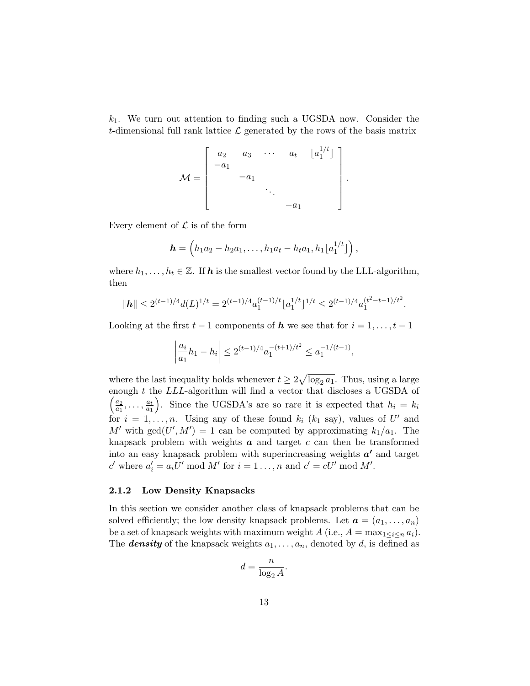$k_1$ . We turn out attention to finding such a UGSDA now. Consider the t-dimensional full rank lattice  $\mathcal L$  generated by the rows of the basis matrix

$$
\mathcal{M} = \begin{bmatrix} a_2 & a_3 & \cdots & a_t & \lfloor a_1^{1/t} \rfloor \\ -a_1 & & & \\ & -a_1 & & \\ & & \ddots & \\ & & & -a_1 \end{bmatrix}.
$$

Every element of  $\mathcal L$  is of the form

$$
\boldsymbol{h} = \left(h_1a_2 - h_2a_1, \ldots, h_1a_t - h_ta_1, h_1\lfloor a_1^{1/t} \rfloor\right),
$$

where  $h_1, \ldots, h_t \in \mathbb{Z}$ . If **h** is the smallest vector found by the LLL-algorithm, then

$$
\|\boldsymbol{h}\| \leq 2^{(t-1)/4} d(L)^{1/t} = 2^{(t-1)/4} a_1^{(t-1)/t} \lfloor a_1^{1/t} \rfloor^{1/t} \leq 2^{(t-1)/4} a_1^{(t^2-t-1)/t^2}.
$$

Looking at the first  $t-1$  components of  $h$  we see that for  $i = 1, \ldots, t-1$ 

$$
\left|\frac{a_i}{a_1}h_1 - h_i\right| \le 2^{(t-1)/4} a_1^{-(t+1)/t^2} \le a_1^{-1/(t-1)},
$$

where the last inequality holds whenever  $t \geq 2\sqrt{\log_2 a_1}$ . Thus, using a large enough  $t$  the  $LLL\mbox{-}$  algorithm will find a vector that discloses a UGSDA of  $\frac{a_2}{a_2}$  $\frac{a_2}{a_1}, \ldots, \frac{a_t}{a_1}$  $\overline{a_1}$ ). Since the UGSDA's are so rare it is expected that  $h_i = k_i$ for  $i = 1, \ldots, n$ . Using any of these found  $k_i$  ( $k_1$  say), values of U' and M' with  $gcd(U', M') = 1$  can be computed by approximating  $k_1/a_1$ . The knapsack problem with weights  $a$  and target  $c$  can then be transformed into an easy knapsack problem with superincreasing weights  $a'$  and target c' where  $a'_i = a_i U' \bmod M'$  for  $i = 1 \ldots, n$  and  $c' = cU' \bmod M'$ .

#### 2.1.2 Low Density Knapsacks

In this section we consider another class of knapsack problems that can be solved efficiently; the low density knapsack problems. Let  $\mathbf{a} = (a_1, \ldots, a_n)$ be a set of knapsack weights with maximum weight  $A$  (i.e.,  $A = \max_{1 \leq i \leq n} a_i$ ). The **density** of the knapsack weights  $a_1, \ldots, a_n$ , denoted by d, is defined as

$$
d = \frac{n}{\log_2 A}
$$

.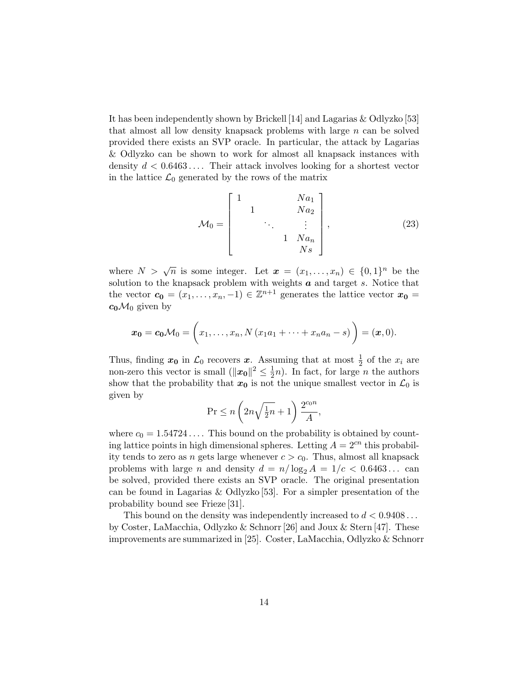It has been independently shown by Brickell [14] and Lagarias & Odlyzko [53] that almost all low density knapsack problems with large  $n$  can be solved provided there exists an SVP oracle. In particular, the attack by Lagarias & Odlyzko can be shown to work for almost all knapsack instances with density  $d < 0.6463...$  Their attack involves looking for a shortest vector in the lattice  $\mathcal{L}_0$  generated by the rows of the matrix

$$
\mathcal{M}_0 = \begin{bmatrix} 1 & & & & N a_1 \\ & 1 & & & N a_2 \\ & & \ddots & & \vdots \\ & & & 1 & N a_n \\ & & & & N s \end{bmatrix},
$$
(23)

where  $N > \sqrt{n}$  is some integer. Let  $\mathbf{x} = (x_1, \ldots, x_n) \in \{0,1\}^n$  be the solution to the knapsack problem with weights  $a$  and target  $s$ . Notice that the vector  $\mathbf{c_0} = (x_1, \ldots, x_n, -1) \in \mathbb{Z}^{n+1}$  generates the lattice vector  $\mathbf{x_0} =$  $c_0 \mathcal{M}_0$  given by

$$
\boldsymbol{x_0} = \boldsymbol{c_0} \mathcal{M}_0 = \left( x_1, \ldots, x_n, N \left( x_1 a_1 + \cdots + x_n a_n - s \right) \right) = (\boldsymbol{x}, 0).
$$

Thus, finding  $x_0$  in  $\mathcal{L}_0$  recovers x. Assuming that at most  $\frac{1}{2}$  of the  $x_i$  are non-zero this vector is small  $(\|\boldsymbol{x_0}\|^2 \leq \frac{1}{2})$  $\frac{1}{2}n$ ). In fact, for large *n* the authors show that the probability that  $x_0$  is not the unique smallest vector in  $\mathcal{L}_0$  is given by

$$
\Pr \le n \left( 2n\sqrt{\tfrac{1}{2}n} + 1 \right) \frac{2^{c_0 n}}{A},
$$

where  $c_0 = 1.54724...$  This bound on the probability is obtained by counting lattice points in high dimensional spheres. Letting  $A = 2<sup>cn</sup>$  this probability tends to zero as *n* gets large whenever  $c > c_0$ . Thus, almost all knapsack problems with large *n* and density  $d = n/\log_2 A = 1/c < 0.6463...$  can be solved, provided there exists an SVP oracle. The original presentation can be found in Lagarias & Odlyzko  $[53]$ . For a simpler presentation of the probability bound see Frieze [31].

This bound on the density was independently increased to  $d < 0.9408...$ by Coster, LaMacchia, Odlyzko & Schnorr [26] and Joux & Stern [47]. These improvements are summarized in [25]. Coster, LaMacchia, Odlyzko & Schnorr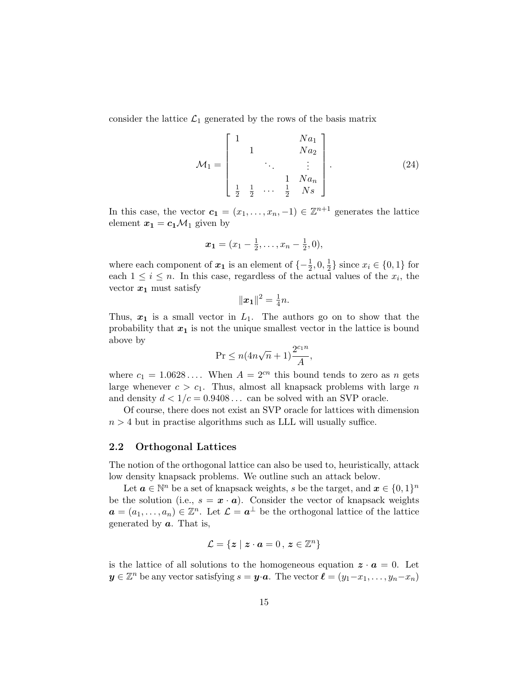consider the lattice  $\mathcal{L}_1$  generated by the rows of the basis matrix

$$
\mathcal{M}_1 = \begin{bmatrix} 1 & & & & N a_1 \\ & 1 & & & N a_2 \\ & & \ddots & & \vdots \\ & & & 1 & N a_n \\ \frac{1}{2} & \frac{1}{2} & \cdots & \frac{1}{2} & N s \end{bmatrix} .
$$
 (24)

In this case, the vector  $c_1 = (x_1, \ldots, x_n, -1) \in \mathbb{Z}^{n+1}$  generates the lattice element  $x_1 = c_1 \mathcal{M}_1$  given by

$$
\boldsymbol{x_1}=(x_1-\tfrac{1}{2},\ldots,x_n-\tfrac{1}{2},0),
$$

where each component of  $x_1$  is an element of  $\{-\frac{1}{2}, 0, \frac{1}{2}\}$  $\frac{1}{2}$  since  $x_i \in \{0, 1\}$  for each  $1 \leq i \leq n$ . In this case, regardless of the actual values of the  $x_i$ , the vector  $x_1$  must satisfy

$$
\|\bm{x_1}\|^2 = \frac{1}{4}n.
$$

Thus,  $x_1$  is a small vector in  $L_1$ . The authors go on to show that the probability that  $x_1$  is not the unique smallest vector in the lattice is bound above by

$$
\Pr \leq n(4n\sqrt{n}+1)\frac{2^{c_1n}}{A},
$$

where  $c_1 = 1.0628...$  When  $A = 2^{cn}$  this bound tends to zero as n gets large whenever  $c > c_1$ . Thus, almost all knapsack problems with large n and density  $d < 1/c = 0.9408...$  can be solved with an SVP oracle.

Of course, there does not exist an SVP oracle for lattices with dimension  $n > 4$  but in practise algorithms such as LLL will usually suffice.

#### 2.2 Orthogonal Lattices

The notion of the orthogonal lattice can also be used to, heuristically, attack low density knapsack problems. We outline such an attack below.

Let  $\boldsymbol{a} \in \mathbb{N}^n$  be a set of knapsack weights, s be the target, and  $\boldsymbol{x} \in \{0,1\}^n$ be the solution (i.e.,  $s = \mathbf{x} \cdot \mathbf{a}$ ). Consider the vector of knapsack weights  $a = (a_1, \ldots, a_n) \in \mathbb{Z}^n$ . Let  $\mathcal{L} = a^{\perp}$  be the orthogonal lattice of the lattice generated by  $a$ . That is,

$$
\mathcal{L} = \{ \boldsymbol{z} \mid \boldsymbol{z} \cdot \boldsymbol{a} = 0 \,, \, \boldsymbol{z} \in \mathbb{Z}^n \}
$$

is the lattice of all solutions to the homogeneous equation  $z \cdot a = 0$ . Let  $y \in \mathbb{Z}^n$  be any vector satisfying  $s = y \cdot a$ . The vector  $\ell = (y_1-x_1, \ldots, y_n-x_n)$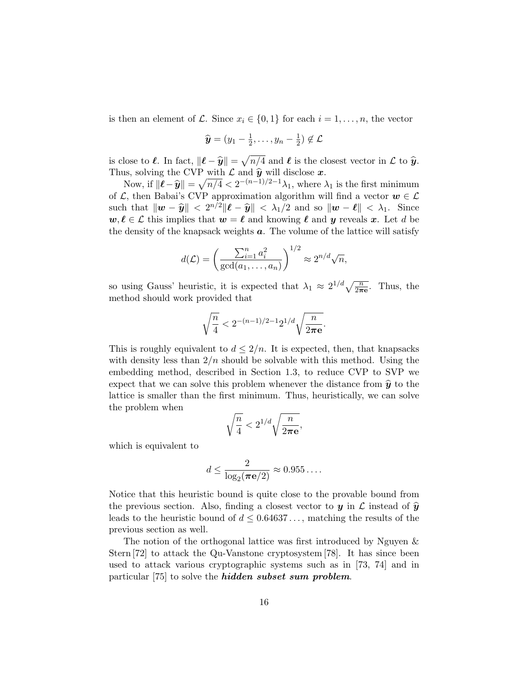is then an element of L. Since  $x_i \in \{0,1\}$  for each  $i = 1, \ldots, n$ , the vector

$$
\widehat{\boldsymbol{y}}=(y_1-\tfrac{1}{2},\ldots,y_n-\tfrac{1}{2})\notin\mathcal{L}
$$

is close to  $\ell$ . In fact,  $\|\ell - \hat{y}\| = \sqrt{n/4}$  and  $\ell$  is the closest vector in  $\mathcal L$  to  $\hat{y}$ .<br>Thus, solving the CVB with  $\mathcal L$  and  $\hat{y}$  will disclose  $x$ . Thus, solving the CVP with  $\mathcal L$  and  $\hat y$  will disclose  $\mathbf x$ .

Now, if  $\|\boldsymbol{\ell} - \widehat{\boldsymbol{y}}\| = \sqrt{n/4} < 2^{-(n-1)/2-1}\lambda_1$ , where  $\lambda_1$  is the first minimum<br>
c, then Babai's CVB approximation also with we will find a vector and  $\epsilon$ . of  $\mathcal{L}$ , then Babai's CVP approximation algorithm will find a vector  $w \in \mathcal{L}$ such that  $\|\boldsymbol{w} - \widehat{\boldsymbol{y}}\| < 2^{n/2} \|\boldsymbol{\ell} - \widehat{\boldsymbol{y}}\| < \lambda_1/2$  and so  $\|\boldsymbol{w} - \boldsymbol{\ell}\| < \lambda_1$ . Since  $w, \ell \in \mathcal{L}$  this implies that  $w = \ell$  and knowing  $\ell$  and y reveals x. Let d be the density of the knapsack weights  $a$ . The volume of the lattice will satisfy

$$
d(\mathcal{L}) = \left(\frac{\sum_{i=1}^n a_i^2}{\gcd(a_1, \dots, a_n)}\right)^{1/2} \approx 2^{n/d} \sqrt{n},
$$

so using Gauss' heuristic, it is expected that  $\lambda_1 \approx 2^{1/d} \sqrt{\frac{n}{2\pi e}}$ . Thus, the method should work provided that

$$
\sqrt{\frac{n}{4}} < 2^{-(n-1)/2-1}2^{1/d}\sqrt{\frac{n}{2\pi \mathbf{e}}}.
$$

This is roughly equivalent to  $d \leq 2/n$ . It is expected, then, that knapsacks with density less than  $2/n$  should be solvable with this method. Using the embedding method, described in Section 1.3, to reduce CVP to SVP we expect that we can solve this problem whenever the distance from  $\hat{y}$  to the lattice is smaller than the first minimum. Thus, heuristically, we can solve the problem when

$$
\sqrt{\frac{n}{4}} < 2^{1/d} \sqrt{\frac{n}{2\pi \mathbf{e}}},
$$

which is equivalent to

$$
d \le \frac{2}{\log_2(\pi \mathbf{e}/2)} \approx 0.955\dots.
$$

Notice that this heuristic bound is quite close to the provable bound from the previous section. Also, finding a closest vector to y in  $\mathcal L$  instead of  $\hat y$ leads to the heuristic bound of  $d \leq 0.64637...$ , matching the results of the previous section as well.

The notion of the orthogonal lattice was first introduced by Nguyen & Stern [72] to attack the Qu-Vanstone cryptosystem [78]. It has since been used to attack various cryptographic systems such as in [73, 74] and in particular [75] to solve the *hidden subset sum problem*.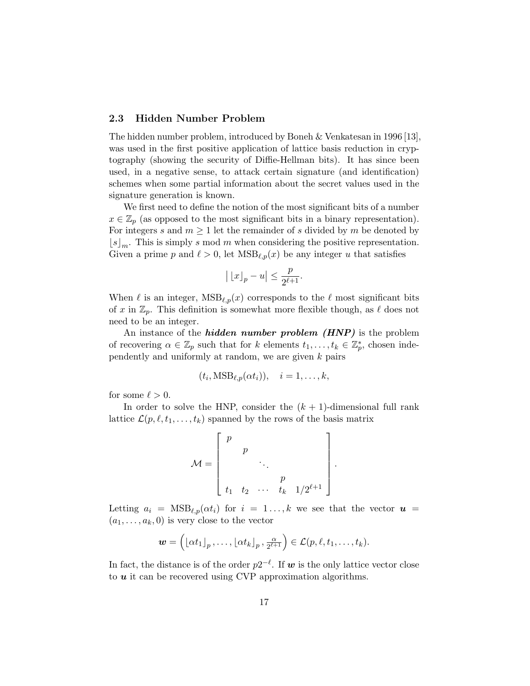#### 2.3 Hidden Number Problem

The hidden number problem, introduced by Boneh & Venkatesan in 1996 [13], was used in the first positive application of lattice basis reduction in cryptography (showing the security of Diffie-Hellman bits). It has since been used, in a negative sense, to attack certain signature (and identification) schemes when some partial information about the secret values used in the signature generation is known.

We first need to define the notion of the most significant bits of a number  $x \in \mathbb{Z}_p$  (as opposed to the most significant bits in a binary representation). For integers s and  $m \geq 1$  let the remainder of s divided by m be denoted by  $\lfloor s \rfloor_m$ . This is simply s mod m when considering the positive representation. Given a prime p and  $\ell > 0$ , let  $\text{MSB}_{\ell,p}(x)$  be any integer u that satisfies

$$
\big|\left\lfloor x\right\rfloor_p-u\big|\leq\frac{p}{2^{\ell+1}}.
$$

When  $\ell$  is an integer,  $MSB_{\ell,p}(x)$  corresponds to the  $\ell$  most significant bits of x in  $\mathbb{Z}_p$ . This definition is somewhat more flexible though, as  $\ell$  does not need to be an integer.

An instance of the *hidden number problem*  $(HNP)$  is the problem of recovering  $\alpha \in \mathbb{Z}_p$  such that for k elements  $t_1, \ldots, t_k \in \mathbb{Z}_p^*$ , chosen independently and uniformly at random, we are given k pairs

$$
(t_i, \text{MSB}_{\ell, p}(\alpha t_i)), \quad i = 1, \ldots, k,
$$

for some  $\ell > 0$ .

In order to solve the HNP, consider the  $(k + 1)$ -dimensional full rank lattice  $\mathcal{L}(p, \ell, t_1, \ldots, t_k)$  spanned by the rows of the basis matrix

$$
\mathcal{M} = \begin{bmatrix} p & & & \\ & p & & \\ & & \ddots & \\ & & & p & \\ t_1 & t_2 & \cdots & t_k & 1/2^{\ell+1} \end{bmatrix}
$$

.

Letting  $a_i = \text{MSB}_{\ell,p}(\alpha t_i)$  for  $i = 1 \ldots, k$  we see that the vector  $u =$  $(a_1, \ldots, a_k, 0)$  is very close to the vector

$$
\mathbf{w} = \left( \lfloor \alpha t_1 \rfloor_p, \ldots, \lfloor \alpha t_k \rfloor_p, \frac{\alpha}{2^{\ell+1}} \right) \in \mathcal{L}(p, \ell, t_1, \ldots, t_k).
$$

In fact, the distance is of the order  $p2^{-\ell}$ . If w is the only lattice vector close to  $u$  it can be recovered using CVP approximation algorithms.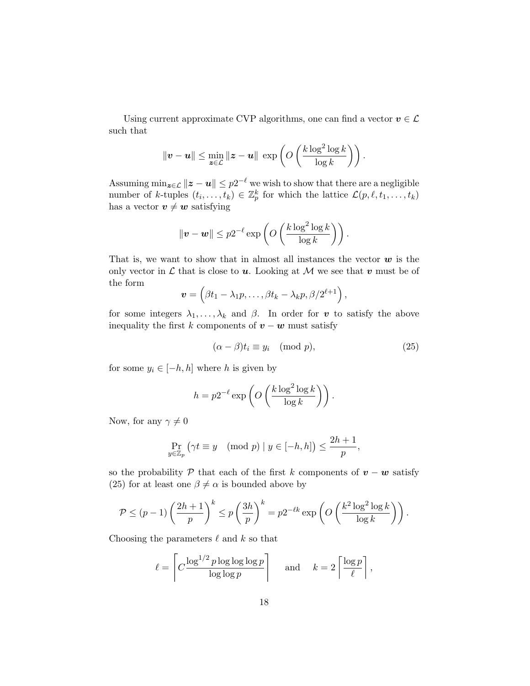Using current approximate CVP algorithms, one can find a vector  $\boldsymbol{v}\in\mathcal{L}$ such that

$$
\|\boldsymbol{v} - \boldsymbol{u}\| \le \min_{\boldsymbol{z} \in \mathcal{L}} \|\boldsymbol{z} - \boldsymbol{u}\| \, \exp\left(O\left(\frac{k \log^2 \log k}{\log k}\right)\right).
$$

Assuming  $\min_{\bm{z}\in\mathcal{L}}\|\bm{z}-\bm{u}\|\leq p2^{-\ell}$  we wish to show that there are a negligible number of k-tuples  $(t_i, \ldots, t_k) \in \mathbb{Z}_p^k$  for which the lattice  $\mathcal{L}(p, \ell, t_1, \ldots, t_k)$ has a vector  $v \neq w$  satisfying

$$
\|\boldsymbol{v} - \boldsymbol{w}\| \leq p2^{-\ell} \exp\left(O\left(\frac{k \log^2 \log k}{\log k}\right)\right).
$$

That is, we want to show that in almost all instances the vector  $w$  is the only vector in  $\mathcal L$  that is close to  $u$ . Looking at  $\mathcal M$  we see that  $v$  must be of the form

$$
\mathbf{v} = \left(\beta t_1 - \lambda_1 p, \ldots, \beta t_k - \lambda_k p, \beta/2^{\ell+1}\right),\,
$$

for some integers  $\lambda_1, \ldots, \lambda_k$  and  $\beta$ . In order for v to satisfy the above inequality the first k components of  $v - w$  must satisfy

$$
(\alpha - \beta)t_i \equiv y_i \pmod{p},\tag{25}
$$

for some  $y_i \in [-h, h]$  where h is given by

$$
h = p2^{-\ell} \exp\left(O\left(\frac{k \log^2 \log k}{\log k}\right)\right).
$$

Now, for any  $\gamma \neq 0$ 

$$
\Pr_{y \in \mathbb{Z}_p} (\gamma t \equiv y \pmod{p} \mid y \in [-h, h]) \le \frac{2h+1}{p},
$$

so the probability P that each of the first k components of  $v - w$  satisfy (25) for at least one  $\beta \neq \alpha$  is bounded above by

$$
\mathcal{P} \le (p-1) \left(\frac{2h+1}{p}\right)^k \le p \left(\frac{3h}{p}\right)^k = p2^{-\ell k} \exp\left(O\left(\frac{k^2 \log^2 \log k}{\log k}\right)\right).
$$

Choosing the parameters  $\ell$  and k so that

$$
\ell = \left\lceil C \frac{\log^{1/2} p \log \log \log p}{\log \log p} \right\rceil \quad \text{and} \quad k = 2 \left\lceil \frac{\log p}{\ell} \right\rceil,
$$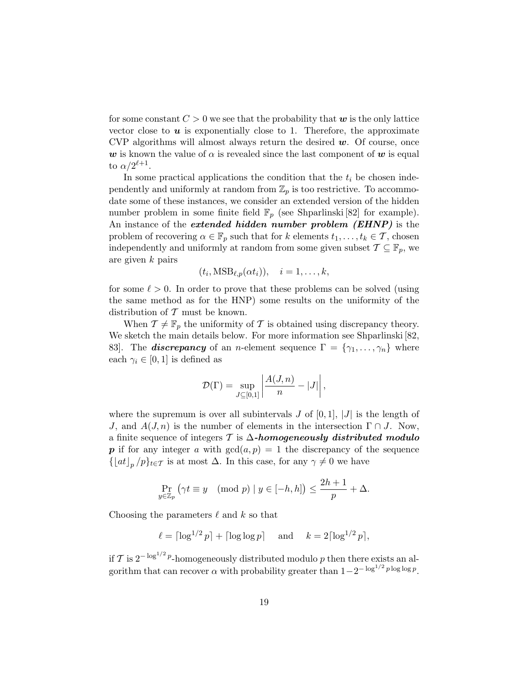for some constant  $C > 0$  we see that the probability that w is the only lattice vector close to  $\boldsymbol{u}$  is exponentially close to 1. Therefore, the approximate CVP algorithms will almost always return the desired  $w$ . Of course, once w is known the value of  $\alpha$  is revealed since the last component of w is equal to  $\alpha/2^{\ell+1}$ .

In some practical applications the condition that the  $t_i$  be chosen independently and uniformly at random from  $\mathbb{Z}_p$  is too restrictive. To accommodate some of these instances, we consider an extended version of the hidden number problem in some finite field  $\mathbb{F}_p$  (see Shparlinski [82] for example). An instance of the *extended hidden number problem (EHNP)* is the problem of recovering  $\alpha \in \mathbb{F}_p$  such that for k elements  $t_1, \ldots, t_k \in \mathcal{T}$ , chosen independently and uniformly at random from some given subset  $\mathcal{T} \subseteq \mathbb{F}_p$ , we are given k pairs

$$
(t_i, \text{MSB}_{\ell, p}(\alpha t_i)), \quad i = 1, \ldots, k,
$$

for some  $\ell > 0$ . In order to prove that these problems can be solved (using the same method as for the HNP) some results on the uniformity of the distribution of  $\mathcal T$  must be known.

When  $\mathcal{T} \neq \mathbb{F}_p$  the uniformity of  $\mathcal T$  is obtained using discrepancy theory. We sketch the main details below. For more information see Shparlinski [82, 83. The **discrepancy** of an n-element sequence  $\Gamma = \{\gamma_1, \ldots, \gamma_n\}$  where each  $\gamma_i \in [0, 1]$  is defined as

$$
\mathcal{D}(\Gamma) = \sup_{J \subseteq [0,1]} \left| \frac{A(J,n)}{n} - |J| \right|,
$$

where the supremum is over all subintervals  $J$  of  $[0, 1]$ ,  $|J|$  is the length of J, and  $A(J, n)$  is the number of elements in the intersection  $\Gamma \cap J$ . Now, a finite sequence of integers  $\mathcal T$  is  $\Delta$ -homogeneously distributed modulo **p** if for any integer a with  $gcd(a, p) = 1$  the discrepancy of the sequence  $\{\lfloor at \rfloor_p / p\}_{t \in \mathcal{T}}$  is at most  $\Delta$ . In this case, for any  $\gamma \neq 0$  we have

$$
\Pr_{y \in \mathbb{Z}_p} (\gamma t \equiv y \pmod{p} \mid y \in [-h, h]) \le \frac{2h+1}{p} + \Delta.
$$

Choosing the parameters  $\ell$  and k so that

$$
\ell = \lceil \log^{1/2} p \rceil + \lceil \log \log p \rceil
$$
 and  $k = 2 \lceil \log^{1/2} p \rceil$ ,

if T is  $2^{-\log^{1/2} p}$ -homogeneously distributed modulo p then there exists an algorithm that can recover  $\alpha$  with probability greater than  $1-2^{-\log^{1/2} p \log \log p}$ .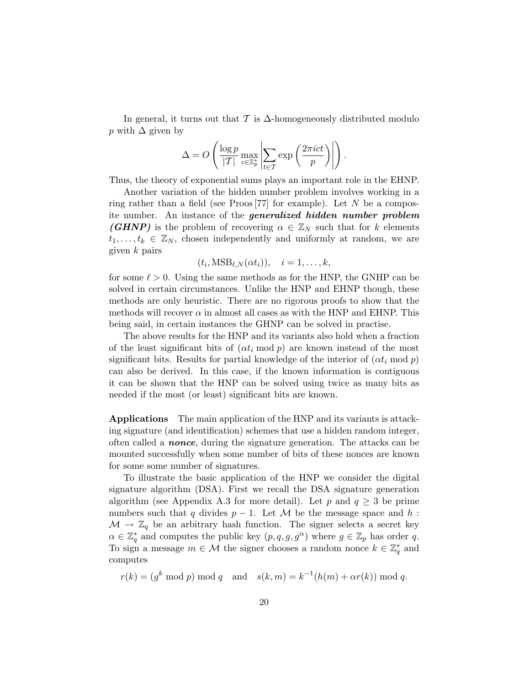In general, it turns out that  $\mathcal T$  is  $\Delta$ -homogeneously distributed modulo p with  $\Delta$  given by

$$
\Delta = O\left(\frac{\log p}{|\mathcal{T}|} \max_{c \in \mathbb{Z}_p^*} \left| \sum_{t \in \mathcal{T}} \exp\left(\frac{2\pi i c t}{p}\right) \right| \right).
$$

Thus, the theory of exponential sums plays an important role in the EHNP.

Another variation of the hidden number problem involves working in a ring rather than a field (see Proos [77] for example). Let  $N$  be a composite number. An instance of the *generalized hidden number problem* **(GHNP)** is the problem of recovering  $\alpha \in \mathbb{Z}_N$  such that for k elements  $t_1, \ldots, t_k \in \mathbb{Z}_N$ , chosen independently and uniformly at random, we are given  $k$  pairs

$$
(t_i, \text{MSB}_{\ell,N}(\alpha t_i)), \quad i = 1, \ldots, k,
$$

for some  $\ell > 0$ . Using the same methods as for the HNP, the GNHP can be solved in certain circumstances. Unlike the HNP and EHNP though, these methods are only heuristic. There are no rigorous proofs to show that the methods will recover  $\alpha$  in almost all cases as with the HNP and EHNP. This being said, in certain instances the GHNP can be solved in practise.

The above results for the HNP and its variants also hold when a fraction of the least significant bits of  $(\alpha t_i \mod p)$  are known instead of the most significant bits. Results for partial knowledge of the interior of  $(\alpha t_i \mod p)$ can also be derived. In this case, if the known information is contiguous it can be shown that the HNP can be solved using twice as many bits as needed if the most (or least) significant bits are known.

Applications The main application of the HNP and its variants is attacking signature (and identification) schemes that use a hidden random integer, often called a **nonce**, during the signature generation. The attacks can be mounted successfully when some number of bits of these nonces are known for some some number of signatures.

To illustrate the basic application of the HNP we consider the digital signature algorithm (DSA). First we recall the DSA signature generation algorithm (see Appendix A.3 for more detail). Let p and  $q \geq 3$  be prime numbers such that q divides  $p-1$ . Let M be the message space and h:  $\mathcal{M} \to \mathbb{Z}_q$  be an arbitrary hash function. The signer selects a secret key  $\alpha \in \mathbb{Z}_q^*$  and computes the public key  $(p, q, g, g^{\alpha})$  where  $g \in \mathbb{Z}_p$  has order q. To sign a message  $m \in \mathcal{M}$  the signer chooses a random nonce  $k \in \mathbb{Z}_q^*$  and computes

 $r(k) = (g^k \mod p) \mod q$  and  $s(k,m) = k^{-1}(h(m) + \alpha r(k)) \mod q$ .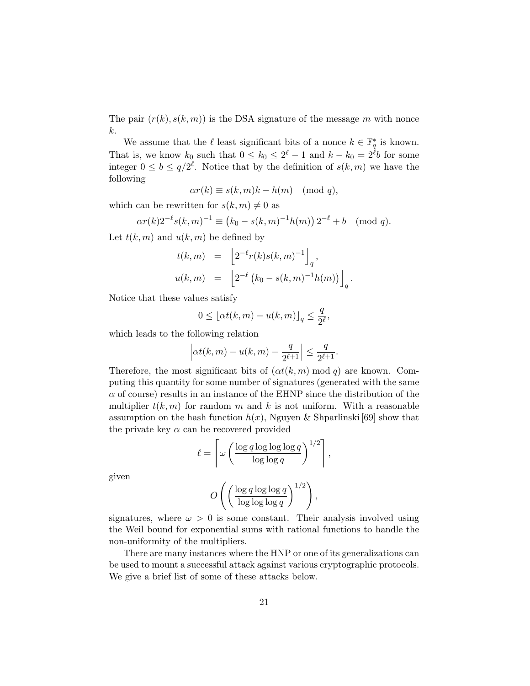The pair  $(r(k), s(k, m))$  is the DSA signature of the message m with nonce k.

We assume that the  $\ell$  least significant bits of a nonce  $k \in \mathbb{F}_q^*$  is known. That is, we know  $k_0$  such that  $0 \leq k_0 \leq 2^{\ell} - 1$  and  $k - k_0 = 2^{\ell}b$  for some integer  $0 \leq b \leq q/2^{\ell}$ . Notice that by the definition of  $s(k,m)$  we have the following

$$
\alpha r(k) \equiv s(k, m)k - h(m) \pmod{q},
$$

which can be rewritten for  $s(k, m) \neq 0$  as

$$
\alpha r(k) 2^{-\ell} s(k,m)^{-1} \equiv (k_0 - s(k,m)^{-1} h(m)) 2^{-\ell} + b \pmod{q}.
$$

Let  $t(k, m)$  and  $u(k, m)$  be defined by

$$
t(k,m) = \left[2^{-\ell}r(k)s(k,m)^{-1}\right]_q,
$$
  

$$
u(k,m) = \left[2^{-\ell}(k_0 - s(k,m)^{-1}h(m))\right]_q.
$$

Notice that these values satisfy

$$
0 \le \lfloor \alpha t(k,m) - u(k,m) \rfloor_q \le \frac{q}{2^{\ell}},
$$

which leads to the following relation

$$
\left| \alpha t(k, m) - u(k, m) - \frac{q}{2^{\ell+1}} \right| \le \frac{q}{2^{\ell+1}}.
$$

Therefore, the most significant bits of  $(\alpha t(k, m) \mod q)$  are known. Computing this quantity for some number of signatures (generated with the same  $\alpha$  of course) results in an instance of the EHNP since the distribution of the multiplier  $t(k, m)$  for random m and k is not uniform. With a reasonable assumption on the hash function  $h(x)$ , Nguyen & Shparlinski [69] show that the private key  $\alpha$  can be recovered provided

$$
\ell = \left\lceil \omega \left( \frac{\log q \log \log \log q}{\log \log q} \right)^{1/2} \right\rceil,
$$

given

$$
O\left(\left(\frac{\log q \log \log q}{\log \log \log q}\right)^{1/2}\right),\right)
$$

signatures, where  $\omega > 0$  is some constant. Their analysis involved using the Weil bound for exponential sums with rational functions to handle the non-uniformity of the multipliers.

There are many instances where the HNP or one of its generalizations can be used to mount a successful attack against various cryptographic protocols. We give a brief list of some of these attacks below.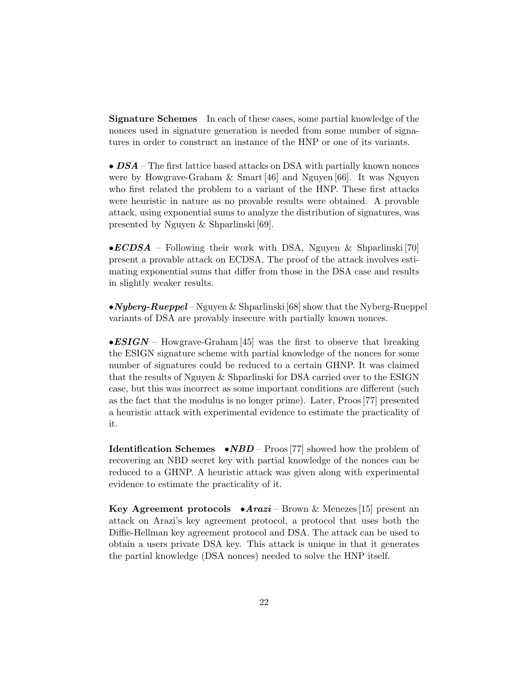Signature Schemes In each of these cases, some partial knowledge of the nonces used in signature generation is needed from some number of signatures in order to construct an instance of the HNP or one of its variants.

•  $DSA$  – The first lattice based attacks on DSA with partially known nonces were by Howgrave-Graham & Smart [46] and Nguyen [66]. It was Nguyen who first related the problem to a variant of the HNP. These first attacks were heuristic in nature as no provable results were obtained. A provable attack, using exponential sums to analyze the distribution of signatures, was presented by Nguyen & Shparlinski [69].

 $\bullet ECDSA$  – Following their work with DSA, Nguyen & Shparlinski [70] present a provable attack on ECDSA. The proof of the attack involves estimating exponential sums that differ from those in the DSA case and results in slightly weaker results.

• Nyberg-Rueppel – Nguyen & Shparlinski [68] show that the Nyberg-Rueppel variants of DSA are provably insecure with partially known nonces.

 $\bullet ESIGN - However-Graham [45]$  was the first to observe that breaking the ESIGN signature scheme with partial knowledge of the nonces for some number of signatures could be reduced to a certain GHNP. It was claimed that the results of Nguyen & Shparlinski for DSA carried over to the ESIGN case, but this was incorrect as some important conditions are different (such as the fact that the modulus is no longer prime). Later, Proos [77] presented a heuristic attack with experimental evidence to estimate the practicality of it.

**Identification Schemes**  $\bullet NBD$  – Proos [77] showed how the problem of recovering an NBD secret key with partial knowledge of the nonces can be reduced to a GHNP. A heuristic attack was given along with experimental evidence to estimate the practicality of it.

Key Agreement protocols  $\bullet \text{Arazi} - \text{Brown} \& \text{Menezes}$  [15] present an attack on Arazi's key agreement protocol, a protocol that uses both the Diffie-Hellman key agreement protocol and DSA. The attack can be used to obtain a users private DSA key. This attack is unique in that it generates the partial knowledge (DSA nonces) needed to solve the HNP itself.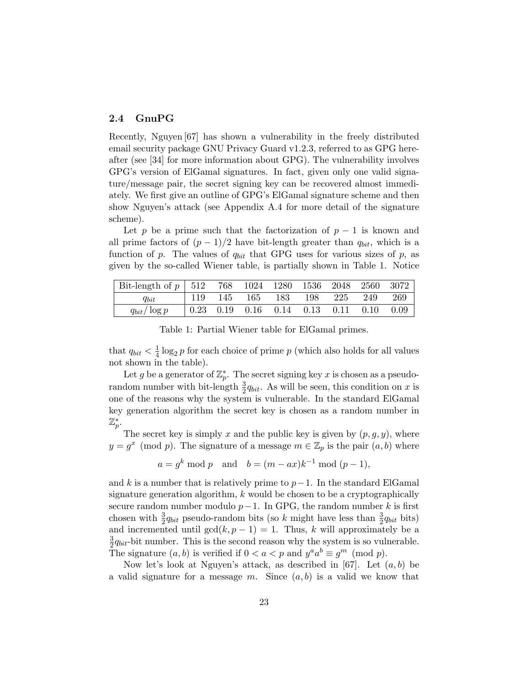#### 2.4 GnuPG

Recently, Nguyen [67] has shown a vulnerability in the freely distributed email security package GNU Privacy Guard v1.2.3, referred to as GPG hereafter (see [34] for more information about GPG). The vulnerability involves GPG's version of ElGamal signatures. In fact, given only one valid signature/message pair, the secret signing key can be recovered almost immediately. We first give an outline of GPG's ElGamal signature scheme and then show Nguyen's attack (see Appendix A.4 for more detail of the signature scheme).

Let p be a prime such that the factorization of  $p-1$  is known and all prime factors of  $(p-1)/2$  have bit-length greater than  $q_{bit}$ , which is a function of p. The values of  $q_{bit}$  that GPG uses for various sizes of p, as given by the so-called Wiener table, is partially shown in Table 1. Notice

| Bit-length of $p \mid 512$ |     | 768 |     | 1024 1280                          | 1536 2048 |      | 2560 | 3072 |
|----------------------------|-----|-----|-----|------------------------------------|-----------|------|------|------|
| $q_{bit}$                  | 119 | 145 | 165 | 183                                | 198       | 225  | 249  | 269  |
| $q_{bit}/\log p$           |     |     |     | $0.23$ $0.19$ $0.16$ $0.14$ $0.13$ |           | 0.11 | 0.10 | 0.09 |

Table 1: Partial Wiener table for ElGamal primes.

that  $q_{bit} < \frac{1}{4}$  $\frac{1}{4} \log_2 p$  for each choice of prime p (which also holds for all values not shown in the table).

Let g be a generator of  $\mathbb{Z}_p^*$ . The secret signing key x is chosen as a pseudorandom number with bit-length  $\frac{3}{2}q_{bit}$ . As will be seen, this condition on x is one of the reasons why the system is vulnerable. In the standard ElGamal key generation algorithm the secret key is chosen as a random number in  $\mathbb{Z}_p^*.$ 

The secret key is simply x and the public key is given by  $(p, g, y)$ , where  $y = g^x \pmod{p}$ . The signature of a message  $m \in \mathbb{Z}_p$  is the pair  $(a, b)$  where

$$
a = g^k \mod p
$$
 and  $b = (m - ax)k^{-1} \mod (p-1)$ ,

and k is a number that is relatively prime to  $p-1$ . In the standard ElGamal signature generation algorithm,  $k$  would be chosen to be a cryptographically secure random number modulo  $p-1$ . In GPG, the random number k is first chosen with  $\frac{3}{2}q_{bit}$  pseudo-random bits (so k might have less than  $\frac{3}{2}q_{bit}$  bits) and incremented until  $gcd(k, p - 1) = 1$ . Thus, k will approximately be a 3  $\frac{3}{2}q_{bit}$ -bit number. This is the second reason why the system is so vulnerable. The signature  $(a, b)$  is verified if  $0 < a < p$  and  $y^a a^b \equiv g^m \pmod{p}$ .

Now let's look at Nguyen's attack, as described in [67]. Let  $(a, b)$  be a valid signature for a message m. Since  $(a, b)$  is a valid we know that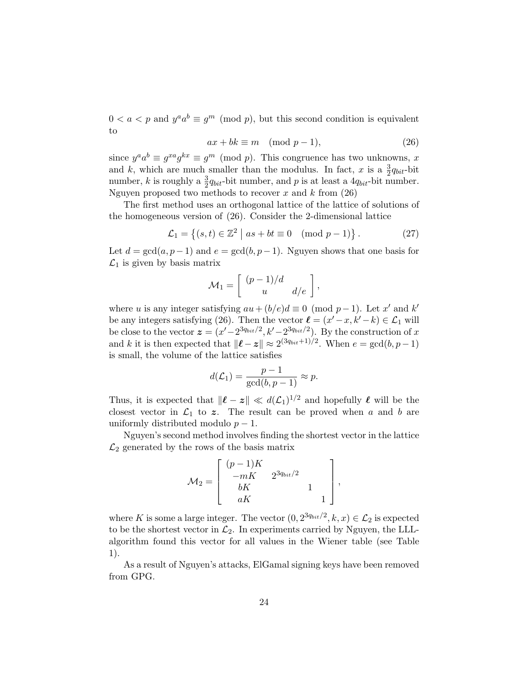$0 < a < p$  and  $y^a a^b \equiv g^m \pmod{p}$ , but this second condition is equivalent to

$$
ax + bk \equiv m \pmod{p-1},\tag{26}
$$

since  $y^a a^b \equiv g^{xa} g^{kx} \equiv g^m \pmod{p}$ . This congruence has two unknowns, x and k, which are much smaller than the modulus. In fact, x is a  $\frac{3}{2}q_{bit}$ -bit number, k is roughly a  $\frac{3}{2}q_{bit}$ -bit number, and p is at least a  $4q_{bit}$ -bit number. Nguyen proposed two methods to recover  $x$  and  $k$  from  $(26)$ 

The first method uses an orthogonal lattice of the lattice of solutions of the homogeneous version of (26). Consider the 2-dimensional lattice

$$
\mathcal{L}_1 = \left\{ (s, t) \in \mathbb{Z}^2 \mid as + bt \equiv 0 \pmod{p - 1} \right\}. \tag{27}
$$

Let  $d = \gcd(a, p-1)$  and  $e = \gcd(b, p-1)$ . Nguyen shows that one basis for  $\mathcal{L}_1$  is given by basis matrix

$$
\mathcal{M}_1 = \left[ \begin{array}{cc} (p-1)/d & \\ u & d/e \end{array} \right],
$$

where u is any integer satisfying  $au + (b/e)d \equiv 0 \pmod{p-1}$ . Let x' and k' be any integers satisfying (26). Then the vector  $\ell = (x'-x, k'-k) \in \mathcal{L}_1$  will be close to the vector  $\boldsymbol{z} = (x'-2^{3q_{bit}/2}, k'-2^{3q_{bit}/2})$ . By the construction of x and k it is then expected that  $\|\ell - z\| \approx 2^{(3q_{bit}+1)/2}$ . When  $e = \gcd(b, p-1)$ is small, the volume of the lattice satisfies

$$
d(\mathcal{L}_1) = \frac{p-1}{\gcd(b, p-1)} \approx p.
$$

Thus, it is expected that  $\|\ell - z\| \ll d(\mathcal{L}_1)^{1/2}$  and hopefully  $\ell$  will be the closest vector in  $\mathcal{L}_1$  to z. The result can be proved when a and b are uniformly distributed modulo  $p-1$ .

Nguyen's second method involves finding the shortest vector in the lattice  $\mathcal{L}_2$  generated by the rows of the basis matrix

$$
\mathcal{M}_2 = \begin{bmatrix} (p-1)K & & \\ -mK & 2^{3q_{bit}/2} & \\ bK & & 1 \\ aK & & 1 \end{bmatrix},
$$

where K is some a large integer. The vector  $(0, 2^{3q_{bit}/2}, k, x) \in \mathcal{L}_2$  is expected to be the shortest vector in  $\mathcal{L}_2$ . In experiments carried by Nguyen, the LLLalgorithm found this vector for all values in the Wiener table (see Table 1).

As a result of Nguyen's attacks, ElGamal signing keys have been removed from GPG.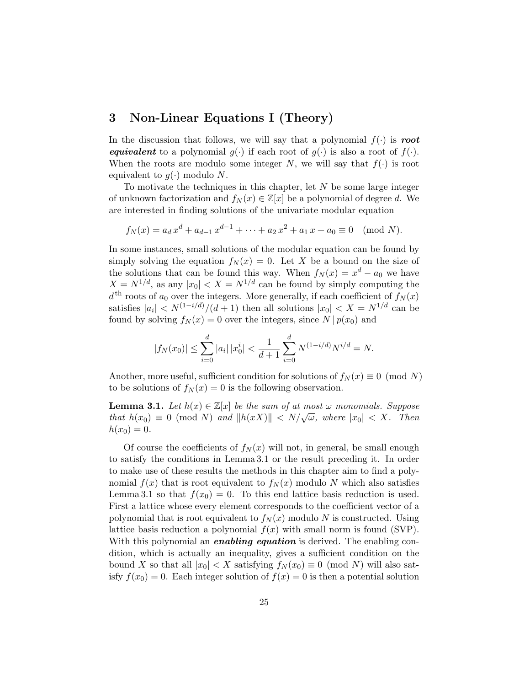# 3 Non-Linear Equations I (Theory)

In the discussion that follows, we will say that a polynomial  $f(\cdot)$  is root equivalent to a polynomial  $g(\cdot)$  if each root of  $g(\cdot)$  is also a root of  $f(\cdot)$ . When the roots are modulo some integer N, we will say that  $f(\cdot)$  is root equivalent to  $q(\cdot)$  modulo N.

To motivate the techniques in this chapter, let  $N$  be some large integer of unknown factorization and  $f_N(x) \in \mathbb{Z}[x]$  be a polynomial of degree d. We are interested in finding solutions of the univariate modular equation

$$
f_N(x) = a_d x^d + a_{d-1} x^{d-1} + \dots + a_2 x^2 + a_1 x + a_0 \equiv 0 \pmod{N}.
$$

In some instances, small solutions of the modular equation can be found by simply solving the equation  $f_N(x) = 0$ . Let X be a bound on the size of the solutions that can be found this way. When  $f_N(x) = x^d - a_0$  we have  $X = N^{1/d}$ , as any  $|x_0| < X = N^{1/d}$  can be found by simply computing the  $d<sup>th</sup>$  roots of  $a<sub>0</sub>$  over the integers. More generally, if each coefficient of  $f<sub>N</sub>(x)$ satisfies  $|a_i| < N^{(1-i/d)}/(d+1)$  then all solutions  $|x_0| < X = N^{1/d}$  can be found by solving  $f_N(x) = 0$  over the integers, since  $N | p(x_0)$  and

$$
|f_N(x_0)| \le \sum_{i=0}^d |a_i| |x_0^i| < \frac{1}{d+1} \sum_{i=0}^d N^{(1-i/d)} N^{i/d} = N.
$$

Another, more useful, sufficient condition for solutions of  $f_N(x) \equiv 0 \pmod{N}$ to be solutions of  $f_N(x) = 0$  is the following observation.

**Lemma 3.1.** Let  $h(x) \in \mathbb{Z}[x]$  be the sum of at most  $\omega$  monomials. Suppose **EXECUTE:** Let  $h(x) \in \mathbb{Z}[x]$  be the same of at most  $\omega$  monomials. Suppose that  $h(x_0) \equiv 0 \pmod{N}$  and  $||h(xX)|| < N/\sqrt{\omega}$ , where  $|x_0| < X$ . Then  $h(x_0) = 0.$ 

Of course the coefficients of  $f_N(x)$  will not, in general, be small enough to satisfy the conditions in Lemma 3.1 or the result preceding it. In order to make use of these results the methods in this chapter aim to find a polynomial  $f(x)$  that is root equivalent to  $f_N(x)$  modulo N which also satisfies Lemma 3.1 so that  $f(x_0) = 0$ . To this end lattice basis reduction is used. First a lattice whose every element corresponds to the coefficient vector of a polynomial that is root equivalent to  $f_N(x)$  modulo N is constructed. Using lattice basis reduction a polynomial  $f(x)$  with small norm is found (SVP). With this polynomial an *enabling equation* is derived. The enabling condition, which is actually an inequality, gives a sufficient condition on the bound X so that all  $|x_0| < X$  satisfying  $f_N(x_0) \equiv 0 \pmod{N}$  will also satisfy  $f(x_0) = 0$ . Each integer solution of  $f(x) = 0$  is then a potential solution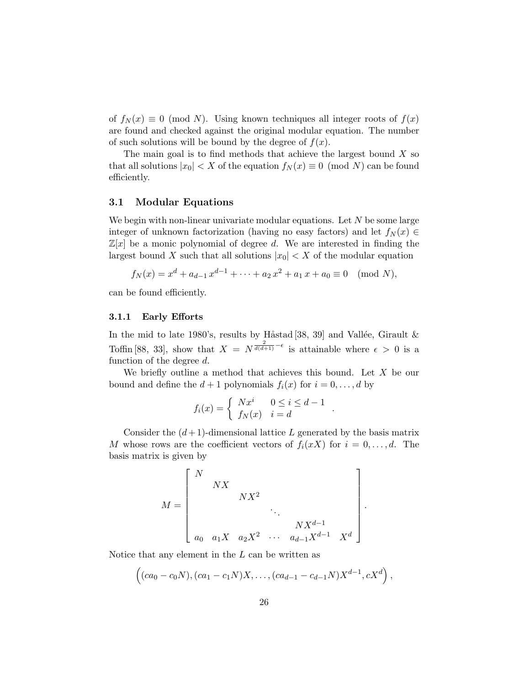of  $f_N(x) \equiv 0 \pmod{N}$ . Using known techniques all integer roots of  $f(x)$ are found and checked against the original modular equation. The number of such solutions will be bound by the degree of  $f(x)$ .

The main goal is to find methods that achieve the largest bound  $X$  so that all solutions  $|x_0| < X$  of the equation  $f_N(x) \equiv 0 \pmod{N}$  can be found efficiently.

#### 3.1 Modular Equations

We begin with non-linear univariate modular equations. Let  $N$  be some large integer of unknown factorization (having no easy factors) and let  $f_N(x) \in$  $\mathbb{Z}[x]$  be a monic polynomial of degree d. We are interested in finding the largest bound X such that all solutions  $|x_0| < X$  of the modular equation

$$
f_N(x) = x^d + a_{d-1}x^{d-1} + \dots + a_2x^2 + a_1x + a_0 \equiv 0 \pmod{N},
$$

can be found efficiently.

#### 3.1.1 Early Efforts

In the mid to late 1980's, results by Håstad [38, 39] and Vallée, Girault  $\&$ Toffin [88, 33], show that  $X = N^{\frac{2}{d(d+1)} - \epsilon}$  is attainable where  $\epsilon > 0$  is a function of the degree d.

We briefly outline a method that achieves this bound. Let  $X$  be our bound and define the  $d+1$  polynomials  $f_i(x)$  for  $i=0,\ldots,d$  by

$$
f_i(x) = \begin{cases} Nx^i & 0 \le i \le d-1 \\ f_N(x) & i = d \end{cases}.
$$

Consider the  $(d+1)$ -dimensional lattice L generated by the basis matrix M whose rows are the coefficient vectors of  $f_i(xX)$  for  $i = 0, \ldots, d$ . The basis matrix is given by

$$
M = \begin{bmatrix} N & & & & & \\ & N X & & & & \\ & & N X^2 & & \\ & & & \ddots & & \\ & & & & & N X^{d-1} \\ & & & & & & N X^{d-1} \\ a_0 & a_1 X & a_2 X^2 & \cdots & a_{d-1} X^{d-1} & X^d \end{bmatrix}
$$

.

Notice that any element in the  $L$  can be written as

$$
((ca_0 - c_0N), (ca_1 - c_1N)X, \ldots, (ca_{d-1} - c_{d-1}N)X^{d-1}, cX^d),
$$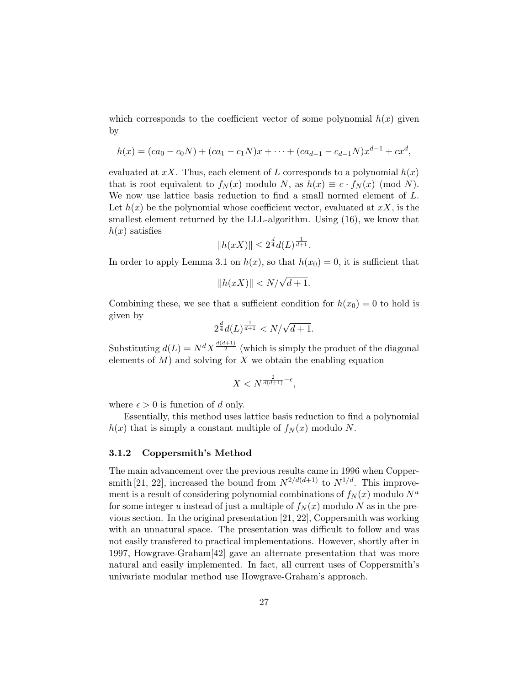which corresponds to the coefficient vector of some polynomial  $h(x)$  given by

$$
h(x) = (ca_0 - c_0N) + (ca_1 - c_1N)x + \cdots + (ca_{d-1} - c_{d-1}N)x^{d-1} + cx^d,
$$

evaluated at xX. Thus, each element of L corresponds to a polynomial  $h(x)$ that is root equivalent to  $f_N(x)$  modulo N, as  $h(x) \equiv c \cdot f_N(x) \pmod{N}$ . We now use lattice basis reduction to find a small normed element of L. Let  $h(x)$  be the polynomial whose coefficient vector, evaluated at  $xX$ , is the smallest element returned by the LLL-algorithm. Using (16), we know that  $h(x)$  satisfies

$$
||h(xX)|| \leq 2^{\frac{d}{4}}d(L)^{\frac{1}{d+1}}.
$$

In order to apply Lemma 3.1 on  $h(x)$ , so that  $h(x_0) = 0$ , it is sufficient that

$$
||h(xX)|| < N/\sqrt{d+1}.
$$

Combining these, we see that a sufficient condition for  $h(x_0) = 0$  to hold is given by

$$
2^{\frac{d}{4}}d(L)^{\frac{1}{d+1}} < N/\sqrt{d+1}.
$$

Substituting  $d(L) = N^d X^{\frac{d(d+1)}{2}}$  (which is simply the product of the diagonal elements of  $M$ ) and solving for  $X$  we obtain the enabling equation

$$
X
$$

where  $\epsilon > 0$  is function of d only.

Essentially, this method uses lattice basis reduction to find a polynomial  $h(x)$  that is simply a constant multiple of  $f_N(x)$  modulo N.

#### 3.1.2 Coppersmith's Method

The main advancement over the previous results came in 1996 when Coppersmith [21, 22], increased the bound from  $N^{2/d(d+1)}$  to  $N^{1/d}$ . This improvement is a result of considering polynomial combinations of  $f_N(x)$  modulo  $N^u$ for some integer u instead of just a multiple of  $f_N(x)$  modulo N as in the previous section. In the original presentation [21, 22], Coppersmith was working with an unnatural space. The presentation was difficult to follow and was not easily transfered to practical implementations. However, shortly after in 1997, Howgrave-Graham[42] gave an alternate presentation that was more natural and easily implemented. In fact, all current uses of Coppersmith's univariate modular method use Howgrave-Graham's approach.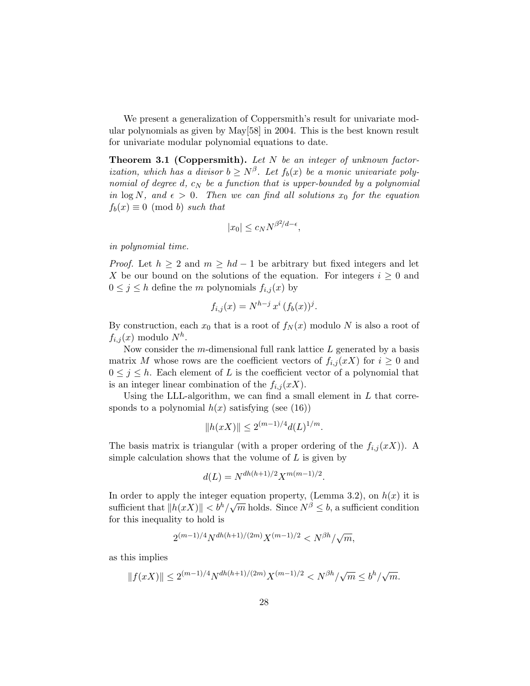We present a generalization of Coppersmith's result for univariate modular polynomials as given by May[58] in 2004. This is the best known result for univariate modular polynomial equations to date.

**Theorem 3.1 (Coppersmith).** Let  $N$  be an integer of unknown factorization, which has a divisor  $b \geq N^{\beta}$ . Let  $f_b(x)$  be a monic univariate polynomial of degree d,  $c_N$  be a function that is upper-bounded by a polynomial in  $\log N$ , and  $\epsilon > 0$ . Then we can find all solutions  $x_0$  for the equation  $f_b(x) \equiv 0 \pmod{b}$  such that

$$
|x_0| \le c_N N^{\beta^2/d - \epsilon},
$$

in polynomial time.

*Proof.* Let  $h \geq 2$  and  $m \geq hd - 1$  be arbitrary but fixed integers and let X be our bound on the solutions of the equation. For integers  $i \geq 0$  and  $0 \leq j \leq h$  define the m polynomials  $f_{i,j}(x)$  by

$$
f_{i,j}(x) = N^{h-j} x^i (f_b(x))^j.
$$

By construction, each  $x_0$  that is a root of  $f_N(x)$  modulo N is also a root of  $f_{i,j}(x)$  modulo  $N^h$ .

Now consider the m-dimensional full rank lattice  $L$  generated by a basis matrix M whose rows are the coefficient vectors of  $f_{i,j}(xX)$  for  $i \geq 0$  and  $0 \leq j \leq h$ . Each element of L is the coefficient vector of a polynomial that is an integer linear combination of the  $f_{i,j}(xX)$ .

Using the LLL-algorithm, we can find a small element in  $L$  that corresponds to a polynomial  $h(x)$  satisfying (see (16))

$$
||h(xX)|| \le 2^{(m-1)/4} d(L)^{1/m}.
$$

The basis matrix is triangular (with a proper ordering of the  $f_{i,j}(xX)$ ). A simple calculation shows that the volume of  $L$  is given by

$$
d(L) = N^{dh(h+1)/2} X^{m(m-1)/2}.
$$

In order to apply the integer equation property, (Lemma 3.2), on  $h(x)$  it is in order to apply the integer equation property, (Lemma 3.2), on  $h(x)$  it is<br>sufficient that  $||h(xX)|| < b<sup>h</sup>/\sqrt{m}$  holds. Since  $N<sup>\beta</sup> \le b$ , a sufficient condition for this inequality to hold is

$$
2^{(m-1)/4}N^{dh(h+1)/(2m)}X^{(m-1)/2} < N^{\beta h}/\sqrt{m},
$$

as this implies

$$
||f(xX)|| \le 2^{(m-1)/4} N^{dh(h+1)/(2m)} X^{(m-1)/2} < N^{\beta h} / \sqrt{m} \le b^h / \sqrt{m}.
$$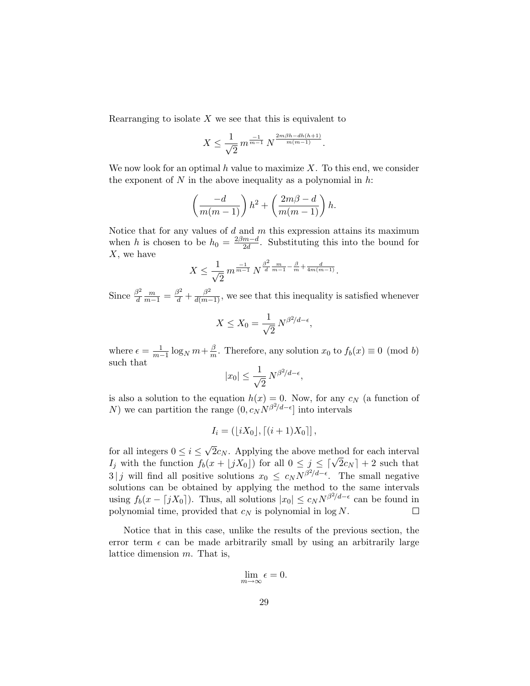Rearranging to isolate  $X$  we see that this is equivalent to

$$
X \le \frac{1}{\sqrt{2}} m^{\frac{-1}{m-1}} N^{\frac{2m\beta h - dh(h+1)}{m(m-1)}}.
$$

We now look for an optimal h value to maximize  $X$ . To this end, we consider the exponent of  $N$  in the above inequality as a polynomial in  $h$ .

$$
\left(\frac{-d}{m(m-1)}\right)h^2 + \left(\frac{2m\beta - d}{m(m-1)}\right)h.
$$

Notice that for any values of  $d$  and  $m$  this expression attains its maximum when h is chosen to be  $h_0 = \frac{2\beta m - d}{2d}$  $\frac{m-a}{2d}$ . Substituting this into the bound for  $X$ , we have

$$
X \le \frac{1}{\sqrt{2}} m^{\frac{-1}{m-1}} N^{\frac{\beta^2}{d} \frac{m}{m-1} - \frac{\beta}{m} + \frac{d}{4m(m-1)}}.
$$

Since  $\frac{\beta^2}{d}$ d  $\frac{m}{m-1} = \frac{\beta^2}{d} + \frac{\beta^2}{d(m-1)}$ , we see that this inequality is satisfied whenever

$$
X \le X_0 = \frac{1}{\sqrt{2}} N^{\beta^2/d - \epsilon},
$$

where  $\epsilon = \frac{1}{m-1} \log_N m + \frac{\beta}{m}$  $\frac{\beta}{m}$ . Therefore, any solution  $x_0$  to  $f_b(x) \equiv 0 \pmod{b}$ such that

$$
|x_0| \le \frac{1}{\sqrt{2}} N^{\beta^2/d - \epsilon},
$$

is also a solution to the equation  $h(x) = 0$ . Now, for any  $c<sub>N</sub>$  (a function of N) we can partition the range  $(0, c_N N^{\beta^2/d - \epsilon}]$  into intervals

$$
I_i = (\lfloor iX_0 \rfloor, \lceil (i+1)X_0 \rceil],
$$

√ for all integers  $0 \leq i \leq$  $2c_N$ . Applying the above method for each interval For all integers  $0 \leq i \leq \sqrt{2}c_N$ . Applying the above method for each interval  $I_j$  with the function  $f_b(x + \lfloor jX_0 \rfloor)$  for all  $0 \leq j \leq \lceil \sqrt{2}c_N \rceil + 2$  such that  $3|j$  will find all positive solutions  $x_0 \leq c_N N^{\beta^2/d - \epsilon}$ . The small negative solutions can be obtained by applying the method to the same intervals using  $f_b(x - \lceil jX_0 \rceil)$ . Thus, all solutions  $|x_0| \le c_N N^{\beta^2/d - \epsilon}$  can be found in polynomial time, provided that  $c_N$  is polynomial in log  $N$ .  $\Box$ 

Notice that in this case, unlike the results of the previous section, the error term  $\epsilon$  can be made arbitrarily small by using an arbitrarily large lattice dimension m. That is,

$$
\lim_{m \to \infty} \epsilon = 0.
$$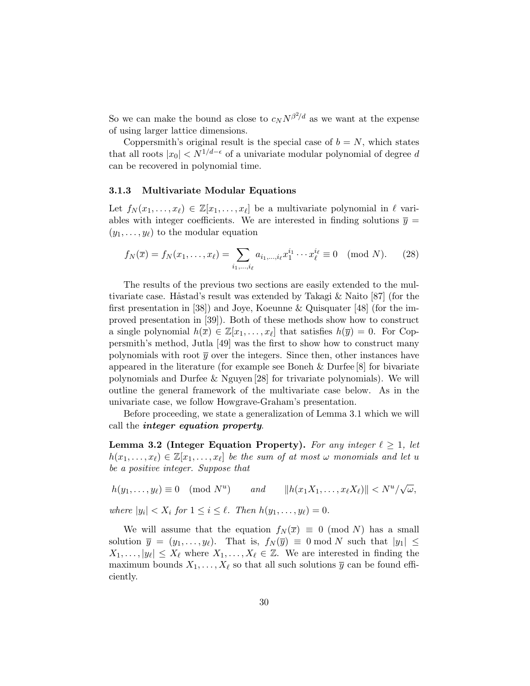So we can make the bound as close to  $c_N N^{\beta^2/d}$  as we want at the expense of using larger lattice dimensions.

Coppersmith's original result is the special case of  $b = N$ , which states that all roots  $|x_0| < N^{1/d-\epsilon}$  of a univariate modular polynomial of degree d can be recovered in polynomial time.

#### 3.1.3 Multivariate Modular Equations

Let  $f_N(x_1, \ldots, x_\ell) \in \mathbb{Z}[x_1, \ldots, x_\ell]$  be a multivariate polynomial in  $\ell$  variables with integer coefficients. We are interested in finding solutions  $\bar{y} =$  $(y_1, \ldots, y_\ell)$  to the modular equation

$$
f_N(\overline{x}) = f_N(x_1, \dots, x_\ell) = \sum_{i_1, \dots, i_\ell} a_{i_1, \dots, i_\ell} x_1^{i_1} \cdots x_\ell^{i_\ell} \equiv 0 \pmod{N}.
$$
 (28)

The results of the previous two sections are easily extended to the multivariate case. Håstad's result was extended by Takagi  $\&$  Naito [87] (for the first presentation in [38]) and Joye, Koeunne & Quisquater [48] (for the improved presentation in [39]). Both of these methods show how to construct a single polynomial  $h(\overline{x}) \in \mathbb{Z}[x_1,\ldots,x_\ell]$  that satisfies  $h(\overline{y}) = 0$ . For Coppersmith's method, Jutla [49] was the first to show how to construct many polynomials with root  $\bar{y}$  over the integers. Since then, other instances have appeared in the literature (for example see Boneh & Durfee [8] for bivariate polynomials and Durfee & Nguyen [28] for trivariate polynomials). We will outline the general framework of the multivariate case below. As in the univariate case, we follow Howgrave-Graham's presentation.

Before proceeding, we state a generalization of Lemma 3.1 which we will call the integer equation property.

**Lemma 3.2 (Integer Equation Property).** For any integer  $\ell \geq 1$ , let  $h(x_1, \ldots, x_\ell) \in \mathbb{Z}[x_1, \ldots, x_\ell]$  be the sum of at most  $\omega$  monomials and let u be a positive integer. Suppose that

 $h(y_1,\ldots,y_\ell)\equiv 0\pmod{N^u}$ ) and  $||h(x_1X_1, ..., x_\ell X_\ell)|| < N^u/$ √ ω,

where  $|y_i| < X_i$  for  $1 \leq i \leq \ell$ . Then  $h(y_1, \ldots, y_\ell) = 0$ .

We will assume that the equation  $f_N(\overline{x}) \equiv 0 \pmod{N}$  has a small solution  $\overline{y} = (y_1, \ldots, y_\ell)$ . That is,  $f_N(\overline{y}) \equiv 0 \mod N$  such that  $|y_1| \leq$  $X_1, \ldots, |y_\ell| \leq X_\ell$  where  $X_1, \ldots, X_\ell \in \mathbb{Z}$ . We are interested in finding the maximum bounds  $X_1, \ldots, X_\ell$  so that all such solutions  $\overline{y}$  can be found efficiently.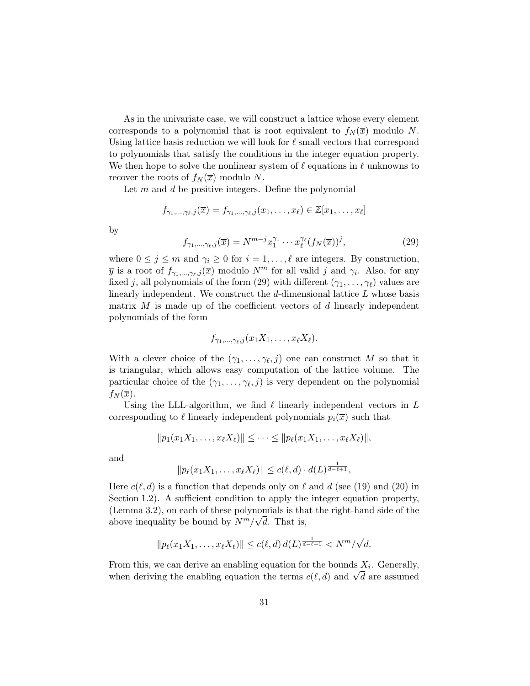As in the univariate case, we will construct a lattice whose every element corresponds to a polynomial that is root equivalent to  $f_N(\overline{x})$  modulo N. Using lattice basis reduction we will look for  $\ell$  small vectors that correspond to polynomials that satisfy the conditions in the integer equation property. We then hope to solve the nonlinear system of  $\ell$  equations in  $\ell$  unknowns to recover the roots of  $f_N(\overline{x})$  modulo N.

Let  $m$  and  $d$  be positive integers. Define the polynomial

$$
f_{\gamma_1,\ldots,\gamma_\ell,j}(\overline{x})=f_{\gamma_1,\ldots,\gamma_\ell,j}(x_1,\ldots,x_\ell)\in\mathbb{Z}[x_1,\ldots,x_\ell]
$$

by

$$
f_{\gamma_1,\ldots,\gamma_\ell,j}(\overline{x}) = N^{m-j} x_1^{\gamma_1} \cdots x_\ell^{\gamma_\ell} (f_N(\overline{x}))^j,
$$
\n(29)

where  $0 \leq j \leq m$  and  $\gamma_i \geq 0$  for  $i = 1, \ldots, \ell$  are integers. By construction,  $\overline{y}$  is a root of  $f_{\gamma_1,\dots,\gamma_\ell,j}(\overline{x})$  modulo  $N^m$  for all valid j and  $\gamma_i$ . Also, for any fixed j, all polynomials of the form (29) with different  $(\gamma_1, \ldots, \gamma_\ell)$  values are linearly independent. We construct the  $d$ -dimensional lattice  $L$  whose basis matrix  $M$  is made up of the coefficient vectors of  $d$  linearly independent polynomials of the form

$$
f_{\gamma_1,\ldots,\gamma_\ell,j}(x_1X_1,\ldots,x_\ell X_\ell).
$$

With a clever choice of the  $(\gamma_1, \ldots, \gamma_\ell, j)$  one can construct M so that it is triangular, which allows easy computation of the lattice volume. The particular choice of the  $(\gamma_1, \ldots, \gamma_\ell, j)$  is very dependent on the polynomial  $f_N(\overline{x})$ .

Using the LLL-algorithm, we find  $\ell$  linearly independent vectors in  $L$ corresponding to  $\ell$  linearly independent polynomials  $p_i(\bar{x})$  such that

$$
||p_1(x_1X_1,...,x_{\ell}X_{\ell})|| \leq \cdots \leq ||p_{\ell}(x_1X_1,...,x_{\ell}X_{\ell})||,
$$

and

$$
||p_{\ell}(x_1X_1,\ldots,x_{\ell}X_{\ell})|| \leq c(\ell,d) \cdot d(L)^{\frac{1}{d-\ell+1}},
$$

Here  $c(\ell, d)$  is a function that depends only on  $\ell$  and  $d$  (see (19) and (20) in Section 1.2). A sufficient condition to apply the integer equation property, (Lemma 3.2), on each of these polynomials is that the right-hand side of the above inequality be bound by  $N^m/\sqrt{d}$ . That is,

$$
||p_{\ell}(x_1X_1,\ldots,x_{\ell}X_{\ell})|| \le c(\ell,d) d(L)^{\frac{1}{d-\ell+1}} < N^m/\sqrt{d}.
$$

From this, we can derive an enabling equation for the bounds  $X_i$ . Generally, From this, we can derive an enabling equation for the bounds  $\lambda_i$ . Generally, when deriving the enabling equation the terms  $c(\ell, d)$  and  $\sqrt{d}$  are assumed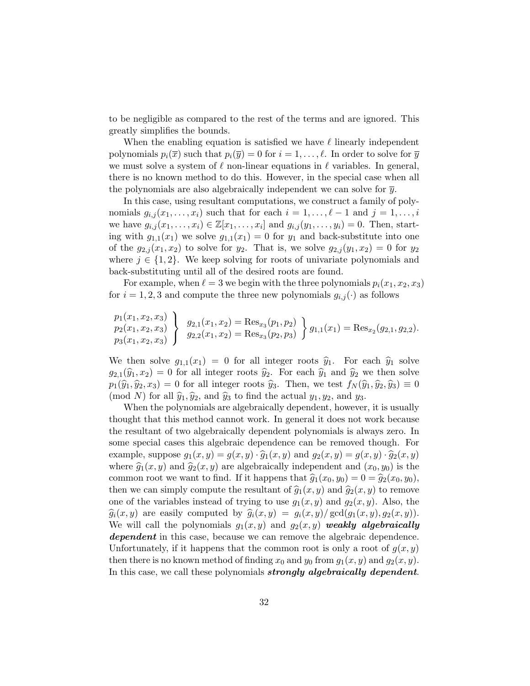to be negligible as compared to the rest of the terms and are ignored. This greatly simplifies the bounds.

When the enabling equation is satisfied we have  $\ell$  linearly independent polynomials  $p_i(\overline{x})$  such that  $p_i(\overline{y}) = 0$  for  $i = 1, \ldots, \ell$ . In order to solve for  $\overline{y}$ we must solve a system of  $\ell$  non-linear equations in  $\ell$  variables. In general, there is no known method to do this. However, in the special case when all the polynomials are also algebraically independent we can solve for  $\bar{y}$ .

In this case, using resultant computations, we construct a family of polynomials  $g_{i,j}(x_1, \ldots, x_i)$  such that for each  $i = 1, \ldots, \ell - 1$  and  $j = 1, \ldots, i$ we have  $g_{i,j}(x_1,\ldots,x_i) \in \mathbb{Z}[x_1,\ldots,x_i]$  and  $g_{i,j}(y_1,\ldots,y_i) = 0$ . Then, starting with  $g_{1,1}(x_1)$  we solve  $g_{1,1}(x_1) = 0$  for  $y_1$  and back-substitute into one of the  $g_{2,j}(x_1, x_2)$  to solve for  $y_2$ . That is, we solve  $g_{2,j}(y_1, x_2) = 0$  for  $y_2$ where  $j \in \{1, 2\}$ . We keep solving for roots of univariate polynomials and back-substituting until all of the desired roots are found.

For example, when  $\ell = 3$  we begin with the three polynomials  $p_i(x_1, x_2, x_3)$ for  $i = 1, 2, 3$  and compute the three new polynomials  $g_{i,j}(\cdot)$  as follows

$$
\begin{array}{c}\np_1(x_1, x_2, x_3) \\
p_2(x_1, x_2, x_3) \\
p_3(x_1, x_2, x_3)\n\end{array}\n\bigg\}\n\begin{array}{c}\ng_{2,1}(x_1, x_2) = \text{Res}_{x_3}(p_1, p_2) \\
g_{2,2}(x_1, x_2) = \text{Res}_{x_3}(p_2, p_3)\n\end{array}\n\bigg\}\n\begin{array}{c}\ng_{1,1}(x_1) = \text{Res}_{x_2}(g_{2,1}, g_{2,2}).\n\end{array}
$$

We then solve  $g_{1,1}(x_1) = 0$  for all integer roots  $\hat{y}_1$ . For each  $\hat{y}_1$  solve  $g_{2,1}(\hat{y}_1, x_2) = 0$  for all integer roots  $\hat{y}_2$ . For each  $\hat{y}_1$  and  $\hat{y}_2$  we then solve  $p_1(\widehat{y}_1, \widehat{y}_2, x_3) = 0$  for all integer roots  $\widehat{y}_3$ . Then, we test  $f_N(\widehat{y}_1, \widehat{y}_2, \widehat{y}_3) \equiv 0$ (mod N) for all  $\hat{y}_1, \hat{y}_2$ , and  $\hat{y}_3$  to find the actual  $y_1, y_2$ , and  $y_3$ .

When the polynomials are algebraically dependent, however, it is usually thought that this method cannot work. In general it does not work because the resultant of two algebraically dependent polynomials is always zero. In some special cases this algebraic dependence can be removed though. For example, suppose  $g_1(x, y) = g(x, y) \cdot \hat{g}_1(x, y)$  and  $g_2(x, y) = g(x, y) \cdot \hat{g}_2(x, y)$ where  $\hat{g}_1(x, y)$  and  $\hat{g}_2(x, y)$  are algebraically independent and  $(x_0, y_0)$  is the common root we want to find. If it happens that  $\hat{g}_1(x_0, y_0) = 0 = \hat{g}_2(x_0, y_0)$ , then we can simply compute the resultant of  $\widehat{g}_1(x, y)$  and  $\widehat{g}_2(x, y)$  to remove one of the variables instead of trying to use  $g_1(x, y)$  and  $g_2(x, y)$ . Also, the  $\widehat{g}_i(x, y)$  are easily computed by  $\widehat{g}_i(x, y) = g_i(x, y)/\text{gcd}(g_1(x, y), g_2(x, y)).$ We will call the polynomials  $g_1(x, y)$  and  $g_2(x, y)$  weakly algebraically dependent in this case, because we can remove the algebraic dependence. Unfortunately, if it happens that the common root is only a root of  $g(x, y)$ then there is no known method of finding  $x_0$  and  $y_0$  from  $g_1(x, y)$  and  $g_2(x, y)$ . In this case, we call these polynomials *strongly algebraically dependent.*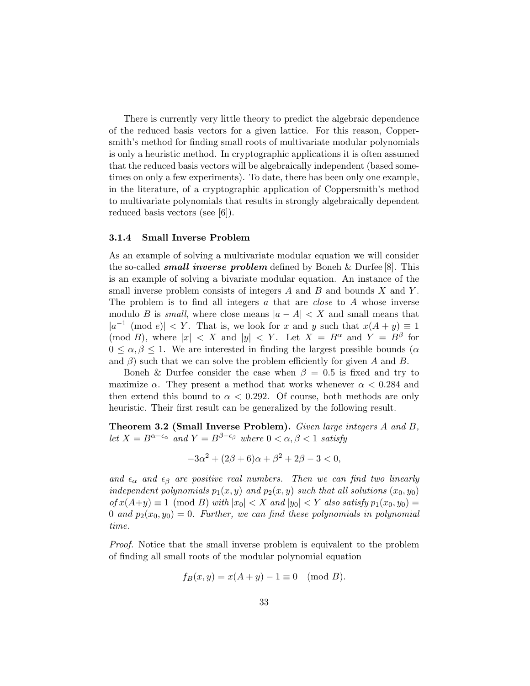There is currently very little theory to predict the algebraic dependence of the reduced basis vectors for a given lattice. For this reason, Coppersmith's method for finding small roots of multivariate modular polynomials is only a heuristic method. In cryptographic applications it is often assumed that the reduced basis vectors will be algebraically independent (based sometimes on only a few experiments). To date, there has been only one example, in the literature, of a cryptographic application of Coppersmith's method to multivariate polynomials that results in strongly algebraically dependent reduced basis vectors (see [6]).

#### 3.1.4 Small Inverse Problem

As an example of solving a multivariate modular equation we will consider the so-called *small inverse problem* defined by Boneh & Durfee  $[8]$ . This is an example of solving a bivariate modular equation. An instance of the small inverse problem consists of integers  $A$  and  $B$  and bounds  $X$  and  $Y$ . The problem is to find all integers a that are *close* to A whose inverse modulo B is *small*, where close means  $|a - A| < X$  and small means that  $|a^{-1} \pmod{e}| < Y$ . That is, we look for x and y such that  $x(A + y) \equiv 1$ (mod B), where  $|x| < X$  and  $|y| < Y$ . Let  $X = B^{\alpha}$  and  $Y = B^{\beta}$  for  $0 \leq \alpha, \beta \leq 1$ . We are interested in finding the largest possible bounds ( $\alpha$ and  $\beta$ ) such that we can solve the problem efficiently for given A and B.

Boneh & Durfee consider the case when  $\beta = 0.5$  is fixed and try to maximize  $\alpha$ . They present a method that works whenever  $\alpha < 0.284$  and then extend this bound to  $\alpha < 0.292$ . Of course, both methods are only heuristic. Their first result can be generalized by the following result.

Theorem 3.2 (Small Inverse Problem). Given large integers A and B, let  $X = B^{\alpha-\epsilon_{\alpha}}$  and  $Y = B^{\beta-\epsilon_{\beta}}$  where  $0 < \alpha, \beta < 1$  satisfy

$$
-3\alpha^2 + (2\beta + 6)\alpha + \beta^2 + 2\beta - 3 < 0,
$$

and  $\epsilon_{\alpha}$  and  $\epsilon_{\beta}$  are positive real numbers. Then we can find two linearly independent polynomials  $p_1(x, y)$  and  $p_2(x, y)$  such that all solutions  $(x_0, y_0)$  $of x(A+y) \equiv 1 \pmod{B}$  with  $|x_0| < X$  and  $|y_0| < Y$  also satisfy  $p_1(x_0, y_0) =$ 0 and  $p_2(x_0, y_0) = 0$ . Further, we can find these polynomials in polynomial time.

Proof. Notice that the small inverse problem is equivalent to the problem of finding all small roots of the modular polynomial equation

$$
f_B(x, y) = x(A + y) - 1 \equiv 0 \pmod{B}.
$$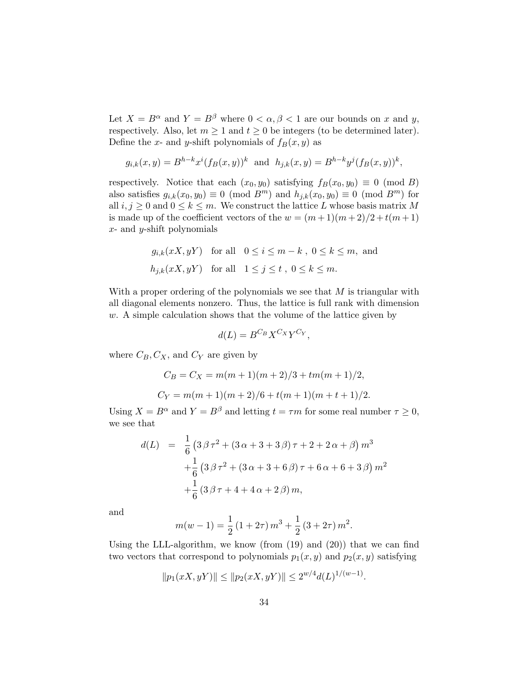Let  $X = B^{\alpha}$  and  $Y = B^{\beta}$  where  $0 < \alpha, \beta < 1$  are our bounds on x and y, respectively. Also, let  $m \geq 1$  and  $t \geq 0$  be integers (to be determined later). Define the x- and y-shift polynomials of  $f_B(x, y)$  as

$$
g_{i,k}(x,y) = B^{h-k} x^{i} (f_B(x,y))^{k}
$$
 and  $h_{j,k}(x,y) = B^{h-k} y^{j} (f_B(x,y))^{k}$ ,

respectively. Notice that each  $(x_0, y_0)$  satisfying  $f_B(x_0, y_0) \equiv 0 \pmod{B}$ also satisfies  $g_{i,k}(x_0, y_0) \equiv 0 \pmod{B^m}$  and  $h_{j,k}(x_0, y_0) \equiv 0 \pmod{B^m}$  for all  $i, j \geq 0$  and  $0 \leq k \leq m$ . We construct the lattice L whose basis matrix M is made up of the coefficient vectors of the  $w = (m+1)(m+2)/2 + t(m+1)$  $x$ - and  $y$ -shift polynomials

$$
g_{i,k}(xX, yY) \text{ for all } 0 \le i \le m - k, 0 \le k \le m, \text{ and}
$$
  

$$
h_{j,k}(xX, yY) \text{ for all } 1 \le j \le t, 0 \le k \le m.
$$

With a proper ordering of the polynomials we see that  $M$  is triangular with all diagonal elements nonzero. Thus, the lattice is full rank with dimension  $w$ . A simple calculation shows that the volume of the lattice given by

$$
d(L) = B^{C_B} X^{C_X} Y^{C_Y},
$$

where  $C_B, C_X$ , and  $C_Y$  are given by

$$
C_B = C_X = m(m+1)(m+2)/3 + tm(m+1)/2,
$$
  
\n
$$
C_Y = m(m+1)(m+2)/6 + t(m+1)(m+t+1)/2.
$$

Using  $X = B^{\alpha}$  and  $Y = B^{\beta}$  and letting  $t = \tau m$  for some real number  $\tau \geq 0$ , we see that

$$
d(L) = \frac{1}{6} \left( 3\beta \tau^2 + (3\alpha + 3 + 3\beta)\tau + 2 + 2\alpha + \beta \right) m^3
$$
  
+ 
$$
\frac{1}{6} \left( 3\beta \tau^2 + (3\alpha + 3 + 6\beta)\tau + 6\alpha + 6 + 3\beta \right) m^2
$$
  
+ 
$$
\frac{1}{6} \left( 3\beta \tau + 4 + 4\alpha + 2\beta \right) m,
$$

and

$$
m(w-1) = \frac{1}{2} (1 + 2\tau) m^{3} + \frac{1}{2} (3 + 2\tau) m^{2}.
$$

Using the LLL-algorithm, we know (from (19) and (20)) that we can find two vectors that correspond to polynomials  $p_1(x, y)$  and  $p_2(x, y)$  satisfying

$$
||p_1(xX, yY)|| \le ||p_2(xX, yY)|| \le 2^{w/4}d(L)^{1/(w-1)}.
$$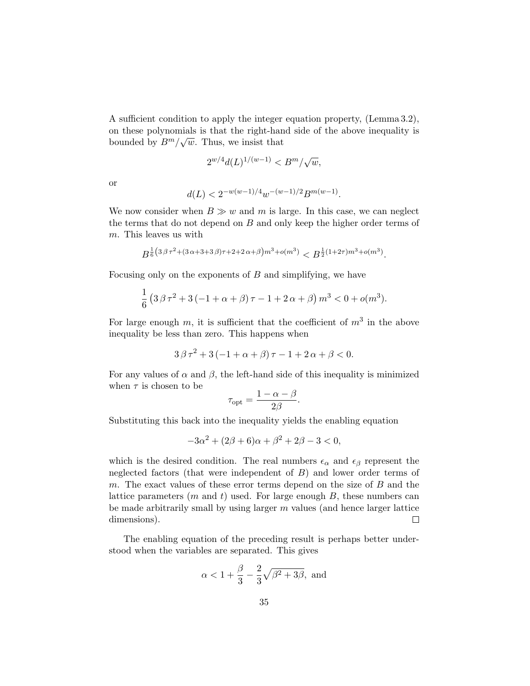A sufficient condition to apply the integer equation property, (Lemma 3.2), on these polynomials is that the right-hand side of the above inequality is bounded by  $B^m/\sqrt{w}$ . Thus, we insist that

$$
2^{w/4}d(L)^{1/(w-1)} < B^m/\sqrt{w},
$$

or

$$
d(L) < 2^{-w(w-1)/4} w^{-(w-1)/2} B^{m(w-1)}.
$$

We now consider when  $B \gg w$  and m is large. In this case, we can neglect the terms that do not depend on  $B$  and only keep the higher order terms of m. This leaves us with

$$
B^{\frac{1}{6}(3\beta\tau^2 + (3\alpha + 3 + 3\beta)\tau + 2 + 2\alpha + \beta)m^3 + o(m^3)} < B^{\frac{1}{2}(1+2\tau)m^3 + o(m^3)}.
$$

Focusing only on the exponents of  $B$  and simplifying, we have

$$
\frac{1}{6} \left( 3 \beta \tau^2 + 3(-1 + \alpha + \beta) \tau - 1 + 2 \alpha + \beta \right) m^3 < 0 + o(m^3).
$$

For large enough m, it is sufficient that the coefficient of  $m^3$  in the above inequality be less than zero. This happens when

$$
3\beta\tau^2 + 3(-1+\alpha+\beta)\tau - 1 + 2\alpha + \beta < 0.
$$

For any values of  $\alpha$  and  $\beta$ , the left-hand side of this inequality is minimized when  $\tau$  is chosen to be

$$
\tau_{\rm opt} = \frac{1 - \alpha - \beta}{2\beta}.
$$

Substituting this back into the inequality yields the enabling equation

$$
-3\alpha^2 + (2\beta + 6)\alpha + \beta^2 + 2\beta - 3 < 0,
$$

which is the desired condition. The real numbers  $\epsilon_{\alpha}$  and  $\epsilon_{\beta}$  represent the neglected factors (that were independent of  $B$ ) and lower order terms of m. The exact values of these error terms depend on the size of  $B$  and the lattice parameters  $(m \text{ and } t)$  used. For large enough  $B$ , these numbers can be made arbitrarily small by using larger  $m$  values (and hence larger lattice dimensions).  $\Box$ 

The enabling equation of the preceding result is perhaps better understood when the variables are separated. This gives

$$
\alpha < 1 + \frac{\beta}{3} - \frac{2}{3}\sqrt{\beta^2 + 3\beta}, \text{ and}
$$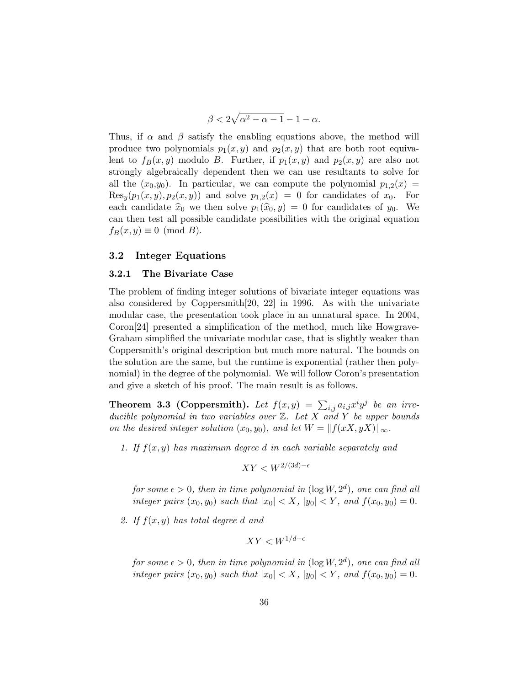$$
\beta < 2\sqrt{\alpha^2 - \alpha - 1} - 1 - \alpha.
$$

Thus, if  $\alpha$  and  $\beta$  satisfy the enabling equations above, the method will produce two polynomials  $p_1(x, y)$  and  $p_2(x, y)$  that are both root equivalent to  $f_B(x, y)$  modulo B. Further, if  $p_1(x, y)$  and  $p_2(x, y)$  are also not strongly algebraically dependent then we can use resultants to solve for all the  $(x_0,y_0)$ . In particular, we can compute the polynomial  $p_{1,2}(x) =$  $Res_y(p_1(x, y), p_2(x, y))$  and solve  $p_{1,2}(x) = 0$  for candidates of  $x_0$ . For each candidate  $\hat{x}_0$  we then solve  $p_1(\hat{x}_0, y) = 0$  for candidates of  $y_0$ . We can then test all possible candidate possibilities with the original equation  $f_B(x, y) \equiv 0 \pmod{B}$ .

#### 3.2 Integer Equations

#### 3.2.1 The Bivariate Case

The problem of finding integer solutions of bivariate integer equations was also considered by Coppersmith[20, 22] in 1996. As with the univariate modular case, the presentation took place in an unnatural space. In 2004, Coron[24] presented a simplification of the method, much like Howgrave-Graham simplified the univariate modular case, that is slightly weaker than Coppersmith's original description but much more natural. The bounds on the solution are the same, but the runtime is exponential (rather then polynomial) in the degree of the polynomial. We will follow Coron's presentation and give a sketch of his proof. The main result is as follows.

**Theorem 3.3 (Coppersmith).** Let  $f(x,y) = \sum_{i,j} a_{i,j} x^i y^j$  be an irreducible polynomial in two variables over  $\mathbb Z$ . Let X and Y be upper bounds on the desired integer solution  $(x_0, y_0)$ , and let  $W = ||f(xX, yX)||_{\infty}$ .

1. If  $f(x, y)$  has maximum degree d in each variable separately and

$$
XY < W^{2/(3d)-\epsilon}
$$

for some  $\epsilon > 0$ , then in time polynomial in  $(\log W, 2^d)$ , one can find all integer pairs  $(x_0, y_0)$  such that  $|x_0| < X$ ,  $|y_0| < Y$ , and  $f(x_0, y_0) = 0$ .

2. If  $f(x, y)$  has total degree d and

$$
XY < W^{1/d - \epsilon}
$$

for some  $\epsilon > 0$ , then in time polynomial in  $(\log W, 2^d)$ , one can find all integer pairs  $(x_0, y_0)$  such that  $|x_0| < X$ ,  $|y_0| < Y$ , and  $f(x_0, y_0) = 0$ .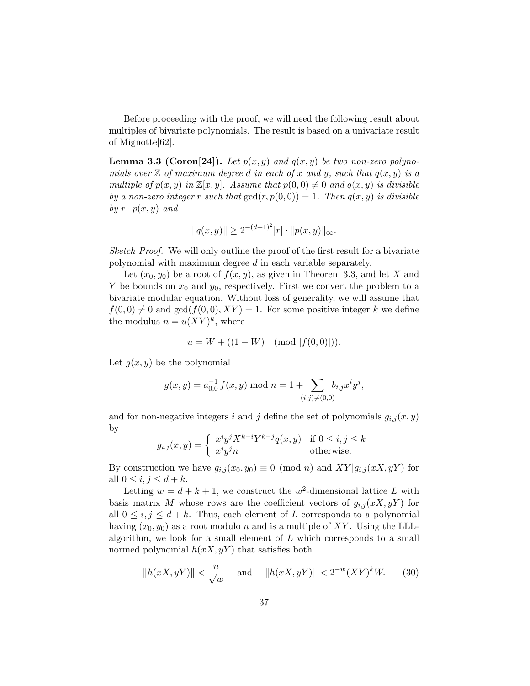Before proceeding with the proof, we will need the following result about multiples of bivariate polynomials. The result is based on a univariate result of Mignotte[62].

**Lemma 3.3 (Coron**[24]). Let  $p(x, y)$  and  $q(x, y)$  be two non-zero polynomials over  $\mathbb Z$  of maximum degree d in each of x and y, such that  $q(x, y)$  is a multiple of  $p(x, y)$  in  $\mathbb{Z}[x, y]$ . Assume that  $p(0, 0) \neq 0$  and  $q(x, y)$  is divisible by a non-zero integer r such that  $gcd(r, p(0, 0)) = 1$ . Then  $q(x, y)$  is divisible by  $r \cdot p(x, y)$  and

$$
||q(x,y)|| \ge 2^{-(d+1)^2}|r| \cdot ||p(x,y)||_{\infty}.
$$

Sketch Proof. We will only outline the proof of the first result for a bivariate polynomial with maximum degree d in each variable separately.

Let  $(x_0, y_0)$  be a root of  $f(x, y)$ , as given in Theorem 3.3, and let X and Y be bounds on  $x_0$  and  $y_0$ , respectively. First we convert the problem to a bivariate modular equation. Without loss of generality, we will assume that  $f(0, 0) \neq 0$  and  $gcd(f(0, 0), XY) = 1$ . For some positive integer k we define the modulus  $n = u(XY)^k$ , where

$$
u = W + ((1 - W) \pmod{|f(0, 0)|}).
$$

Let  $q(x, y)$  be the polynomial

$$
g(x, y) = a_{0,0}^{-1} f(x, y) \mod n = 1 + \sum_{(i,j) \neq (0,0)} b_{i,j} x^{i} y^{j},
$$

and for non-negative integers i and j define the set of polynomials  $g_{i,j}(x, y)$ by

$$
g_{i,j}(x,y) = \begin{cases} x^i y^j X^{k-i} Y^{k-j} q(x,y) & \text{if } 0 \le i, j \le k \\ x^i y^j n & \text{otherwise.} \end{cases}
$$

By construction we have  $g_{i,j}(x_0, y_0) \equiv 0 \pmod{n}$  and  $XY|g_{i,j}(xX, yY)$  for all  $0 \leq i, j \leq d+k$ .

Letting  $w = d + k + 1$ , we construct the  $w^2$ -dimensional lattice L with basis matrix M whose rows are the coefficient vectors of  $g_{i,j}(xX, yY)$  for all  $0 \leq i, j \leq d+k$ . Thus, each element of L corresponds to a polynomial having  $(x_0, y_0)$  as a root modulo n and is a multiple of XY. Using the LLLalgorithm, we look for a small element of  $L$  which corresponds to a small normed polynomial  $h(xX, yY)$  that satisfies both

$$
||h(xX, yY)|| < \frac{n}{\sqrt{w}} \quad \text{and} \quad ||h(xX, yY)|| < 2^{-w}(XY)^k W. \tag{30}
$$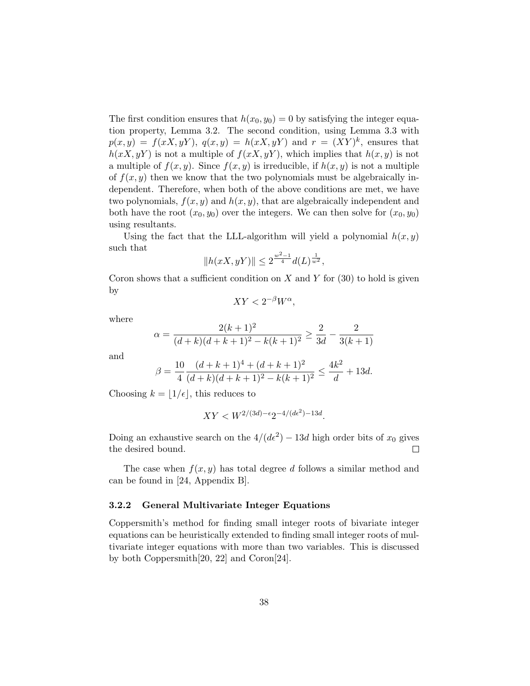The first condition ensures that  $h(x_0, y_0) = 0$  by satisfying the integer equation property, Lemma 3.2. The second condition, using Lemma 3.3 with  $p(x,y) = f(xX,yY), q(x,y) = h(xX,yY)$  and  $r = (XY)^k$ , ensures that  $h(xX, yY)$  is not a multiple of  $f(xX, yY)$ , which implies that  $h(x, y)$  is not a multiple of  $f(x, y)$ . Since  $f(x, y)$  is irreducible, if  $h(x, y)$  is not a multiple of  $f(x, y)$  then we know that the two polynomials must be algebraically independent. Therefore, when both of the above conditions are met, we have two polynomials,  $f(x, y)$  and  $h(x, y)$ , that are algebraically independent and both have the root  $(x_0, y_0)$  over the integers. We can then solve for  $(x_0, y_0)$ using resultants.

Using the fact that the LLL-algorithm will yield a polynomial  $h(x, y)$ such that

$$
||h(xX, yY)|| \leq 2^{\frac{w^2-1}{4}} d(L)^{\frac{1}{w^2}},
$$

Coron shows that a sufficient condition on X and Y for  $(30)$  to hold is given by

$$
XY < 2^{-\beta}W^{\alpha},
$$

where

$$
\alpha = \frac{2(k+1)^2}{(d+k)(d+k+1)^2 - k(k+1)^2} \ge \frac{2}{3d} - \frac{2}{3(k+1)}
$$

and

$$
\beta = \frac{10}{4} \frac{(d+k+1)^4 + (d+k+1)^2}{(d+k)(d+k+1)^2 - k(k+1)^2} \le \frac{4k^2}{d} + 13d.
$$

Choosing  $k = \lfloor 1/\epsilon \rfloor$ , this reduces to

$$
XY < W^{2/(3d) - \epsilon} 2^{-4/(d\epsilon^2) - 13d}.
$$

Doing an exhaustive search on the  $4/(d\epsilon^2) - 13d$  high order bits of  $x_0$  gives the desired bound.  $\Box$ 

The case when  $f(x, y)$  has total degree d follows a similar method and can be found in [24, Appendix B].

#### 3.2.2 General Multivariate Integer Equations

Coppersmith's method for finding small integer roots of bivariate integer equations can be heuristically extended to finding small integer roots of multivariate integer equations with more than two variables. This is discussed by both Coppersmith[20, 22] and Coron[24].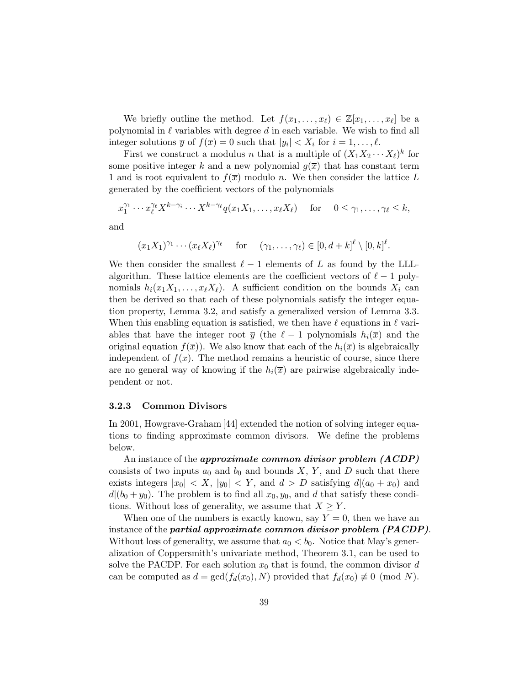We briefly outline the method. Let  $f(x_1, \ldots, x_\ell) \in \mathbb{Z}[x_1, \ldots, x_\ell]$  be a polynomial in  $\ell$  variables with degree d in each variable. We wish to find all integer solutions  $\overline{y}$  of  $f(\overline{x}) = 0$  such that  $|y_i| < X_i$  for  $i = 1, \ldots, \ell$ .

First we construct a modulus *n* that is a multiple of  $(X_1 X_2 \cdots X_\ell)^k$  for some positive integer k and a new polynomial  $g(\overline{x})$  that has constant term 1 and is root equivalent to  $f(\overline{x})$  modulo n. We then consider the lattice L generated by the coefficient vectors of the polynomials

$$
x_1^{\gamma_1} \cdots x_\ell^{\gamma_\ell} X^{k-\gamma_i} \cdots X^{k-\gamma_\ell} q(x_1 X_1, \ldots, x_\ell X_\ell) \quad \text{for} \quad 0 \le \gamma_1, \ldots, \gamma_\ell \le k,
$$

and

$$
(x_1X_1)^{\gamma_1} \cdots (x_\ell X_\ell)^{\gamma_\ell}
$$
 for  $(\gamma_1, \ldots, \gamma_\ell) \in [0, d+k]^\ell \setminus [0, k]^\ell$ .

We then consider the smallest  $\ell - 1$  elements of L as found by the LLLalgorithm. These lattice elements are the coefficient vectors of  $\ell - 1$  polynomials  $h_i(x_1X_1,\ldots,x_{\ell}X_{\ell}).$  A sufficient condition on the bounds  $X_i$  can then be derived so that each of these polynomials satisfy the integer equation property, Lemma 3.2, and satisfy a generalized version of Lemma 3.3. When this enabling equation is satisfied, we then have  $\ell$  equations in  $\ell$  variables that have the integer root  $\bar{y}$  (the  $\ell - 1$  polynomials  $h_i(\bar{x})$  and the original equation  $f(\overline{x})$ . We also know that each of the  $h_i(\overline{x})$  is algebraically independent of  $f(\bar{x})$ . The method remains a heuristic of course, since there are no general way of knowing if the  $h_i(\overline{x})$  are pairwise algebraically independent or not.

#### 3.2.3 Common Divisors

In 2001, Howgrave-Graham [44] extended the notion of solving integer equations to finding approximate common divisors. We define the problems below.

An instance of the *approximate common divisor problem*  $(ACDP)$ consists of two inputs  $a_0$  and  $b_0$  and bounds X, Y, and D such that there exists integers  $|x_0| < X$ ,  $|y_0| < Y$ , and  $d > D$  satisfying  $d|(a_0 + x_0)|$  and  $d|(b_0 + y_0)$ . The problem is to find all  $x_0, y_0$ , and d that satisfy these conditions. Without loss of generality, we assume that  $X \geq Y$ .

When one of the numbers is exactly known, say  $Y = 0$ , then we have an instance of the *partial approximate common divisor problem (PACDP)*. Without loss of generality, we assume that  $a_0 < b_0$ . Notice that May's generalization of Coppersmith's univariate method, Theorem 3.1, can be used to solve the PACDP. For each solution  $x_0$  that is found, the common divisor d can be computed as  $d = \gcd(f_d(x_0), N)$  provided that  $f_d(x_0) \neq 0 \pmod{N}$ .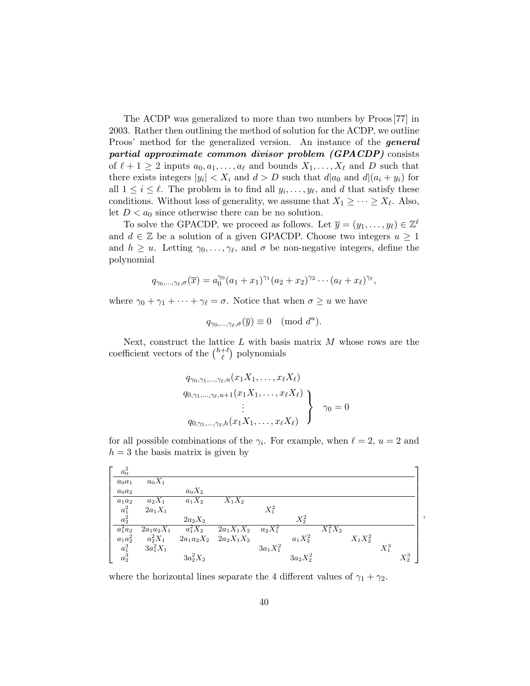The ACDP was generalized to more than two numbers by Proos [77] in 2003. Rather then outlining the method of solution for the ACDP, we outline Proos' method for the generalized version. An instance of the **general** partial approximate common divisor problem (GPACDP) consists of  $\ell + 1 \geq 2$  inputs  $a_0, a_1, \ldots, a_\ell$  and bounds  $X_1, \ldots, X_\ell$  and D such that there exists integers  $|y_i| < X_i$  and  $d > D$  such that  $d|a_0$  and  $d|(a_i + y_i)$  for all  $1 \leq i \leq \ell$ . The problem is to find all  $y_i, \ldots, y_{\ell}$ , and d that satisfy these conditions. Without loss of generality, we assume that  $X_1 \geq \cdots \geq X_{\ell}$ . Also, let  $D < a_0$  since otherwise there can be no solution.

To solve the GPACDP, we proceed as follows. Let  $\overline{y} = (y_1, \ldots, y_\ell) \in \mathbb{Z}^\ell$ and  $d \in \mathbb{Z}$  be a solution of a given GPACDP. Choose two integers  $u \geq 1$ and  $h \geq u$ . Letting  $\gamma_0, \ldots, \gamma_\ell$ , and  $\sigma$  be non-negative integers, define the polynomial

$$
q_{\gamma_0,...,\gamma_\ell,\sigma}(\overline{x}) = a_0^{\gamma_0}(a_1+x_1)^{\gamma_1}(a_2+x_2)^{\gamma_2}\cdots(a_\ell+x_\ell)^{\gamma_\ell},
$$

where  $\gamma_0 + \gamma_1 + \cdots + \gamma_\ell = \sigma$ . Notice that when  $\sigma \geq u$  we have

$$
q_{\gamma_0,\ldots,\gamma_\ell,\sigma}(\overline{y})\equiv 0\pmod{d^u}.
$$

Next, construct the lattice  $L$  with basis matrix  $M$  whose rows are the coefficient vectors of the  $\binom{h+\ell}{\ell}$  $_{\ell}^{+\ell}$ ) polynomials

$$
q_{\gamma_0,\gamma_1,\dots,\gamma_\ell,u}(x_1X_1,\dots,x_\ell X_\ell)
$$
  
\n
$$
q_{0,\gamma_1,\dots,\gamma_\ell,u+1}(x_1X_1,\dots,x_\ell X_\ell)
$$
  
\n
$$
\vdots
$$
  
\n
$$
q_{0,\gamma_1,\dots,\gamma_\ell,h}(x_1X_1,\dots,x_\ell X_\ell)
$$
\n
$$
\gamma_0 = 0
$$

for all possible combinations of the  $\gamma_i$ . For example, when  $\ell = 2$ ,  $u = 2$  and  $h = 3$  the basis matrix is given by

| $a_0^2$                          |              |              |              |             |             |             |            |         |         |
|----------------------------------|--------------|--------------|--------------|-------------|-------------|-------------|------------|---------|---------|
| $a_0a_1$                         | $a_0X_1$     |              |              |             |             |             |            |         |         |
| $a_0a_2$                         |              | $a_0X_2$     |              |             |             |             |            |         |         |
| $a_1a_2$                         | $a_2X_1$     | $a_1X_2$     | $X_1X_2$     |             |             |             |            |         |         |
|                                  | $2a_1X_1$    |              |              | $X_1^2$     |             |             |            |         |         |
| $a_1^2\\a_2^2$                   |              | $2a_2X_2$    |              |             | $X_2^2$     |             |            |         |         |
| $a_1^2 a_2$                      | $2a_1a_2X_1$ | $a_1^2 X_2$  | $2a_1X_1X_2$ | $a_2X_1^2$  |             | $X_1^2 X_2$ |            |         |         |
|                                  | $a_2^2 X_1$  | $2a_1a_2X_2$ | $2a_2X_1X_2$ |             | $a_1X_2^2$  |             | $X_1X_2^2$ |         |         |
|                                  | $3a_1^2X_1$  |              |              | $3a_1X_1^2$ |             |             |            | $X_1^3$ |         |
| $a_1a_2^2$<br>$a_1^3$<br>$a_2^3$ |              | $3a_2^2X_2$  |              |             | $3a_2X_2^2$ |             |            |         | $X_2^3$ |

,

where the horizontal lines separate the 4 different values of  $\gamma_1 + \gamma_2$ .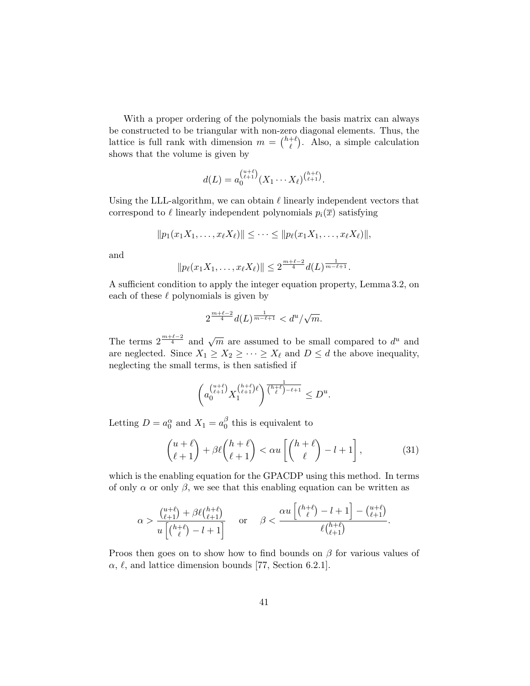With a proper ordering of the polynomials the basis matrix can always be constructed to be triangular with non-zero diagonal elements. Thus, the lattice is full rank with dimension  $m = \binom{h+\ell}{\ell}$  $\binom{+ \ell}{\ell}$ . Also, a simple calculation shows that the volume is given by

$$
d(L) = a_0^{(\mu+\ell)}(X_1 \cdots X_\ell)^{(\mu+\ell)}_{(\ell+1)}.
$$

Using the LLL-algorithm, we can obtain  $\ell$  linearly independent vectors that correspond to  $\ell$  linearly independent polynomials  $p_i(\bar{x})$  satisfying

$$
||p_1(x_1X_1,\ldots,x_{\ell}X_{\ell})||\leq\cdots\leq||p_{\ell}(x_1X_1,\ldots,x_{\ell}X_{\ell})||,
$$

and

$$
||p_{\ell}(x_1X_1,\ldots,x_{\ell}X_{\ell})|| \leq 2^{\frac{m+\ell-2}{4}}d(L)^{\frac{1}{m-\ell+1}}.
$$

A sufficient condition to apply the integer equation property, Lemma 3.2, on each of these  $\ell$  polynomials is given by

$$
2^{\frac{m+\ell-2}{4}}d(L)^{\frac{1}{m-\ell+1}} < d^u/\sqrt{m}.
$$

The terms  $2^{\frac{m+\ell-2}{4}}$  and  $\sqrt{m}$  are assumed to be small compared to  $d^u$  and are neglected. Since  $X_1 \geq X_2 \geq \cdots \geq X_\ell$  and  $D \leq d$  the above inequality, neglecting the small terms, is then satisfied if

$$
\left(a_0^{\binom{u+\ell}{\ell+1}}X_1^{\binom{h+\ell}{\ell+1}\ell}\right)^{\frac{1}{\binom{h+\ell}{\ell}-\ell+1}}\leq D^u.
$$

Letting  $D = a_0^{\alpha}$  and  $X_1 = a_0^{\beta}$  $\int_{0}^{\rho}$  this is equivalent to

$$
\binom{u+\ell}{\ell+1} + \beta \ell \binom{h+\ell}{\ell+1} < \alpha u \left[ \binom{h+\ell}{\ell} - l + 1 \right],\tag{31}
$$

which is the enabling equation for the GPACDP using this method. In terms of only  $\alpha$  or only  $\beta$ , we see that this enabling equation can be written as

$$
\alpha > \frac{\binom{u+\ell}{\ell+1} + \beta \ell \binom{h+\ell}{\ell+1}}{u\left[\binom{h+\ell}{\ell}-l+1\right]} \quad \text{ or } \quad \beta < \frac{\alpha u\left[\binom{h+\ell}{\ell}-l+1\right] - \binom{u+\ell}{\ell+1}}{\ell\binom{h+\ell}{\ell+1}}.
$$

Proos then goes on to show how to find bounds on  $\beta$  for various values of  $\alpha, \ell$ , and lattice dimension bounds [77, Section 6.2.1].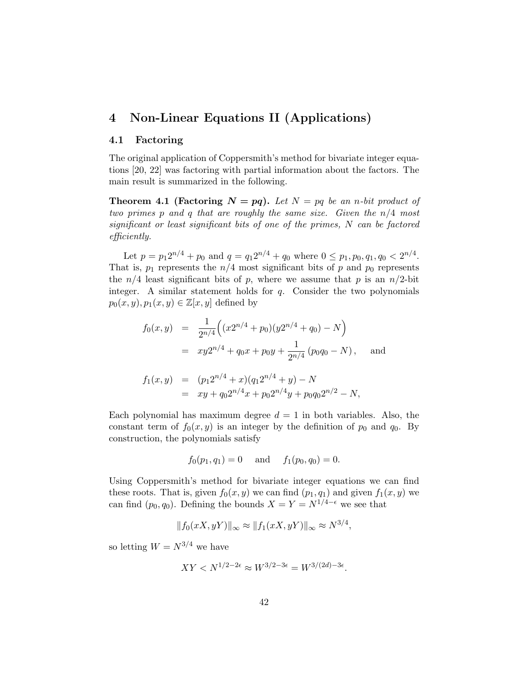## 4 Non-Linear Equations II (Applications)

#### 4.1 Factoring

The original application of Coppersmith's method for bivariate integer equations [20, 22] was factoring with partial information about the factors. The main result is summarized in the following.

**Theorem 4.1 (Factoring**  $N = pq$ **).** Let  $N = pq$  be an n-bit product of two primes p and q that are roughly the same size. Given the  $n/4$  most significant or least significant bits of one of the primes, N can be factored efficiently.

Let  $p = p_1 2^{n/4} + p_0$  and  $q = q_1 2^{n/4} + q_0$  where  $0 \leq p_1, p_0, q_1, q_0 < 2^{n/4}$ . That is,  $p_1$  represents the  $n/4$  most significant bits of p and  $p_0$  represents the  $n/4$  least significant bits of p, where we assume that p is an  $n/2$ -bit integer. A similar statement holds for  $q$ . Consider the two polynomials  $p_0(x, y), p_1(x, y) \in \mathbb{Z}[x, y]$  defined by

$$
f_0(x,y) = \frac{1}{2^{n/4}} \Big( (x2^{n/4} + p_0)(y2^{n/4} + q_0) - N \Big)
$$
  
=  $xy2^{n/4} + q_0x + p_0y + \frac{1}{2^{n/4}} (p_0q_0 - N),$  and

$$
f_1(x,y) = (p_1 2^{n/4} + x)(q_1 2^{n/4} + y) - N
$$
  
=  $xy + q_0 2^{n/4}x + p_0 2^{n/4}y + p_0 q_0 2^{n/2} - N,$ 

Each polynomial has maximum degree  $d = 1$  in both variables. Also, the constant term of  $f_0(x, y)$  is an integer by the definition of  $p_0$  and  $q_0$ . By construction, the polynomials satisfy

$$
f_0(p_1, q_1) = 0
$$
 and  $f_1(p_0, q_0) = 0$ .

Using Coppersmith's method for bivariate integer equations we can find these roots. That is, given  $f_0(x, y)$  we can find  $(p_1, q_1)$  and given  $f_1(x, y)$  we can find  $(p_0, q_0)$ . Defining the bounds  $X = Y = N^{1/4-\epsilon}$  we see that

$$
||f_0(xX, yY)||_{\infty} \approx ||f_1(xX, yY)||_{\infty} \approx N^{3/4},
$$

so letting  $W = N^{3/4}$  we have

$$
XY < N^{1/2 - 2\epsilon} \approx W^{3/2 - 3\epsilon} = W^{3/(2d) - 3\epsilon}.
$$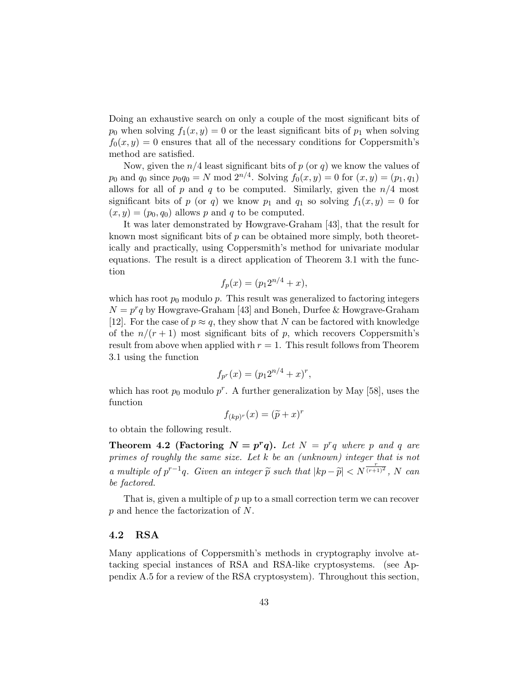Doing an exhaustive search on only a couple of the most significant bits of  $p_0$  when solving  $f_1(x, y) = 0$  or the least significant bits of  $p_1$  when solving  $f_0(x, y) = 0$  ensures that all of the necessary conditions for Coppersmith's method are satisfied.

Now, given the  $n/4$  least significant bits of  $p$  (or  $q$ ) we know the values of  $p_0$  and  $q_0$  since  $p_0q_0 = N \mod 2^{n/4}$ . Solving  $f_0(x, y) = 0$  for  $(x, y) = (p_1, q_1)$ allows for all of p and q to be computed. Similarly, given the  $n/4$  most significant bits of p (or q) we know  $p_1$  and  $q_1$  so solving  $f_1(x, y) = 0$  for  $(x, y) = (p_0, q_0)$  allows p and q to be computed.

It was later demonstrated by Howgrave-Graham [43], that the result for known most significant bits of  $p$  can be obtained more simply, both theoretically and practically, using Coppersmith's method for univariate modular equations. The result is a direct application of Theorem 3.1 with the function

$$
f_p(x) = (p_1 2^{n/4} + x),
$$

which has root  $p_0$  modulo p. This result was generalized to factoring integers  $N = p^r q$  by Howgrave-Graham [43] and Boneh, Durfee & Howgrave-Graham [12]. For the case of  $p \approx q$ , they show that N can be factored with knowledge of the  $n/(r+1)$  most significant bits of p, which recovers Coppersmith's result from above when applied with  $r = 1$ . This result follows from Theorem 3.1 using the function

$$
f_{p^r}(x) = (p_1 2^{n/4} + x)^r,
$$

which has root  $p_0$  modulo  $p^r$ . A further generalization by May [58], uses the function

$$
f_{(kp)^r}(x) = (\widetilde{p} + x)^r
$$

to obtain the following result.

**Theorem 4.2 (Factoring**  $N = p^r q$ **).** Let  $N = p^r q$  where p and q are primes of roughly the same size. Let k be an (unknown) integer that is not a multiple of  $p^{r-1}q$ . Given an integer  $\tilde{p}$  such that  $|kp-\tilde{p}| < N^{\frac{r}{(r+1)^2}}$ , N can be factored.

That is, given a multiple of  $p$  up to a small correction term we can recover p and hence the factorization of N.

#### 4.2 RSA

Many applications of Coppersmith's methods in cryptography involve attacking special instances of RSA and RSA-like cryptosystems. (see Appendix A.5 for a review of the RSA cryptosystem). Throughout this section,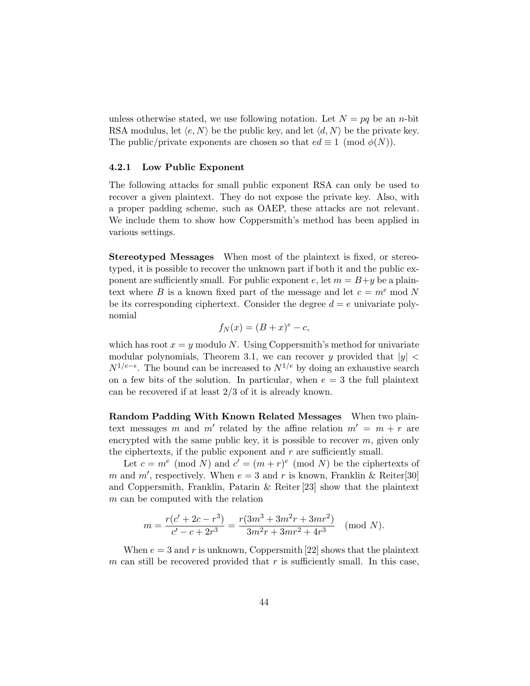unless otherwise stated, we use following notation. Let  $N = pq$  be an n-bit RSA modulus, let  $\langle e, N \rangle$  be the public key, and let  $\langle d, N \rangle$  be the private key. The public/private exponents are chosen so that  $ed \equiv 1 \pmod{\phi(N)}$ .

#### 4.2.1 Low Public Exponent

The following attacks for small public exponent RSA can only be used to recover a given plaintext. They do not expose the private key. Also, with a proper padding scheme, such as OAEP, these attacks are not relevant. We include them to show how Coppersmith's method has been applied in various settings.

Stereotyped Messages When most of the plaintext is fixed, or stereotyped, it is possible to recover the unknown part if both it and the public exponent are sufficiently small. For public exponent e, let  $m = B + y$  be a plaintext where B is a known fixed part of the message and let  $c = m^e \mod N$ be its corresponding ciphertext. Consider the degree  $d = e$  univariate polynomial

$$
f_N(x) = (B+x)^e - c,
$$

which has root  $x = y$  modulo N. Using Coppersmith's method for univariate modular polynomials, Theorem 3.1, we can recover y provided that  $|y|$  <  $N^{1/e-ε}$ . The bound can be increased to  $N^{1/e}$  by doing an exhaustive search on a few bits of the solution. In particular, when  $e = 3$  the full plaintext can be recovered if at least 2/3 of it is already known.

Random Padding With Known Related Messages When two plaintext messages m and m' related by the affine relation  $m' = m + r$  are encrypted with the same public key, it is possible to recover  $m$ , given only the ciphertexts, if the public exponent and  $r$  are sufficiently small.

Let  $c = m^e \pmod{N}$  and  $c' = (m + r)^e \pmod{N}$  be the ciphertexts of m and m', respectively. When  $e = 3$  and r is known, Franklin & Reiter[30] and Coppersmith, Franklin, Patarin & Reiter [23] show that the plaintext m can be computed with the relation

$$
m = \frac{r(c' + 2c - r^{3})}{c' - c + 2r^{3}} = \frac{r(3m^{3} + 3m^{2}r + 3mr^{2})}{3m^{2}r + 3mr^{2} + 4r^{3}}
$$
 (mod N).

When  $e = 3$  and r is unknown, Coppersmith [22] shows that the plaintext m can still be recovered provided that  $r$  is sufficiently small. In this case,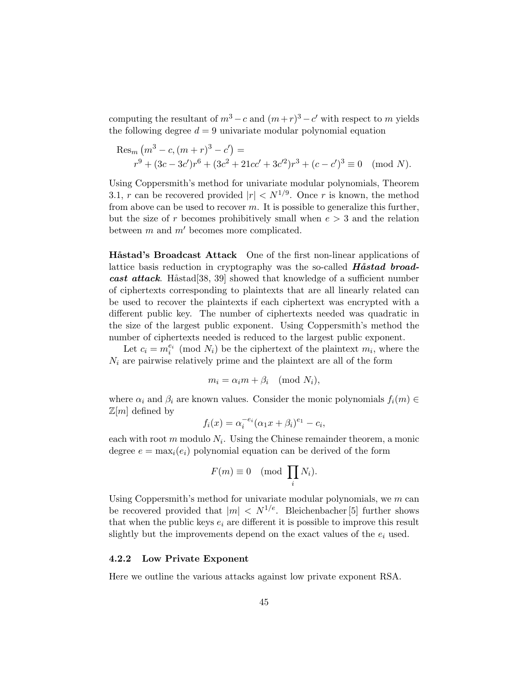computing the resultant of  $m^3 - c$  and  $(m+r)^3 - c'$  with respect to m yields the following degree  $d = 9$  univariate modular polynomial equation

Res<sub>m</sub> 
$$
(m^3 - c, (m + r)^3 - c')
$$
 =  
\n $r^9 + (3c - 3c')r^6 + (3c^2 + 21cc' + 3c'^2)r^3 + (c - c')^3 \equiv 0 \pmod{N}$ .

Using Coppersmith's method for univariate modular polynomials, Theorem 3.1, r can be recovered provided  $|r| < N^{1/9}$ . Once r is known, the method from above can be used to recover m. It is possible to generalize this further, but the size of r becomes prohibitively small when  $e > 3$  and the relation between  $m$  and  $m'$  becomes more complicated.

**H**åstad's Broadcast Attack One of the first non-linear applications of lattice basis reduction in cryptography was the so-called  $H\mathring{a}stad broad$ cast attack. Håstad 38, 39 showed that knowledge of a sufficient number of ciphertexts corresponding to plaintexts that are all linearly related can be used to recover the plaintexts if each ciphertext was encrypted with a different public key. The number of ciphertexts needed was quadratic in the size of the largest public exponent. Using Coppersmith's method the number of ciphertexts needed is reduced to the largest public exponent.

Let  $c_i = m_i^{e_i} \pmod{N_i}$  be the ciphertext of the plaintext  $m_i$ , where the  $N_i$  are pairwise relatively prime and the plaintext are all of the form

$$
m_i = \alpha_i m + \beta_i \pmod{N_i},
$$

where  $\alpha_i$  and  $\beta_i$  are known values. Consider the monic polynomials  $f_i(m) \in$  $\mathbb{Z}[m]$  defined by

$$
f_i(x) = \alpha_i^{-e_i} (\alpha_1 x + \beta_i)^{e_1} - c_i,
$$

each with root  $m$  modulo  $N_i$ . Using the Chinese remainder theorem, a monic degree  $e = \max_i(e_i)$  polynomial equation can be derived of the form

$$
F(m) \equiv 0 \pmod{\prod_i N_i}.
$$

Using Coppersmith's method for univariate modular polynomials, we  $m$  can be recovered provided that  $|m| \langle N^{1/e} \rangle$ . Bleichenbacher [5] further shows that when the public keys  $e_i$  are different it is possible to improve this result slightly but the improvements depend on the exact values of the  $e_i$  used.

#### 4.2.2 Low Private Exponent

Here we outline the various attacks against low private exponent RSA.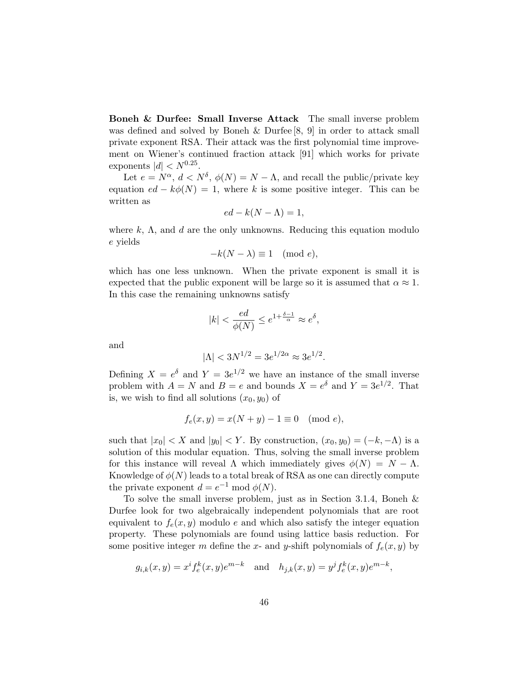Boneh & Durfee: Small Inverse Attack The small inverse problem was defined and solved by Boneh & Durfee [8, 9] in order to attack small private exponent RSA. Their attack was the first polynomial time improvement on Wiener's continued fraction attack [91] which works for private exponents  $|d| < N^{0.25}$ .

Let  $e = N^{\alpha}$ ,  $d < N^{\delta}$ ,  $\phi(N) = N - \Lambda$ , and recall the public/private key equation  $ed - k\phi(N) = 1$ , where k is some positive integer. This can be written as

$$
ed - k(N - \Lambda) = 1,
$$

where k,  $\Lambda$ , and d are the only unknowns. Reducing this equation modulo e yields

$$
-k(N - \lambda) \equiv 1 \pmod{e},
$$

which has one less unknown. When the private exponent is small it is expected that the public exponent will be large so it is assumed that  $\alpha \approx 1$ . In this case the remaining unknowns satisfy

$$
|k| < \frac{ed}{\phi(N)} \le e^{1 + \frac{\delta - 1}{\alpha}} \approx e^{\delta},
$$

and

$$
|\Lambda| < 3N^{1/2} = 3e^{1/2\alpha} \approx 3e^{1/2}.
$$

Defining  $X = e^{\delta}$  and  $Y = 3e^{1/2}$  we have an instance of the small inverse problem with  $A = N$  and  $B = e$  and bounds  $X = e^{\delta}$  and  $Y = 3e^{1/2}$ . That is, we wish to find all solutions  $(x_0, y_0)$  of

$$
f_e(x, y) = x(N + y) - 1 \equiv 0 \pmod{e},
$$

such that  $|x_0| < X$  and  $|y_0| < Y$ . By construction,  $(x_0, y_0) = (-k, -\Lambda)$  is a solution of this modular equation. Thus, solving the small inverse problem for this instance will reveal  $\Lambda$  which immediately gives  $\phi(N) = N - \Lambda$ . Knowledge of  $\phi(N)$  leads to a total break of RSA as one can directly compute the private exponent  $d = e^{-1} \bmod \phi(N)$ .

To solve the small inverse problem, just as in Section 3.1.4, Boneh & Durfee look for two algebraically independent polynomials that are root equivalent to  $f_e(x, y)$  modulo e and which also satisfy the integer equation property. These polynomials are found using lattice basis reduction. For some positive integer m define the x- and y-shift polynomials of  $f_e(x, y)$  by

$$
g_{i,k}(x, y) = x^{i} f_{e}^{k}(x, y) e^{m-k}
$$
 and  $h_{j,k}(x, y) = y^{j} f_{e}^{k}(x, y) e^{m-k}$ ,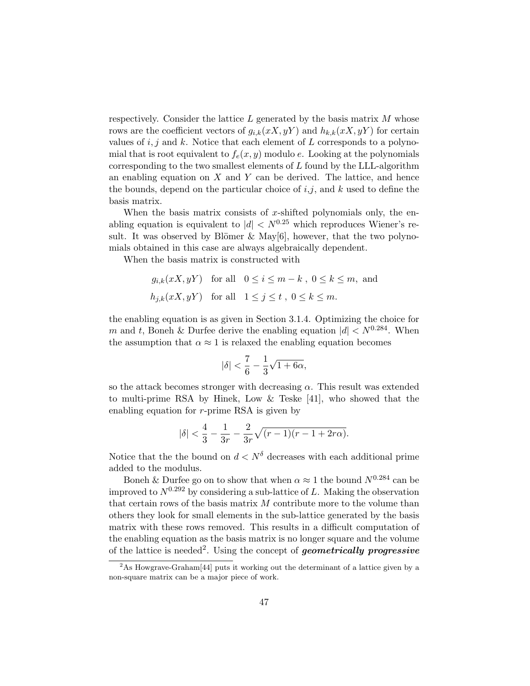respectively. Consider the lattice  $L$  generated by the basis matrix  $M$  whose rows are the coefficient vectors of  $g_{i,k}(xX, yY)$  and  $h_{k,k}(xX, yY)$  for certain values of  $i, j$  and  $k$ . Notice that each element of  $L$  corresponds to a polynomial that is root equivalent to  $f_e(x, y)$  modulo e. Looking at the polynomials corresponding to the two smallest elements of  $L$  found by the LLL-algorithm an enabling equation on  $X$  and  $Y$  can be derived. The lattice, and hence the bounds, depend on the particular choice of  $i, j$ , and k used to define the basis matrix.

When the basis matrix consists of x-shifted polynomials only, the enabling equation is equivalent to  $|d| < N^{0.25}$  which reproduces Wiener's result. It was observed by Blömer  $\&$  May[6], however, that the two polynomials obtained in this case are always algebraically dependent.

When the basis matrix is constructed with

$$
g_{i,k}(xX, yY)
$$
 for all  $0 \le i \le m - k$ ,  $0 \le k \le m$ , and  
 $h_{j,k}(xX, yY)$  for all  $1 \le j \le t$ ,  $0 \le k \le m$ .

the enabling equation is as given in Section 3.1.4. Optimizing the choice for m and t, Boneh & Durfee derive the enabling equation  $|d| < N^{0.284}$ . When the assumption that  $\alpha \approx 1$  is relaxed the enabling equation becomes

$$
|\delta|<\frac{7}{6}-\frac{1}{3}\sqrt{1+6\alpha},
$$

so the attack becomes stronger with decreasing  $\alpha$ . This result was extended to multi-prime RSA by Hinek, Low & Teske [41], who showed that the enabling equation for  $r$ -prime RSA is given by

$$
|\delta| < \frac{4}{3} - \frac{1}{3r} - \frac{2}{3r}\sqrt{(r-1)(r-1+2r\alpha)}.
$$

Notice that the the bound on  $d < N^{\delta}$  decreases with each additional prime added to the modulus.

Boneh & Durfee go on to show that when  $\alpha \approx 1$  the bound  $N^{0.284}$  can be improved to  $N^{0.292}$  by considering a sub-lattice of L. Making the observation that certain rows of the basis matrix  $M$  contribute more to the volume than others they look for small elements in the sub-lattice generated by the basis matrix with these rows removed. This results in a difficult computation of the enabling equation as the basis matrix is no longer square and the volume of the lattice is needed<sup>2</sup>. Using the concept of **geometrically progressive** 

<sup>&</sup>lt;sup>2</sup>As Howgrave-Graham<sup>[44]</sup> puts it working out the determinant of a lattice given by a non-square matrix can be a major piece of work.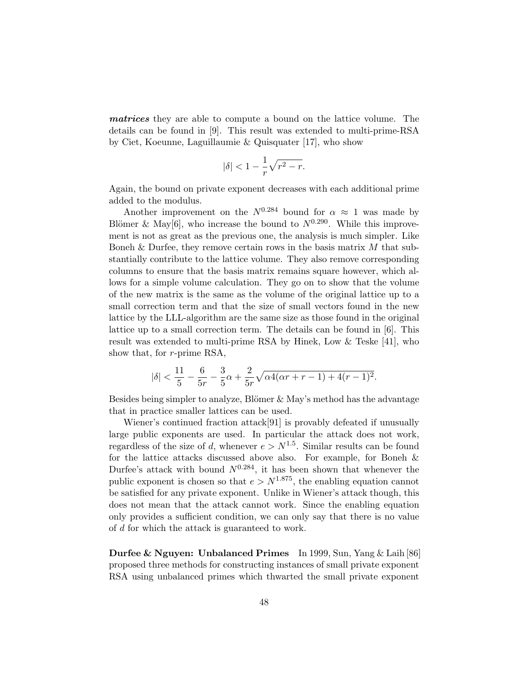matrices they are able to compute a bound on the lattice volume. The details can be found in [9]. This result was extended to multi-prime-RSA by Ciet, Koeunne, Laguillaumie & Quisquater [17], who show

$$
|\delta|<1-\frac{1}{r}\sqrt{r^2-r}.
$$

Again, the bound on private exponent decreases with each additional prime added to the modulus.

Another improvement on the  $N^{0.284}$  bound for  $\alpha \approx 1$  was made by Blömer & May[6], who increase the bound to  $N^{0.290}$ . While this improvement is not as great as the previous one, the analysis is much simpler. Like Boneh & Durfee, they remove certain rows in the basis matrix  $M$  that substantially contribute to the lattice volume. They also remove corresponding columns to ensure that the basis matrix remains square however, which allows for a simple volume calculation. They go on to show that the volume of the new matrix is the same as the volume of the original lattice up to a small correction term and that the size of small vectors found in the new lattice by the LLL-algorithm are the same size as those found in the original lattice up to a small correction term. The details can be found in [6]. This result was extended to multi-prime RSA by Hinek, Low & Teske [41], who show that, for r-prime RSA,

$$
|\delta| < \frac{11}{5} - \frac{6}{5r} - \frac{3}{5}\alpha + \frac{2}{5r}\sqrt{\alpha 4(\alpha r + r - 1) + 4(r - 1)^2}.
$$

Besides being simpler to analyze, Blömer  $&$  May's method has the advantage that in practice smaller lattices can be used.

Wiener's continued fraction attack[91] is provably defeated if unusually large public exponents are used. In particular the attack does not work, regardless of the size of d, whenever  $e > N^{1.5}$ . Similar results can be found for the lattice attacks discussed above also. For example, for Boneh & Durfee's attack with bound  $N^{0.284}$ , it has been shown that whenever the public exponent is chosen so that  $e > N^{1.875}$ , the enabling equation cannot be satisfied for any private exponent. Unlike in Wiener's attack though, this does not mean that the attack cannot work. Since the enabling equation only provides a sufficient condition, we can only say that there is no value of d for which the attack is guaranteed to work.

Durfee & Nguyen: Unbalanced Primes In 1999, Sun, Yang & Laih [86] proposed three methods for constructing instances of small private exponent RSA using unbalanced primes which thwarted the small private exponent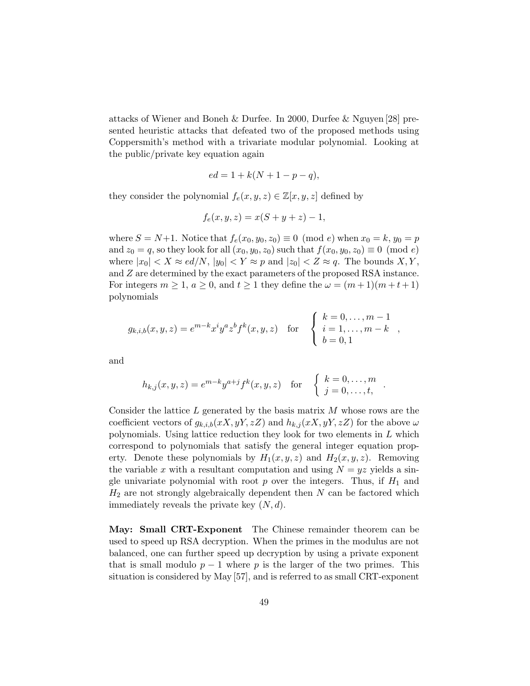attacks of Wiener and Boneh & Durfee. In 2000, Durfee & Nguyen [28] presented heuristic attacks that defeated two of the proposed methods using Coppersmith's method with a trivariate modular polynomial. Looking at the public/private key equation again

$$
ed = 1 + k(N + 1 - p - q),
$$

they consider the polynomial  $f_e(x, y, z) \in \mathbb{Z}[x, y, z]$  defined by

$$
f_e(x, y, z) = x(S + y + z) - 1,
$$

where  $S = N+1$ . Notice that  $f_e(x_0, y_0, z_0) \equiv 0 \pmod{e}$  when  $x_0 = k$ ,  $y_0 = p$ and  $z_0 = q$ , so they look for all  $(x_0, y_0, z_0)$  such that  $f(x_0, y_0, z_0) \equiv 0 \pmod{e}$ where  $|x_0| < X \approx ed/N$ ,  $|y_0| < Y \approx p$  and  $|z_0| < Z \approx q$ . The bounds X, Y, and Z are determined by the exact parameters of the proposed RSA instance. For integers  $m \ge 1$ ,  $a \ge 0$ , and  $t \ge 1$  they define the  $\omega = (m+1)(m+t+1)$ polynomials

$$
g_{k,i,b}(x,y,z) = e^{m-k} x^{i} y^{a} z^{b} f^{k}(x,y,z) \text{ for } \begin{cases} k = 0, \dots, m-1 \\ i = 1, \dots, m-k \\ b = 0,1 \end{cases}
$$

and

$$
h_{k,j}(x, y, z) = e^{m-k}y^{a+j}f^{k}(x, y, z)
$$
 for  $\begin{cases} k = 0, ..., m \\ j = 0, ..., t, \end{cases}$ .

Consider the lattice  $L$  generated by the basis matrix  $M$  whose rows are the coefficient vectors of  $g_{k,i,b}(xX, yY, zZ)$  and  $h_{k,j}(xX, yY, zZ)$  for the above  $\omega$ polynomials. Using lattice reduction they look for two elements in  $L$  which correspond to polynomials that satisfy the general integer equation property. Denote these polynomials by  $H_1(x, y, z)$  and  $H_2(x, y, z)$ . Removing the variable x with a resultant computation and using  $N = yz$  yields a single univariate polynomial with root  $p$  over the integers. Thus, if  $H_1$  and  $H_2$  are not strongly algebraically dependent then N can be factored which immediately reveals the private key  $(N, d)$ .

May: Small CRT-Exponent The Chinese remainder theorem can be used to speed up RSA decryption. When the primes in the modulus are not balanced, one can further speed up decryption by using a private exponent that is small modulo  $p-1$  where p is the larger of the two primes. This situation is considered by May [57], and is referred to as small CRT-exponent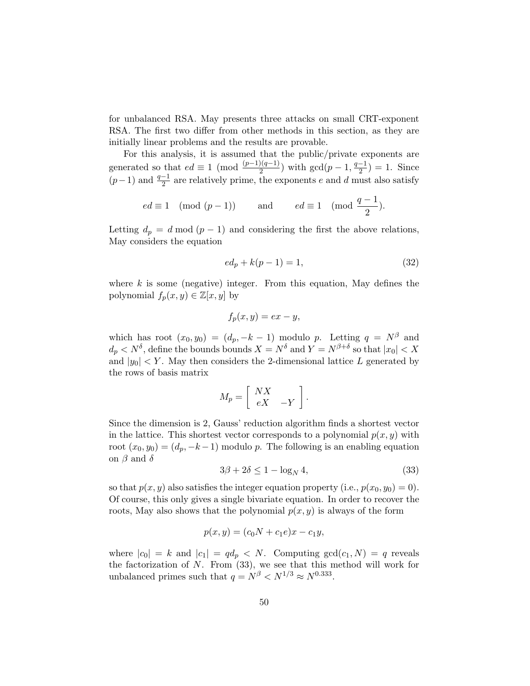for unbalanced RSA. May presents three attacks on small CRT-exponent RSA. The first two differ from other methods in this section, as they are initially linear problems and the results are provable.

For this analysis, it is assumed that the public/private exponents are generated so that  $ed \equiv 1 \pmod{\frac{(p-1)(q-1)}{2}}$  with  $\gcd(p-1, \frac{q-1}{2})$  $\frac{-1}{2}$ ) = 1. Since  $(p-1)$  and  $\frac{q-1}{2}$  are relatively prime, the exponents e and d must also satisfy

$$
ed \equiv 1 \pmod{(p-1)} \qquad \text{and} \qquad ed \equiv 1 \pmod{\frac{q-1}{2}}.
$$

Letting  $d_p = d \mod (p-1)$  and considering the first the above relations, May considers the equation

$$
ed_p + k(p-1) = 1,
$$
\n(32)

where  $k$  is some (negative) integer. From this equation, May defines the polynomial  $f_p(x, y) \in \mathbb{Z}[x, y]$  by

$$
f_p(x, y) = ex - y,
$$

which has root  $(x_0, y_0) = (d_p, -k-1)$  modulo p. Letting  $q = N^{\beta}$  and  $d_p < N^{\delta}$ , define the bounds bounds  $X = N^{\delta}$  and  $Y = N^{\beta+\delta}$  so that  $|x_0| < X$ and  $|y_0|$  < Y. May then considers the 2-dimensional lattice L generated by the rows of basis matrix

$$
M_p = \left[ \begin{array}{cc} N X & \\ e X & -Y \end{array} \right]
$$

Since the dimension is 2, Gauss' reduction algorithm finds a shortest vector in the lattice. This shortest vector corresponds to a polynomial  $p(x, y)$  with root  $(x_0, y_0) = (d_p, -k-1)$  modulo p. The following is an enabling equation on  $\beta$  and  $\delta$ 

$$
3\beta + 2\delta \le 1 - \log_N 4,\tag{33}
$$

.

so that  $p(x, y)$  also satisfies the integer equation property (i.e.,  $p(x_0, y_0) = 0$ ). Of course, this only gives a single bivariate equation. In order to recover the roots, May also shows that the polynomial  $p(x, y)$  is always of the form

$$
p(x, y) = (c_0 N + c_1 e)x - c_1 y,
$$

where  $|c_0| = k$  and  $|c_1| = qd_p < N$ . Computing  $gcd(c_1, N) = q$  reveals the factorization of  $N$ . From (33), we see that this method will work for unbalanced primes such that  $q = N^{\beta} < N^{1/3} \approx N^{0.333}$ .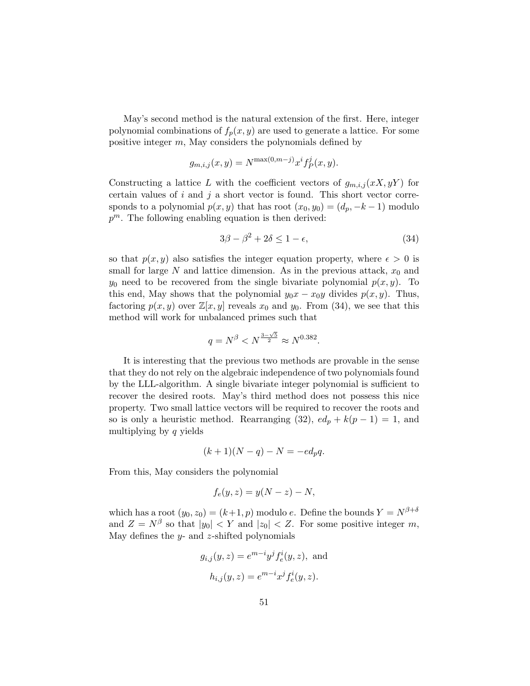May's second method is the natural extension of the first. Here, integer polynomial combinations of  $f_p(x, y)$  are used to generate a lattice. For some positive integer m, May considers the polynomials defined by

$$
g_{m,i,j}(x,y) = N^{\max(0,m-j)} x^{i} f_{P}^{j}(x,y).
$$

Constructing a lattice L with the coefficient vectors of  $g_{m,i,j}(xX, yY)$  for certain values of  $i$  and  $j$  a short vector is found. This short vector corresponds to a polynomial  $p(x, y)$  that has root  $(x_0, y_0) = (d_p, -k-1)$  modulo  $p^m$ . The following enabling equation is then derived:

$$
3\beta - \beta^2 + 2\delta \le 1 - \epsilon,\tag{34}
$$

so that  $p(x, y)$  also satisfies the integer equation property, where  $\epsilon > 0$  is small for large  $N$  and lattice dimension. As in the previous attack,  $x_0$  and  $y_0$  need to be recovered from the single bivariate polynomial  $p(x, y)$ . To this end, May shows that the polynomial  $y_0x - x_0y$  divides  $p(x, y)$ . Thus, factoring  $p(x, y)$  over  $\mathbb{Z}[x, y]$  reveals  $x_0$  and  $y_0$ . From (34), we see that this method will work for unbalanced primes such that

$$
q = N^{\beta} < N^{\frac{3-\sqrt{5}}{2}} \approx N^{0.382}
$$
.

It is interesting that the previous two methods are provable in the sense that they do not rely on the algebraic independence of two polynomials found by the LLL-algorithm. A single bivariate integer polynomial is sufficient to recover the desired roots. May's third method does not possess this nice property. Two small lattice vectors will be required to recover the roots and so is only a heuristic method. Rearranging (32),  $ed_p + k(p-1) = 1$ , and multiplying by q yields

$$
(k+1)(N-q) - N = -ed_pq.
$$

From this, May considers the polynomial

$$
f_e(y, z) = y(N - z) - N,
$$

which has a root  $(y_0, z_0) = (k+1, p)$  modulo e. Define the bounds  $Y = N^{\beta+\delta}$ and  $Z = N^{\beta}$  so that  $|y_0| < Y$  and  $|z_0| < Z$ . For some positive integer m, May defines the  $y$ - and  $z$ -shifted polynomials

$$
g_{i,j}(y, z) = e^{m-i}y^{j} f_{e}^{i}(y, z)
$$
, and  
 $h_{i,j}(y, z) = e^{m-i} x^{j} f_{e}^{i}(y, z)$ .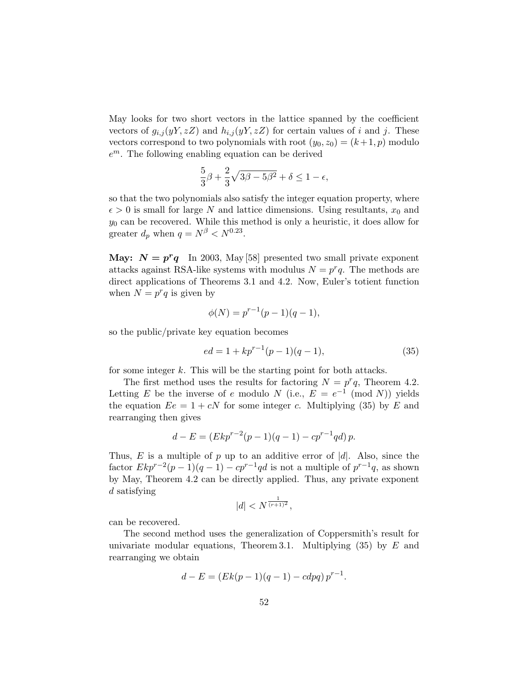May looks for two short vectors in the lattice spanned by the coefficient vectors of  $g_{i,j}(yY, zZ)$  and  $h_{i,j}(yY, zZ)$  for certain values of i and j. These vectors correspond to two polynomials with root  $(y_0, z_0) = (k+1, p)$  modulo  $e^{m}$ . The following enabling equation can be derived

$$
\frac{5}{3}\beta + \frac{2}{3}\sqrt{3\beta - 5\beta^2} + \delta \le 1 - \epsilon,
$$

so that the two polynomials also satisfy the integer equation property, where  $\epsilon > 0$  is small for large N and lattice dimensions. Using resultants,  $x_0$  and  $y_0$  can be recovered. While this method is only a heuristic, it does allow for greater  $d_p$  when  $q = N^{\beta} < N^{0.23}$ .

May:  $N = p^r q$  In 2003, May [58] presented two small private exponent attacks against RSA-like systems with modulus  $N = p^r q$ . The methods are direct applications of Theorems 3.1 and 4.2. Now, Euler's totient function when  $N = p^r q$  is given by

$$
\phi(N) = p^{r-1}(p-1)(q-1),
$$

so the public/private key equation becomes

$$
ed = 1 + kp^{r-1}(p-1)(q-1),
$$
\n(35)

for some integer  $k$ . This will be the starting point for both attacks.

The first method uses the results for factoring  $N = p^r q$ , Theorem 4.2. Letting E be the inverse of e modulo N (i.e.,  $E = e^{-1} \pmod{N}$ ) yields the equation  $E = 1 + cN$  for some integer c. Multiplying (35) by E and rearranging then gives

$$
d - E = (Ekp^{r-2}(p-1)(q-1) - cp^{r-1}qd)p.
$$

Thus, E is a multiple of p up to an additive error of  $|d|$ . Also, since the factor  $E k p^{r-2}(p-1)(q-1) - c p^{r-1} q d$  is not a multiple of  $p^{r-1} q$ , as shown by May, Theorem 4.2 can be directly applied. Thus, any private exponent d satisfying

$$
|d| < N^{\frac{1}{(r+1)^2}},
$$

can be recovered.

The second method uses the generalization of Coppersmith's result for univariate modular equations, Theorem 3.1. Multiplying  $(35)$  by E and rearranging we obtain

$$
d - E = (Ek(p - 1)(q - 1) - cdpq) p^{r-1}.
$$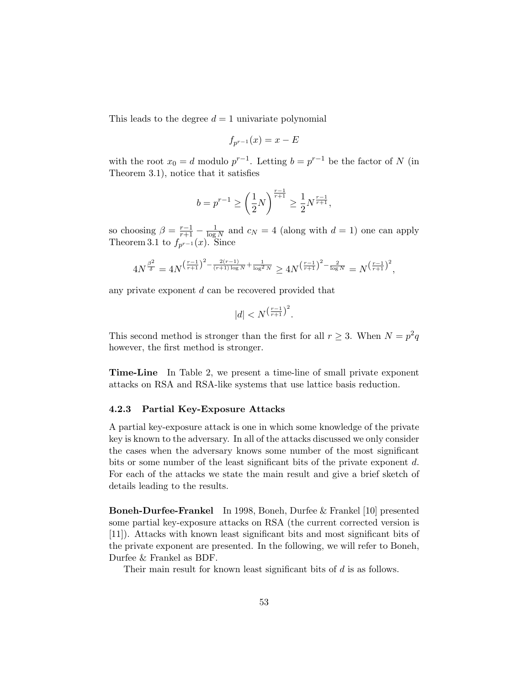This leads to the degree  $d = 1$  univariate polynomial

$$
f_{p^{r-1}}(x) = x - E
$$

with the root  $x_0 = d$  modulo  $p^{r-1}$ . Letting  $b = p^{r-1}$  be the factor of N (in Theorem 3.1), notice that it satisfies

$$
b = p^{r-1} \ge \left(\frac{1}{2}N\right)^{\frac{r-1}{r+1}} \ge \frac{1}{2}N^{\frac{r-1}{r+1}},
$$

so choosing  $\beta = \frac{r-1}{r+1} - \frac{1}{\log r}$  $\frac{1}{\log N}$  and  $c_N = 4$  (along with  $d = 1$ ) one can apply Theorem 3.1 to  $f_{p^{r-1}}(x)$ . Since

$$
4N^{\frac{\beta^2}{\delta}} = 4N^{\left(\frac{r-1}{r+1}\right)^2 - \frac{2(r-1)}{(r+1)\log N} + \frac{1}{\log^2 N}} \ge 4N^{\left(\frac{r-1}{r+1}\right)^2 - \frac{2}{\log N}} = N^{\left(\frac{r-1}{r+1}\right)^2},
$$

any private exponent  $d$  can be recovered provided that

$$
|d| < N^{\left(\frac{r-1}{r+1}\right)^2}.
$$

This second method is stronger than the first for all  $r \geq 3$ . When  $N = p^2q$ however, the first method is stronger.

Time-Line In Table 2, we present a time-line of small private exponent attacks on RSA and RSA-like systems that use lattice basis reduction.

#### 4.2.3 Partial Key-Exposure Attacks

A partial key-exposure attack is one in which some knowledge of the private key is known to the adversary. In all of the attacks discussed we only consider the cases when the adversary knows some number of the most significant bits or some number of the least significant bits of the private exponent d. For each of the attacks we state the main result and give a brief sketch of details leading to the results.

Boneh-Durfee-Frankel In 1998, Boneh, Durfee & Frankel [10] presented some partial key-exposure attacks on RSA (the current corrected version is [11]). Attacks with known least significant bits and most significant bits of the private exponent are presented. In the following, we will refer to Boneh, Durfee & Frankel as BDF.

Their main result for known least significant bits of d is as follows.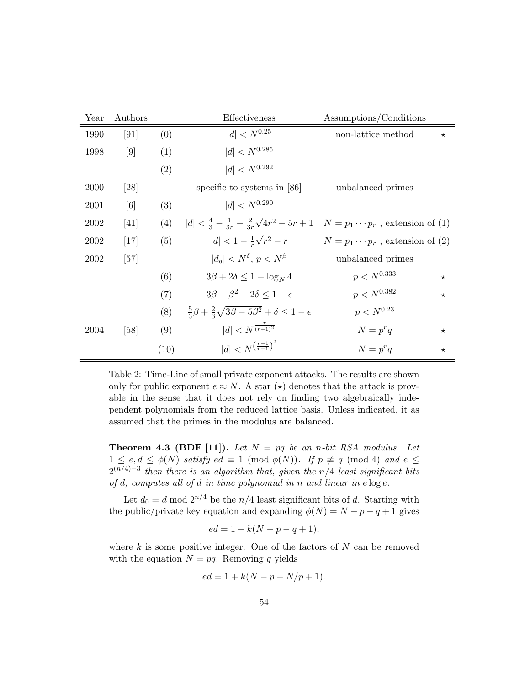| Year | Authors |      | Effectiveness                                                                       | Assumptions/Conditions                  |  |  |  |
|------|---------|------|-------------------------------------------------------------------------------------|-----------------------------------------|--|--|--|
| 1990 | [91]    | (0)  | $ d  < N^{0.25}$                                                                    | non-lattice method<br>$\star$           |  |  |  |
| 1998 | [9]     | (1)  | $ d  < N^{0.285}$                                                                   |                                         |  |  |  |
|      |         | (2)  | $ d  < N^{0.292}$                                                                   |                                         |  |  |  |
| 2000 | [28]    |      | specific to systems in $[86]$                                                       | unbalanced primes                       |  |  |  |
| 2001 | [6]     | (3)  | $ d  < N^{0.290}$                                                                   |                                         |  |  |  |
| 2002 | [41]    | (4)  | $ d  < \frac{4}{3} - \frac{1}{3r} - \frac{2}{3r}\sqrt{4r^2 - 5r + 1}$               | $N = p_1 \cdots p_r$ , extension of (1) |  |  |  |
| 2002 | $[17]$  | (5)  | $ d  < 1 - \frac{1}{r}\sqrt{r^2 - r}$                                               | $N = p_1 \cdots p_r$ , extension of (2) |  |  |  |
| 2002 | [57]    |      | $ d_a  < N^{\delta}$ , $p < N^{\beta}$                                              | unbalanced primes                       |  |  |  |
|      |         | (6)  | $3\beta + 2\delta \leq 1 - \log_{N} 4$                                              | $p < N^{0.333}$<br>$\star$              |  |  |  |
|      |         | (7)  | $3\beta - \beta^2 + 2\delta \leq 1 - \epsilon$                                      | $p < N^{0.382}$<br>$\star$              |  |  |  |
|      |         | (8)  | $\frac{5}{3}\beta + \frac{2}{3}\sqrt{3\beta - 5\beta^2} + \delta \leq 1 - \epsilon$ | $p < N^{0.23}$                          |  |  |  |
| 2004 | [58]    | (9)  | $ d  < N^{\frac{r}{(r+1)^2}}$                                                       | $N = p^r q$<br>$\star$                  |  |  |  |
|      |         | (10) | $ d  < N^{\left(\frac{r-1}{r+1}\right)^2}$                                          | $N = p^r q$<br>$^\star$                 |  |  |  |

Table 2: Time-Line of small private exponent attacks. The results are shown only for public exponent  $e \approx N$ . A star ( $\star$ ) denotes that the attack is provable in the sense that it does not rely on finding two algebraically independent polynomials from the reduced lattice basis. Unless indicated, it as assumed that the primes in the modulus are balanced.

**Theorem 4.3 (BDF [11]).** Let  $N = pq$  be an n-bit RSA modulus. Let  $1 \leq e, d \leq \phi(N)$  satisfy  $ed \equiv 1 \pmod{\phi(N)}$ . If  $p \not\equiv q \pmod{4}$  and  $e \leq$  $2^{(n/4)-3}$  then there is an algorithm that, given the n/4 least significant bits of d, computes all of d in time polynomial in n and linear in  $e \log e$ .

Let  $d_0 = d \mod 2^{n/4}$  be the  $n/4$  least significant bits of d. Starting with the public/private key equation and expanding  $\phi(N) = N - p - q + 1$  gives

$$
ed = 1 + k(N - p - q + 1),
$$

where  $k$  is some positive integer. One of the factors of  $N$  can be removed with the equation  $N = pq$ . Removing q yields

$$
ed = 1 + k(N - p - N/p + 1).
$$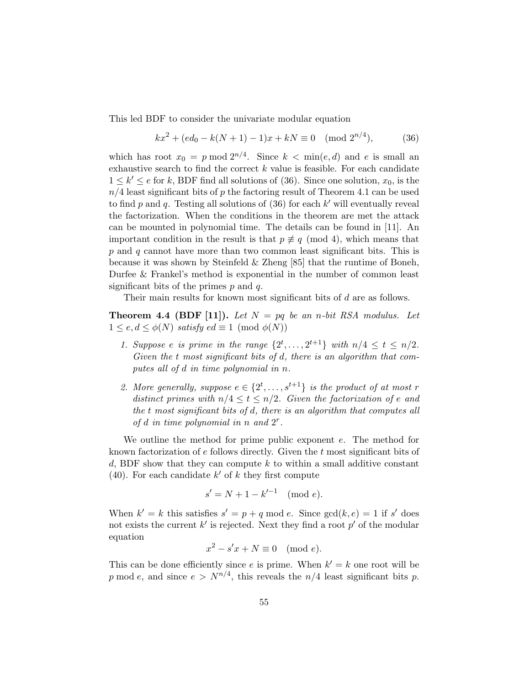This led BDF to consider the univariate modular equation

$$
kx2 + (ed0 - k(N + 1) - 1)x + kN \equiv 0 \pmod{2^{n/4}},
$$
 (36)

which has root  $x_0 = p \mod 2^{n/4}$ . Since  $k < \min(e, d)$  and e is small an exhaustive search to find the correct  $k$  value is feasible. For each candidate  $1 \leq k' \leq e$  for k, BDF find all solutions of (36). Since one solution,  $x_0$ , is the  $n/4$  least significant bits of p the factoring result of Theorem 4.1 can be used to find  $p$  and  $q$ . Testing all solutions of  $(36)$  for each  $k'$  will eventually reveal the factorization. When the conditions in the theorem are met the attack can be mounted in polynomial time. The details can be found in [11]. An important condition in the result is that  $p \not\equiv q \pmod{4}$ , which means that p and q cannot have more than two common least significant bits. This is because it was shown by Steinfeld & Zheng [85] that the runtime of Boneh, Durfee & Frankel's method is exponential in the number of common least significant bits of the primes  $p$  and  $q$ .

Their main results for known most significant bits of d are as follows.

**Theorem 4.4 (BDF [11]).** Let  $N = pq$  be an n-bit RSA modulus. Let  $1 \leq e, d \leq \phi(N)$  satisfy  $ed \equiv 1 \pmod{\phi(N)}$ 

- 1. Suppose e is prime in the range  $\{2^t, \ldots, 2^{t+1}\}$  with  $n/4 \leq t \leq n/2$ . Given the t most significant bits of d, there is an algorithm that computes all of d in time polynomial in n.
- 2. More generally, suppose  $e \in \{2^t, \ldots, s^{t+1}\}\$ is the product of at most r distinct primes with  $n/4 \le t \le n/2$ . Given the factorization of e and the t most significant bits of d, there is an algorithm that computes all of d in time polynomial in n and  $2^r$ .

We outline the method for prime public exponent e. The method for known factorization of  $e$  follows directly. Given the  $t$  most significant bits of d, BDF show that they can compute k to within a small additive constant (40). For each candidate  $k'$  of k they first compute

$$
s' = N + 1 - k'^{-1} \pmod{e}.
$$

When  $k' = k$  this satisfies  $s' = p + q \mod e$ . Since  $gcd(k, e) = 1$  if s' does not exists the current  $k'$  is rejected. Next they find a root  $p'$  of the modular equation

$$
x^2 - s'x + N \equiv 0 \pmod{e}.
$$

This can be done efficiently since e is prime. When  $k' = k$  one root will be p mod e, and since  $e > N^{n/4}$ , this reveals the  $n/4$  least significant bits p.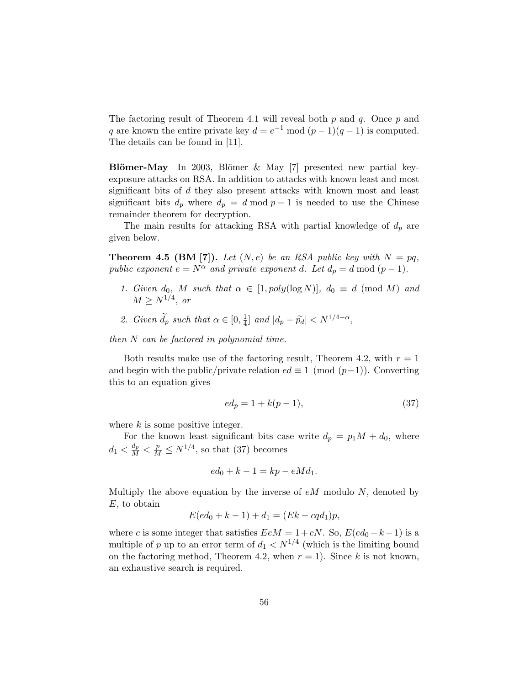The factoring result of Theorem 4.1 will reveal both  $p$  and  $q$ . Once  $p$  and q are known the entire private key  $d = e^{-1} \mod (p-1)(q-1)$  is computed. The details can be found in [11].

Blömer-May In 2003, Blömer  $\&$  May [7] presented new partial keyexposure attacks on RSA. In addition to attacks with known least and most significant bits of d they also present attacks with known most and least significant bits  $d_p$  where  $d_p = d \mod p - 1$  is needed to use the Chinese remainder theorem for decryption.

The main results for attacking RSA with partial knowledge of  $d_p$  are given below.

**Theorem 4.5 (BM [7]).** Let  $(N, e)$  be an RSA public key with  $N = pq$ , public exponent  $e = N^{\alpha}$  and private exponent d. Let  $d_p = d \mod (p-1)$ .

- 1. Given  $d_0$ , M such that  $\alpha \in [1, poly(\log N)]$ ,  $d_0 \equiv d \pmod{M}$  and  $M \ge N^{1/4}$ , or
- 2. Given  $\widetilde{d}_p$  such that  $\alpha \in [0, \frac{1}{4}]$  $\frac{1}{4}$ ] and  $|d_p - \widetilde{p}_d| < N^{1/4-\alpha}$ ,

then  $N$  can be factored in polynomial time.

Both results make use of the factoring result, Theorem 4.2, with  $r = 1$ and begin with the public/private relation  $ed \equiv 1 \pmod{(p-1)}$ . Converting this to an equation gives

$$
ed_p = 1 + k(p - 1),
$$
\n(37)

where  $k$  is some positive integer.

For the known least significant bits case write  $d_p = p_1M + d_0$ , where  $d_1 < \frac{d_p}{M} < \frac{p}{M} \le N^{1/4}$ , so that (37) becomes

$$
ed_0 + k - 1 = kp - eMd_1.
$$

Multiply the above equation by the inverse of  $eM$  modulo N, denoted by E, to obtain

$$
E(ed_0 + k - 1) + d_1 = (Ek - cqd_1)p,
$$

where c is some integer that satisfies  $EeM = 1 + cN$ . So,  $E(ed_0 + k - 1)$  is a multiple of p up to an error term of  $d_1 \langle N^{1/4} \rangle$  (which is the limiting bound on the factoring method, Theorem 4.2, when  $r = 1$ ). Since k is not known, an exhaustive search is required.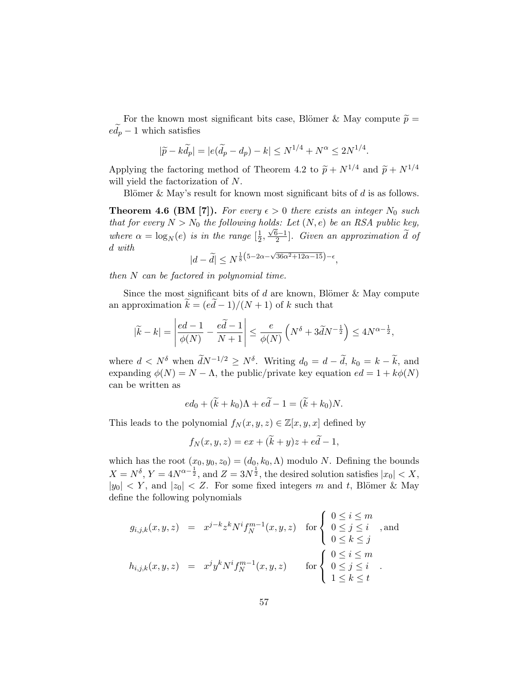For the known most significant bits case, Blömer & May compute  $\tilde{p} =$  $ed_p - 1$  which satisfies

$$
|\widetilde{p} - k\widetilde{d}_p| = |e(\widetilde{d}_p - d_p) - k| \le N^{1/4} + N^{\alpha} \le 2N^{1/4}.
$$

Applying the factoring method of Theorem 4.2 to  $\widetilde{p} + N^{1/4}$  and  $\widetilde{p} + N^{1/4}$ will yield the factorization of N.

Blömer & May's result for known most significant bits of  $d$  is as follows.

**Theorem 4.6 (BM [7]).** For every  $\epsilon > 0$  there exists an integer  $N_0$  such that for every  $N > N_0$  the following holds: Let  $(N, e)$  be an RSA public key, where  $\alpha = \log_N(e)$  is in the range  $\left[\frac{1}{2}\right]$  $\frac{1}{2}, \frac{\sqrt{6}-1}{2}$  $\frac{2^{n-1}}{2}$ . Given an approximation d of d with √

$$
|d - \tilde{d}| \le N^{\frac{1}{8}\left(5 - 2\alpha - \sqrt{36\alpha^2 + 12\alpha - 15}\right) - \epsilon},
$$

then  $N$  can be factored in polynomial time.

Since the most significant bits of  $d$  are known, Blömer  $\&$  May compute an approximation  $k = (ed - 1)/(N + 1)$  of k such that

$$
|\widetilde{k} - k| = \left| \frac{ed - 1}{\phi(N)} - \frac{e\widetilde{d} - 1}{N + 1} \right| \le \frac{e}{\phi(N)} \left( N^{\delta} + 3\widetilde{d}N^{-\frac{1}{2}} \right) \le 4N^{\alpha - \frac{1}{2}},
$$

where  $d < N^{\delta}$  when  $\widetilde{d}N^{-1/2} \ge N^{\delta}$ . Writing  $d_0 = d - \widetilde{d}$ ,  $k_0 = k - \widetilde{k}$ , and expanding  $\phi(N) = N - \Lambda$ , the public/private key equation  $ed = 1 + k\phi(N)$ can be written as

$$
ed_0 + (\widetilde{k} + k_0)\Lambda + e\widetilde{d} - 1 = (\widetilde{k} + k_0)N.
$$

This leads to the polynomial  $f_N(x, y, z) \in \mathbb{Z}[x, y, x]$  defined by

$$
f_N(x, y, z) = ex + (\widetilde{k} + y)z + e\widetilde{d} - 1,
$$

which has the root  $(x_0, y_0, z_0) = (d_0, k_0, \Lambda)$  modulo N. Defining the bounds  $X = N^{\delta}, Y = 4N^{\alpha - \frac{1}{2}}, \text{ and } Z = 3N^{\frac{1}{2}}, \text{ the desired solution satisfies } |x_0| < X,$  $|y_0| < Y$ , and  $|z_0| < Z$ . For some fixed integers m and t, Blömer & May define the following polynomials

$$
g_{i,j,k}(x,y,z) = x^{j-k} z^k N^i f_N^{m-1}(x,y,z) \quad \text{for }\begin{cases} 0 \le i \le m \\ 0 \le j \le i \\ 0 \le k \le j \end{cases}, \text{ and}
$$

$$
h_{i,j,k}(x,y,z) = x^j y^k N^i f_N^{m-1}(x,y,z) \quad \text{for }\begin{cases} 0 \le i \le m \\ 0 \le j \le i \\ 1 \le k \le t \end{cases}.
$$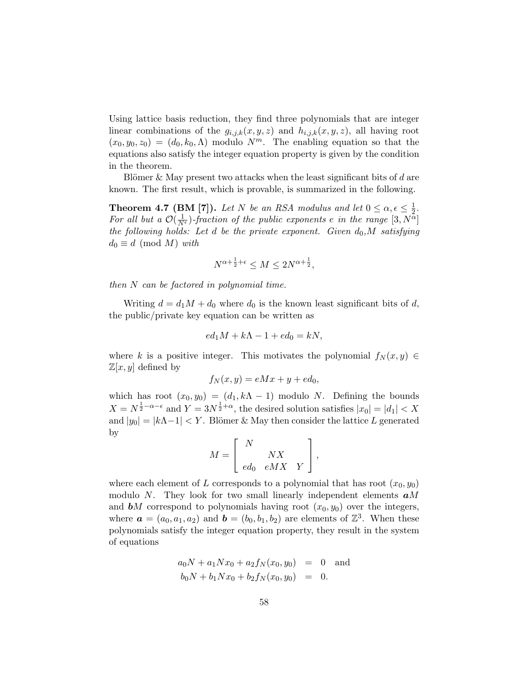Using lattice basis reduction, they find three polynomials that are integer linear combinations of the  $g_{i,j,k}(x, y, z)$  and  $h_{i,j,k}(x, y, z)$ , all having root  $(x_0, y_0, z_0) = (d_0, k_0, \Lambda)$  modulo  $N^m$ . The enabling equation so that the equations also satisfy the integer equation property is given by the condition in the theorem.

Blömer & May present two attacks when the least significant bits of  $d$  are known. The first result, which is provable, is summarized in the following.

**Theorem 4.7 (BM [7]).** Let N be an RSA modulus and let  $0 \le \alpha, \epsilon \le \frac{1}{2}$  $\frac{1}{2}$ . For all but a  $\mathcal{O}(\frac{1}{N^{\epsilon}})$ -fraction of the public exponents e in the range  $[3, N^{\alpha}]$ the following holds: Let d be the private exponent. Given  $d_0$ , M satisfying  $d_0 \equiv d \pmod{M}$  with

$$
N^{\alpha + \frac{1}{2} + \epsilon} \le M \le 2N^{\alpha + \frac{1}{2}},
$$

then  $N$  can be factored in polynomial time.

Writing  $d = d_1M + d_0$  where  $d_0$  is the known least significant bits of d, the public/private key equation can be written as

$$
ed_1M + k\Lambda - 1 + ed_0 = kN,
$$

where k is a positive integer. This motivates the polynomial  $f_N(x, y) \in$  $\mathbb{Z}[x,y]$  defined by

$$
f_N(x, y) = eMx + y + ed_0,
$$

which has root  $(x_0, y_0) = (d_1, k\Lambda - 1)$  modulo N. Defining the bounds  $X = N^{\frac{1}{2} - \alpha - \epsilon}$  and  $Y = 3N^{\frac{1}{2} + \alpha}$ , the desired solution satisfies  $|x_0| = |d_1| < X$ and  $|y_0| = |k\Lambda - 1| < Y$ . Blömer & May then consider the lattice L generated by

$$
M = \left[ \begin{array}{cc} N & \\ & N X \\ ed_0 & e M X & Y \end{array} \right],
$$

where each element of L corresponds to a polynomial that has root  $(x_0, y_0)$ modulo N. They look for two small linearly independent elements  $aM$ and **b**M correspond to polynomials having root  $(x_0, y_0)$  over the integers, where  $\boldsymbol{a} = (a_0, a_1, a_2)$  and  $\boldsymbol{b} = (b_0, b_1, b_2)$  are elements of  $\mathbb{Z}^3$ . When these polynomials satisfy the integer equation property, they result in the system of equations

$$
a_0N + a_1Nx_0 + a_2f_N(x_0, y_0) = 0
$$
 and  

$$
b_0N + b_1Nx_0 + b_2f_N(x_0, y_0) = 0.
$$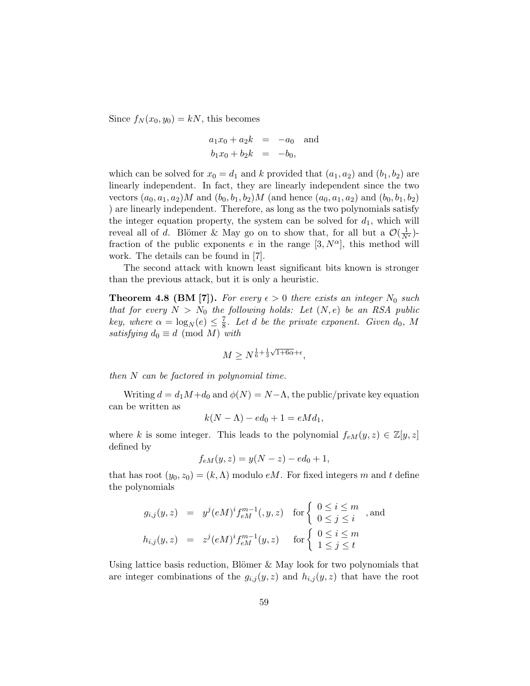Since  $f_N(x_0, y_0) = kN$ , this becomes

$$
a_1x_0 + a_2k = -a_0
$$
 and  
 $b_1x_0 + b_2k = -b_0$ ,

which can be solved for  $x_0 = d_1$  and k provided that  $(a_1, a_2)$  and  $(b_1, b_2)$  are linearly independent. In fact, they are linearly independent since the two vectors  $(a_0, a_1, a_2)M$  and  $(b_0, b_1, b_2)M$  (and hence  $(a_0, a_1, a_2)$  and  $(b_0, b_1, b_2)$ ) ) are linearly independent. Therefore, as long as the two polynomials satisfy the integer equation property, the system can be solved for  $d_1$ , which will reveal all of d. Blömer & May go on to show that, for all but a  $\mathcal{O}(\frac{1}{N^{\epsilon}})$ fraction of the public exponents e in the range  $[3, N^{\alpha}]$ , this method will work. The details can be found in [7].

The second attack with known least significant bits known is stronger than the previous attack, but it is only a heuristic.

**Theorem 4.8 (BM [7]).** For every  $\epsilon > 0$  there exists an integer  $N_0$  such that for every  $N > N_0$  the following holds: Let  $(N, e)$  be an RSA public key, where  $\alpha = \log_N(e) \leq \frac{7}{8}$  $\frac{7}{8}$ . Let d be the private exponent. Given  $d_0$ , M satisfying  $d_0 \equiv d \pmod{M}$  with

$$
M \ge N^{\frac{1}{6} + \frac{1}{3}\sqrt{1+6\alpha} + \epsilon},
$$

then  $N$  can be factored in polynomial time.

Writing  $d = d_1M + d_0$  and  $\phi(N) = N - \Lambda$ , the public/private key equation can be written as

$$
k(N - \Lambda) - ed_0 + 1 = eMd_1,
$$

where k is some integer. This leads to the polynomial  $f_{eM}(y, z) \in \mathbb{Z}[y, z]$ defined by

$$
f_{eM}(y, z) = y(N - z) - ed_0 + 1,
$$

that has root  $(y_0, z_0) = (k, \Lambda)$  modulo eM. For fixed integers m and t define the polynomials

$$
g_{i,j}(y, z) = y^{j}(eM)^{i} f_{eM}^{m-1}(y, z) \quad \text{for }\begin{cases} 0 \leq i \leq m \\ 0 \leq j \leq i \end{cases}, \text{ and}
$$

$$
h_{i,j}(y, z) = z^{j}(eM)^{i} f_{eM}^{m-1}(y, z) \quad \text{for }\begin{cases} 0 \leq i \leq m \\ 1 \leq j \leq t \end{cases}
$$

Using lattice basis reduction, Blömer  $\&$  May look for two polynomials that are integer combinations of the  $g_{i,j}(y, z)$  and  $h_{i,j}(y, z)$  that have the root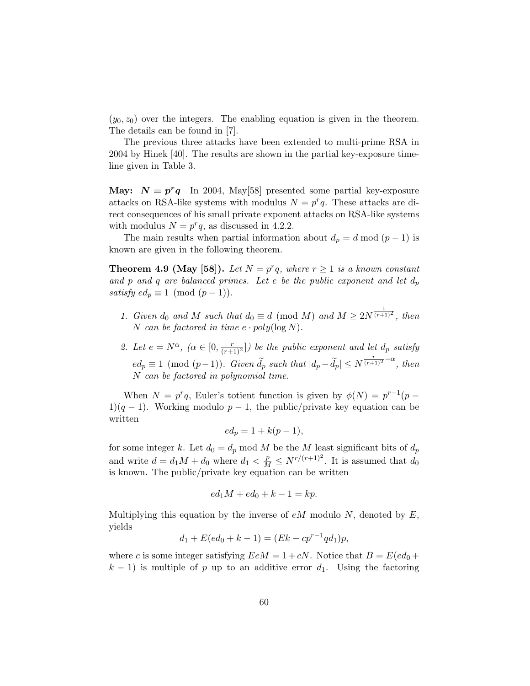$(y_0, z_0)$  over the integers. The enabling equation is given in the theorem. The details can be found in [7].

The previous three attacks have been extended to multi-prime RSA in 2004 by Hinek [40]. The results are shown in the partial key-exposure timeline given in Table 3.

May:  $N = p^r q$  In 2004, May [58] presented some partial key-exposure attacks on RSA-like systems with modulus  $N = p^r q$ . These attacks are direct consequences of his small private exponent attacks on RSA-like systems with modulus  $N = p^r q$ , as discussed in 4.2.2.

The main results when partial information about  $d_p = d \mod (p-1)$  is known are given in the following theorem.

**Theorem 4.9 (May [58]).** Let  $N = p^r q$ , where  $r \ge 1$  is a known constant and p and q are balanced primes. Let e be the public exponent and let  $d_p$ satisfy  $ed_p \equiv 1 \pmod{(p-1)}$ .

- 1. Given  $d_0$  and M such that  $d_0 \equiv d \pmod{M}$  and  $M \geq 2N^{\frac{1}{(r+1)^2}}$ , then N can be factored in time  $e \cdot poly(\log N)$ .
- 2. Let  $e = N^{\alpha}$ ,  $(\alpha \in [0, \frac{r}{(r+1)^2}])$  be the public exponent and let  $d_p$  satisfy  $ed_p \equiv 1 \pmod{(p-1)}$ . Given  $\widetilde{d}_p$  such that  $|d_p - \widetilde{d}_p| \le N^{\frac{r}{(r+1)^2} - \alpha}$ , then N can be factored in polynomial time.

When  $N = p^r q$ , Euler's totient function is given by  $\phi(N) = p^{r-1}(p 1(q-1)$ . Working modulo  $p-1$ , the public/private key equation can be written

$$
ed_p = 1 + k(p-1),
$$

for some integer k. Let  $d_0 = d_p \mod M$  be the M least significant bits of  $d_p$ and write  $d = d_1M + d_0$  where  $d_1 < \frac{p}{M} \le N^{r/(r+1)^2}$ . It is assumed that  $d_0$ is known. The public/private key equation can be written

$$
ed_1M + ed_0 + k - 1 = kp.
$$

Multiplying this equation by the inverse of  $eM$  modulo N, denoted by E, yields

$$
d_1 + E(ed_0 + k - 1) = (Ek - cp^{r-1}qd_1)p,
$$

where c is some integer satisfying  $EeM = 1 + cN$ . Notice that  $B = E(ed_0 +$  $k-1$ ) is multiple of p up to an additive error  $d_1$ . Using the factoring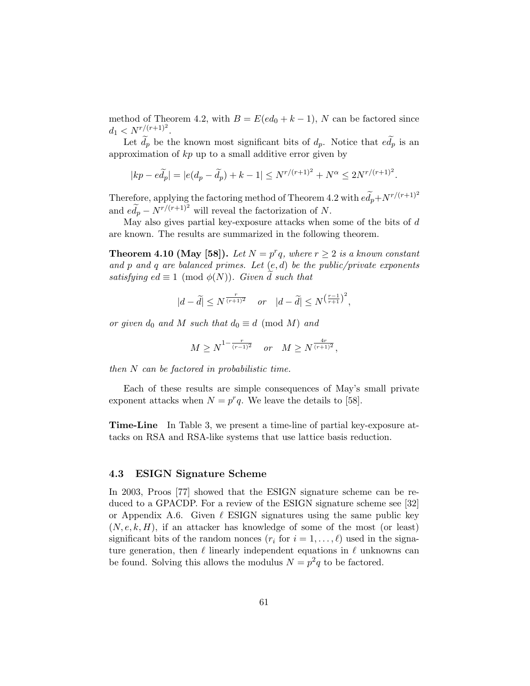method of Theorem 4.2, with  $B = E(ed_0 + k - 1)$ , N can be factored since  $d_1 < N^{r/(r+1)^2}$ .

Let  $\tilde{d}_p$  be the known most significant bits of  $d_p$ . Notice that  $e\tilde{d}_p$  is an approximation of  $kp$  up to a small additive error given by

$$
|kp - e\widetilde{d}_p| = |e(d_p - \widetilde{d}_p) + k - 1| \le N^{r/(r+1)^2} + N^{\alpha} \le 2N^{r/(r+1)^2}.
$$

Therefore, applying the factoring method of Theorem 4.2 with  $e\widetilde{d}_p+N^{r/(r+1)^2}$ and  $e\widetilde{d}_p - N^{r/(r+1)^2}$  will reveal the factorization of N.

May also gives partial key-exposure attacks when some of the bits of  $d$ are known. The results are summarized in the following theorem.

**Theorem 4.10 (May [58]).** Let  $N = p^r q$ , where  $r \geq 2$  is a known constant and p and q are balanced primes. Let  $(e, d)$  be the public/private exponents satisfying  $ed \equiv 1 \pmod{\phi(N)}$ . Given d such that

$$
|d - \widetilde{d}| \le N^{\frac{r}{(r+1)^2}} \quad or \quad |d - \widetilde{d}| \le N^{\left(\frac{r-1}{r+1}\right)^2},
$$

or given  $d_0$  and M such that  $d_0 \equiv d \pmod{M}$  and

$$
M \ge N^{1 - \frac{r}{(r-1)^2}} \quad or \quad M \ge N^{\frac{4r}{(r+1)^2}},
$$

then N can be factored in probabilistic time.

Each of these results are simple consequences of May's small private exponent attacks when  $N = p^r q$ . We leave the details to [58].

Time-Line In Table 3, we present a time-line of partial key-exposure attacks on RSA and RSA-like systems that use lattice basis reduction.

#### 4.3 ESIGN Signature Scheme

In 2003, Proos [77] showed that the ESIGN signature scheme can be reduced to a GPACDP. For a review of the ESIGN signature scheme see [32] or Appendix A.6. Given  $\ell$  ESIGN signatures using the same public key  $(N, e, k, H)$ , if an attacker has knowledge of some of the most (or least) significant bits of the random nonces  $(r_i \text{ for } i = 1, \ldots, \ell)$  used in the signature generation, then  $\ell$  linearly independent equations in  $\ell$  unknowns can be found. Solving this allows the modulus  $N = p^2q$  to be factored.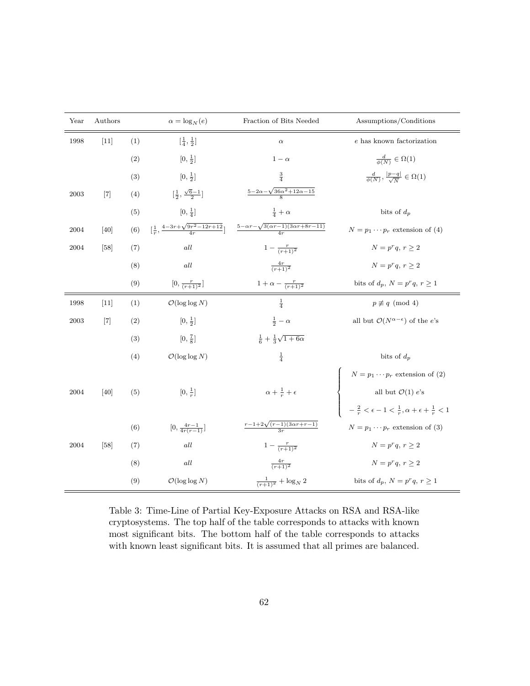| Year | Authors |     | $\alpha = \log_N(e)$                                           | Fraction of Bits Needed                                                 | Assumptions/Conditions                                                                                                                                                                   |  |  |
|------|---------|-----|----------------------------------------------------------------|-------------------------------------------------------------------------|------------------------------------------------------------------------------------------------------------------------------------------------------------------------------------------|--|--|
| 1998 | $[11]$  | (1) | $[\frac{1}{4}, \frac{1}{2}]$                                   | $\alpha$                                                                | $e$ has known factorization                                                                                                                                                              |  |  |
|      |         | (2) | $[0, \frac{1}{2}]$                                             | $1-\alpha$                                                              | $\frac{d}{\phi(N)} \in \Omega(1)$                                                                                                                                                        |  |  |
|      |         | (3) | $[0, \frac{1}{2}]$                                             | $\frac{3}{4}$                                                           | $\frac{d}{\phi(N)}, \frac{ p-q }{\sqrt{N}} \in \Omega(1)$                                                                                                                                |  |  |
| 2003 | $[7]$   | (4) | $\left[\frac{1}{2},\frac{\sqrt{6}-1}{2}\right]$                | $\frac{5-2\alpha-\sqrt{36\alpha^2+12\alpha-15}}{8}$                     |                                                                                                                                                                                          |  |  |
|      |         | (5) | $[0, \frac{1}{4}]$                                             | $rac{1}{4} + \alpha$                                                    | bits of $d_p$                                                                                                                                                                            |  |  |
| 2004 | [40]    | (6) | $\left[\frac{1}{r}, \frac{4-3r+\sqrt{9r^2-12r+12}}{4r}\right]$ | $\frac{5 - \alpha r - \sqrt{3(\alpha r - 1)(3\alpha r + 8r - 11)}}{4r}$ | $N = p_1 \cdots p_r$ extension of (4)                                                                                                                                                    |  |  |
| 2004 | $[58]$  | (7) | all                                                            | $1 - \frac{r}{(r+1)^2}$                                                 | $N = p^r q, r \geq 2$                                                                                                                                                                    |  |  |
|      |         | (8) | $all$                                                          | $\frac{4r}{(r+1)^2}$                                                    | $N = p^r q, r \geq 2$                                                                                                                                                                    |  |  |
|      |         | (9) | $[0, \frac{r}{(r+1)^2}]$                                       | $1 + \alpha - \frac{r}{(r+1)^2}$                                        | bits of $d_p$ , $N = p^r q$ , $r \ge 1$                                                                                                                                                  |  |  |
| 1998 | $[11]$  | (1) | $\mathcal{O}(\log \log N)$                                     | $\frac{1}{4}$                                                           | $p \not\equiv q \pmod{4}$                                                                                                                                                                |  |  |
| 2003 | $[7]$   | (2) | $[0, \frac{1}{2}]$                                             | $rac{1}{2} - \alpha$                                                    | all but $\mathcal{O}(N^{\alpha-\epsilon})$ of the e's                                                                                                                                    |  |  |
|      |         | (3) | $[0,\frac{7}{8}]$                                              | $\frac{1}{6} + \frac{1}{3}\sqrt{1+6\alpha}$                             |                                                                                                                                                                                          |  |  |
|      |         | (4) | $\mathcal{O}(\log \log N)$                                     | $\frac{1}{4}$                                                           | bits of $d_p$                                                                                                                                                                            |  |  |
|      |         |     |                                                                |                                                                         |                                                                                                                                                                                          |  |  |
| 2004 | [40]    | (5) | $[0,\frac{1}{r}]$                                              | $\alpha + \frac{1}{r} + \epsilon$                                       | <i>N</i> = <i>p</i> <sub>1</sub> ··· <i>p</i> <sub><i>r</i></sub> extension of (2)<br>all but <i>O</i> (1) <i>e</i> 's<br>- $\frac{2}{r} < ε - 1 < \frac{1}{r}, α + ε + \frac{1}{r} < 1$ |  |  |
|      |         |     |                                                                |                                                                         |                                                                                                                                                                                          |  |  |
|      |         | (6) | $[0, \frac{4r-1}{4r(r-1)}]$                                    | $\frac{r-1+2\sqrt{(r-1)(3\alpha r+r-1)}}{3r}$                           | $N = p_1 \cdots p_r$ extension of (3)                                                                                                                                                    |  |  |
| 2004 | [58]    | (7) | all                                                            | $1 - \frac{r}{(r+1)^2}$                                                 | $N = p^r q, r \geq 2$                                                                                                                                                                    |  |  |
|      |         | (8) | $all$                                                          | $\frac{4r}{(r+1)^2}$                                                    | $N=p^r q, r>2$                                                                                                                                                                           |  |  |
|      |         | (9) | $\mathcal{O}(\log \log N)$                                     | $\frac{1}{(r+1)^2} + \log_N 2$                                          | bits of $d_p$ , $N = p^r q$ , $r \ge 1$                                                                                                                                                  |  |  |

Table 3: Time-Line of Partial Key-Exposure Attacks on RSA and RSA-like cryptosystems. The top half of the table corresponds to attacks with known most significant bits. The bottom half of the table corresponds to attacks with known least significant bits. It is assumed that all primes are balanced.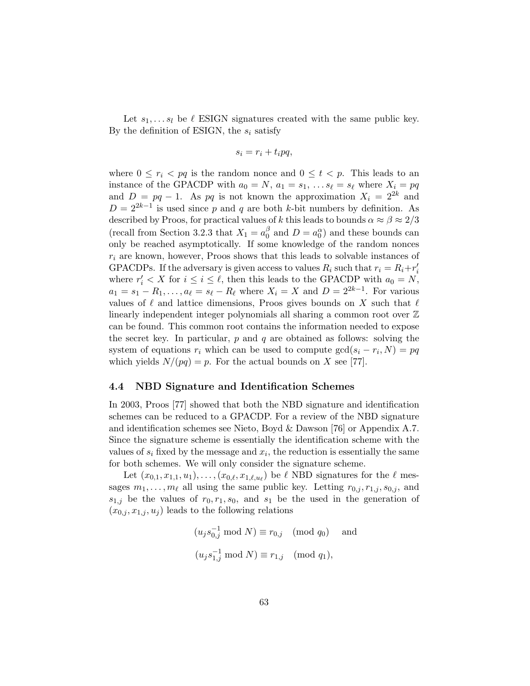Let  $s_1, \ldots s_l$  be  $\ell$  ESIGN signatures created with the same public key. By the definition of ESIGN, the  $s_i$  satisfy

$$
s_i = r_i + t_i p q,
$$

where  $0 \le r_i < pq$  is the random nonce and  $0 \le t < p$ . This leads to an instance of the GPACDP with  $a_0 = N$ ,  $a_1 = s_1, \ldots s_\ell = s_\ell$  where  $X_i = pq$ and  $D = pq - 1$ . As pq is not known the approximation  $X_i = 2^{2k}$  and  $D = 2^{2k-1}$  is used since p and q are both k-bit numbers by definition. As described by Proos, for practical values of k this leads to bounds  $\alpha \approx \beta \approx 2/3$ (recall from Section 3.2.3 that  $X_1 = a_0^{\beta}$  $\int_0^\beta$  and  $D = a_0^\alpha$  and these bounds can only be reached asymptotically. If some knowledge of the random nonces  $r_i$  are known, however, Proos shows that this leads to solvable instances of GPACDPs. If the adversary is given access to values  $R_i$  such that  $r_i = R_i + r'_i$ where  $r'_i < X$  for  $i \leq i \leq \ell$ , then this leads to the GPACDP with  $a_0 = N$ ,  $a_1 = s_1 - R_1, \ldots, a_\ell = s_\ell - R_\ell$  where  $X_i = X$  and  $D = 2^{2k-1}$ . For various values of  $\ell$  and lattice dimensions, Proos gives bounds on X such that  $\ell$ linearly independent integer polynomials all sharing a common root over Z can be found. This common root contains the information needed to expose the secret key. In particular,  $p$  and  $q$  are obtained as follows: solving the system of equations  $r_i$  which can be used to compute  $gcd(s_i - r_i, N) = pq$ which yields  $N/(pq) = p$ . For the actual bounds on X see [77].

#### 4.4 NBD Signature and Identification Schemes

In 2003, Proos [77] showed that both the NBD signature and identification schemes can be reduced to a GPACDP. For a review of the NBD signature and identification schemes see Nieto, Boyd & Dawson [76] or Appendix A.7. Since the signature scheme is essentially the identification scheme with the values of  $s_i$  fixed by the message and  $x_i$ , the reduction is essentially the same for both schemes. We will only consider the signature scheme.

Let  $(x_{0,1}, x_{1,1}, u_1), \ldots, (x_{0,\ell}, x_{1,\ell,u_{\ell}})$  be  $\ell$  NBD signatures for the  $\ell$  messages  $m_1, \ldots, m_\ell$  all using the same public key. Letting  $r_{0,i}, r_{1,i}, s_{0,i}$ , and  $s_{1,j}$  be the values of  $r_0, r_1, s_0$ , and  $s_1$  be the used in the generation of  $(x_{0,i}, x_{1,i}, u_i)$  leads to the following relations

$$
(u_j s_{0,j}^{-1} \mod N) \equiv r_{0,j} \pmod{q_0} \text{ and}
$$
  

$$
(u_j s_{1,j}^{-1} \mod N) \equiv r_{1,j} \pmod{q_1},
$$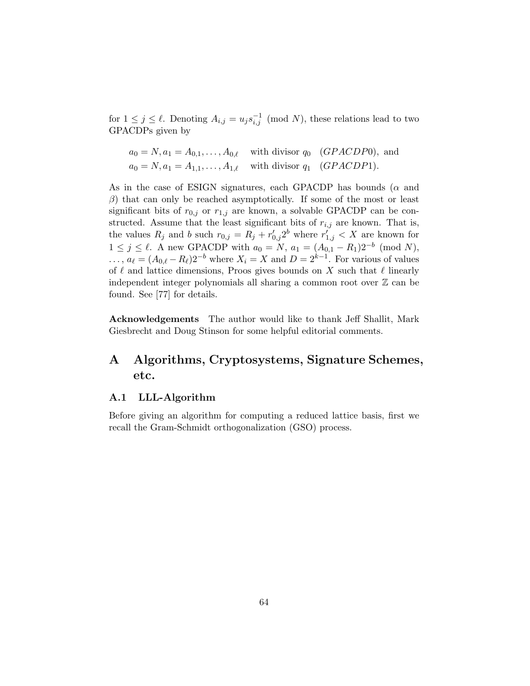for  $1 \leq j \leq \ell$ . Denoting  $A_{i,j} = u_j s_{i,j}^{-1} \pmod{N}$ , these relations lead to two GPACDPs given by

$$
a_0 = N, a_1 = A_{0,1}, \dots, A_{0,\ell}
$$
 with divisor  $q_0$  (*GPACDP0*), and  

$$
a_0 = N, a_1 = A_{1,1}, \dots, A_{1,\ell}
$$
 with divisor  $q_1$  (*GPACDP1*).

As in the case of ESIGN signatures, each GPACDP has bounds ( $\alpha$  and  $\beta$ ) that can only be reached asymptotically. If some of the most or least significant bits of  $r_{0,j}$  or  $r_{1,j}$  are known, a solvable GPACDP can be constructed. Assume that the least significant bits of  $r_{i,j}$  are known. That is, the values  $R_j$  and b such  $r_{0,j} = R_j + r'_{0,j}2^b$  where  $r'_{1,j} < X$  are known for  $1 \leq j \leq \ell$ . A new GPACDP with  $a_0 = N$ ,  $a_1 = (A_{0,1} - R_1)2^{-b}$  (mod N),  $\ldots, a_{\ell} = (A_{0,\ell} - R_{\ell})2^{-b}$  where  $X_i = X$  and  $D = 2^{k-1}$ . For various of values of  $\ell$  and lattice dimensions, Proos gives bounds on X such that  $\ell$  linearly independent integer polynomials all sharing a common root over  $\mathbb Z$  can be found. See [77] for details.

Acknowledgements The author would like to thank Jeff Shallit, Mark Giesbrecht and Doug Stinson for some helpful editorial comments.

# A Algorithms, Cryptosystems, Signature Schemes, etc.

## A.1 LLL-Algorithm

Before giving an algorithm for computing a reduced lattice basis, first we recall the Gram-Schmidt orthogonalization (GSO) process.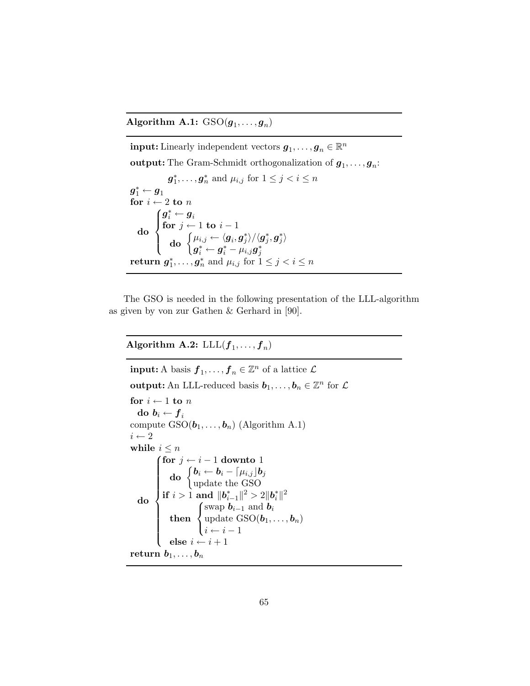Algorithm A.1:  $\mathrm{GSO}(\boldsymbol{g}_1,\ldots,\boldsymbol{g}_n)$ 

 $\textbf{input:}$  Linearly independent vectors  $\boldsymbol{g}_1, \ldots, \boldsymbol{g}_n \in \mathbb{R}^n$ **output:** The Gram-Schmidt orthogonalization of  $g_1, \ldots, g_n$ :  $g_1^*, \ldots, g_n^*$  and  $\mu_{i,j}$  for  $1 \leq j < i \leq n$  $\boldsymbol{g}_1^* \leftarrow \boldsymbol{g}_1$ for  $i \leftarrow 2$  to  $n$ do  $\sqrt{ }$  $\int$  $\overline{\mathcal{L}}$  $\boldsymbol{g}_i^* \leftarrow \boldsymbol{g}_i$ for  $j \leftarrow 1$  to  $i - 1$  $\textbf{do} \; \left\{ \mu_{i,j} \leftarrow \langle \boldsymbol{g}_i, \boldsymbol{g}_j^* \rangle / \langle \boldsymbol{g}_j^*, \boldsymbol{g}_j^* \rangle \right. \right. \ \left. \left. \right. \right.$  $\begin{array}{l} {\bf u_0}\quad \big\{ \boldsymbol{g}_{i}^* \leftarrow \boldsymbol{g}_{i}^* - \mu_{i,j}\boldsymbol{g}_{j}^* \ \mathbf{g}_{j}^* \ldots, \boldsymbol{g}_{n}^* \text{ and } \mu_{i,j} \text{ for } 1 \leq j < i \leq n \end{array}$ return  $g_1^*, \ldots, g_n^*$  and  $\mu_i$ 

The GSO is needed in the following presentation of the LLL-algorithm as given by von zur Gathen & Gerhard in [90].

Algorithm A.2:  $\text{LLL}(f_1,\ldots,f_n)$ 

 $\textbf{input:} \ A \ \text{basis} \ \boldsymbol{f}_1, \dots, \boldsymbol{f}_n \in \mathbb{Z}^n \ \text{of a lattice } \ \mathcal{L}$ output: An LLL-reduced basis  $b_1, \ldots, b_n \in \mathbb{Z}^n$  for  $\mathcal L$ for  $i \leftarrow 1$  to n do  $b_i \leftarrow f_i$ compute  $GSO(b_1, \ldots, b_n)$  (Algorithm A.1)  $i \leftarrow 2$ while  $i \leq n$ do  $\sqrt{ }$  $\begin{array}{c} \hline \end{array}$  $\overline{\phantom{a}}$ for  $j \leftarrow i - 1$  downto 1  $\textbf{do} \ \begin{cases} \textbf{b}_i \leftarrow \textbf{b}_i - \lceil \mu_{i,j} \rfloor \textbf{b}_j \ \text{on} \ \text{data} \ \textbf{the} \ \text{GSO} \end{cases}$ update the GSO  $\textbf{if} \,\, i > \hat{1} \,\, \textbf{and} \,\, \|{\boldsymbol{b}}^*_{i-1}\|^2 > 2\|{\boldsymbol{b}}^*_i\|^2$ then  $\sqrt{ }$ J  $\mathcal{L}$ swap  $b_{i-1}$  and  $b_i$ update  $\mathrm{GSO}(\boldsymbol{b}_1,\ldots,\boldsymbol{b}_n)$  $i \leftarrow i - 1$ else  $i \leftarrow i + 1$ return  $b_1, \ldots, b_n$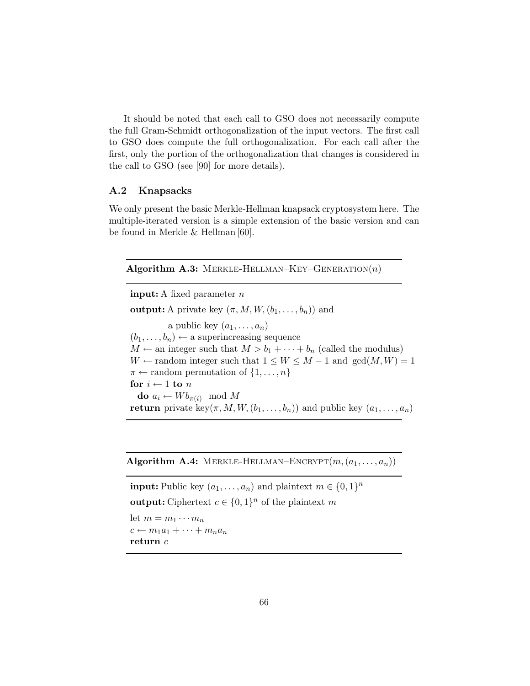It should be noted that each call to GSO does not necessarily compute the full Gram-Schmidt orthogonalization of the input vectors. The first call to GSO does compute the full orthogonalization. For each call after the first, only the portion of the orthogonalization that changes is considered in the call to GSO (see [90] for more details).

## A.2 Knapsacks

We only present the basic Merkle-Hellman knapsack cryptosystem here. The multiple-iterated version is a simple extension of the basic version and can be found in Merkle & Hellman [60].

#### Algorithm A.3: MERKLE-HELLMAN–KEY–GENERATION $(n)$

input: A fixed parameter n output: A private key  $(\pi, M, W, (b_1, \ldots, b_n))$  and a public key  $(a_1, \ldots, a_n)$  $(b_1, \ldots, b_n) \leftarrow$  a superincreasing sequence  $M \leftarrow$  an integer such that  $M > b_1 + \cdots + b_n$  (called the modulus)  $W \leftarrow$  random integer such that  $1 \leq W \leq M - 1$  and  $gcd(M, W) = 1$  $\pi \leftarrow$  random permutation of  $\{1, \ldots, n\}$ for  $i \leftarrow 1$  to n do  $a_i \leftarrow W b_{\pi(i)} \mod M$ return private key $(\pi, M, W, (b_1, \ldots, b_n))$  and public key  $(a_1, \ldots, a_n)$ 

Algorithm A.4: MERKLE-HELLMAN–ENCRYPT $(m, (a_1, \ldots, a_n))$ 

**input:** Public key  $(a_1, \ldots, a_n)$  and plaintext  $m \in \{0, 1\}^n$ **output:** Ciphertext  $c \in \{0,1\}^n$  of the plaintext m let  $m = m_1 \cdots m_n$  $c \leftarrow m_1a_1 + \cdots + m_na_n$ return c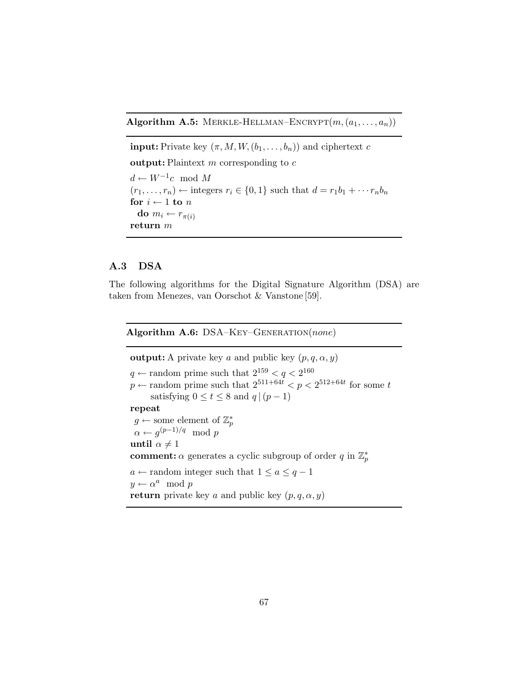Algorithm A.5: MERKLE-HELLMAN–ENCRYPT $(m, (a_1, \ldots, a_n))$ 

**input:** Private key  $(\pi, M, W, (b_1, \ldots, b_n))$  and ciphertext c output: Plaintext  $m$  corresponding to  $c$  $d$  ←  $W^{-1}c$  mod M  $(r_1, \ldots, r_n) \leftarrow$  integers  $r_i \in \{0, 1\}$  such that  $d = r_1 b_1 + \cdots + r_n b_n$ for  $i \leftarrow 1$  to  $n$ do  $m_i \leftarrow r_{\pi(i)}$ return m

## A.3 DSA

The following algorithms for the Digital Signature Algorithm (DSA) are taken from Menezes, van Oorschot & Vanstone [59].

Algorithm A.6: DSA-KEY-GENERATION(none)

**output:** A private key a and public key  $(p, q, \alpha, y)$  $q \leftarrow$  random prime such that  $2^{159} < q < 2^{160}$  $p \leftarrow$  random prime such that  $2^{511+64t} < p < 2^{512+64t}$  for some t satisfying  $0 \le t \le 8$  and  $q \mid (p-1)$ repeat  $g \leftarrow$  some element of  $\mathbb{Z}_p^*$  $\alpha \leftarrow g^{(p-1)/q} \mod p$ until  $\alpha \neq 1$ **comment:**  $\alpha$  generates a cyclic subgroup of order q in  $\mathbb{Z}_p^*$  $a \leftarrow$  random integer such that  $1 \le a \le q - 1$  $y \leftarrow \alpha^a \mod p$ return private key a and public key  $(p, q, \alpha, y)$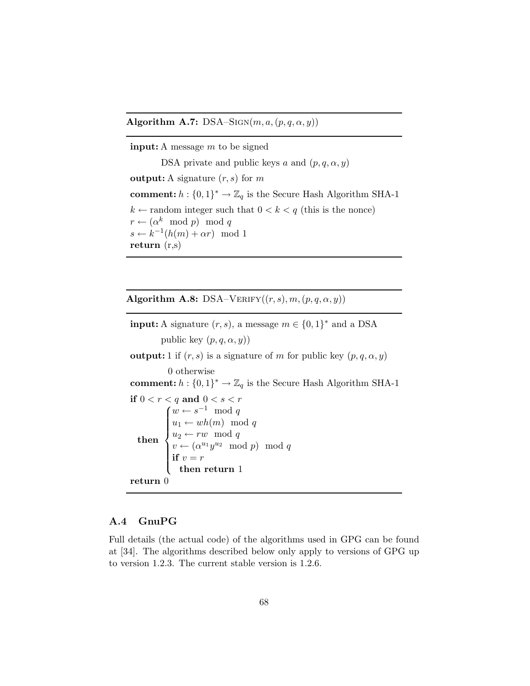Algorithm A.7:  $DSA-SIGN(m, a, (p, q, \alpha, y))$ 

input: A message m to be signed DSA private and public keys a and  $(p, q, \alpha, y)$ **output:** A signature  $(r, s)$  for m **comment:**  $h: \{0,1\}^* \to \mathbb{Z}_q$  is the Secure Hash Algorithm SHA-1  $k \leftarrow$  random integer such that  $0 \lt k \lt q$  (this is the nonce)  $r \leftarrow (\alpha^k \mod p) \mod q$  $s \leftarrow k^{-1}(h(m) + \alpha r) \mod 1$ return (r,s)

Algorithm A.8: DSA–VERIFY $((r, s), m, (p, q, \alpha, y))$ 

**input:** A signature  $(r, s)$ , a message  $m \in \{0, 1\}^*$  and a DSA public key  $(p, q, \alpha, y)$ **output:** 1 if  $(r, s)$  is a signature of m for public key  $(p, q, \alpha, y)$ 0 otherwise **comment:**  $h: \{0,1\}^* \to \mathbb{Z}_q$  is the Secure Hash Algorithm SHA-1 if  $0 < r < q$  and  $0 < s < r$ then  $\sqrt{ }$  $\int$  $\overline{\mathcal{L}}$  $w \leftarrow s^{-1} \mod q$  $u_1 \leftarrow wh(m) \mod q$  $u_2 \leftarrow rw \mod q$  $v \leftarrow (\alpha^{u_1} y^{u_2} \mod p) \mod q$ if  $v = r$ then return 1 return 0

## A.4 GnuPG

Full details (the actual code) of the algorithms used in GPG can be found at [34]. The algorithms described below only apply to versions of GPG up to version 1.2.3. The current stable version is 1.2.6.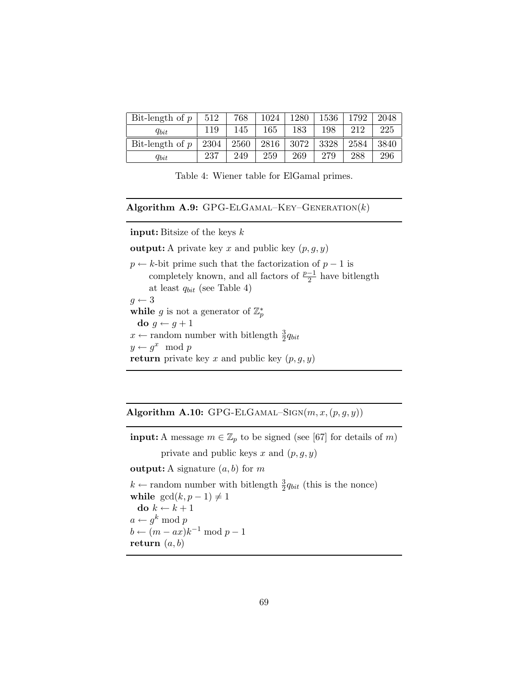| Bit-length of $p$ | 512  | 768  | 1024 | 1280 | 1536 | 1792 | 2048 |
|-------------------|------|------|------|------|------|------|------|
| $q_{bit}$         | 119  | 145  | 165  | 183  | 198  | 212  | 225  |
| Bit-length of $p$ | 2304 | 2560 | 2816 | 3072 | 3328 | 2584 | 3840 |
| $q_{bit}$         | 237  | 249  | 259  | 269  | 279  | 288  | 296  |

Table 4: Wiener table for ElGamal primes.

Algorithm A.9: GPG-ELGAMAL-KEY-GENERATION $(k)$ 

input: Bitsize of the keys k

**output:** A private key x and public key  $(p, g, y)$ 

 $p \leftarrow k$ -bit prime such that the factorization of  $p - 1$  is completely known, and all factors of  $\frac{p-1}{2}$  have bitlength at least  $q_{bit}$  (see Table 4)  $g \leftarrow 3$ while g is not a generator of  $\mathbb{Z}_p^*$ do  $g \leftarrow g + 1$  $x \leftarrow$  random number with bitlength  $\frac{3}{2}q_{bit}$  $y \leftarrow g^x \mod p$ return private key x and public key  $(p, g, y)$ 

Algorithm A.10: GPG-ELGAMAL–SIGN $(m, x, (p, g, y))$ 

**input:** A message  $m \in \mathbb{Z}_p$  to be signed (see [67] for details of m) private and public keys  $x$  and  $(p, g, y)$ 

**output:** A signature  $(a, b)$  for m

 $k \leftarrow$  random number with bitlength  $\frac{3}{2}q_{bit}$  (this is the nonce) while  $gcd(k, p - 1) \neq 1$ do  $k \leftarrow k + 1$  $a \leftarrow g^k \bmod p$  $b \leftarrow (m - ax)k^{-1} \mod p - 1$ return  $(a, b)$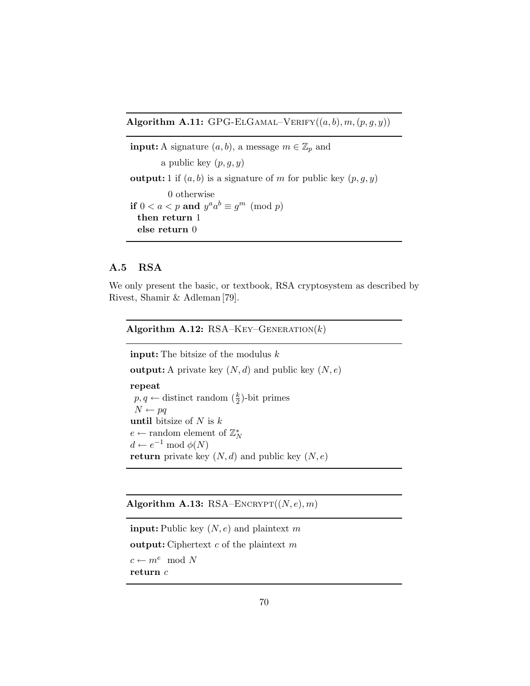Algorithm A.11: GPG-ELGAMAL–VERIFY $((a, b), m, (p, q, y))$ 

**input:** A signature  $(a, b)$ , a message  $m \in \mathbb{Z}_p$  and a public key  $(p, q, y)$ **output:** 1 if  $(a, b)$  is a signature of m for public key  $(p, q, y)$ 0 otherwise if  $0 < a < p$  and  $y^a a^b \equiv g^m \pmod{p}$ then return 1 else return 0

## A.5 RSA

We only present the basic, or textbook, RSA cryptosystem as described by Rivest, Shamir & Adleman [79].

### Algorithm A.12:  $RSA$ – $K$ ey– $GENERATION(k)$

**input:** The bitsize of the modulus  $k$ 

**output:** A private key  $(N, d)$  and public key  $(N, e)$ 

repeat  $p, q \leftarrow$  distinct random  $(\frac{k}{2})$ -bit primes  $N \leftarrow pq$ until bitsize of  $N$  is  $k$  $e \leftarrow$  random element of  $\mathbb{Z}_N^*$  $d \leftarrow e^{-1} \bmod \phi(N)$ return private key  $(N, d)$  and public key  $(N, e)$ 

### Algorithm A.13: RSA–ENCRYPT $((N, e), m)$

```
input: Public key (N, e) and plaintext m
output: Ciphertext c of the plaintext mc \leftarrow m^e \mod Nreturn c
```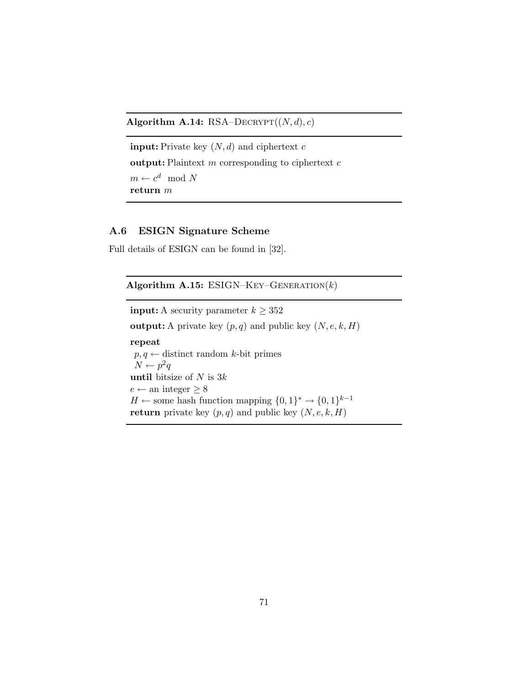Algorithm A.14: RSA–DECRYPT $((N, d), c)$ 

```
input: Private key (N, d) and ciphertext coutput: Plaintext m corresponding to ciphertext cm \leftarrow c^d \mod Nreturn m
```
# A.6 ESIGN Signature Scheme

Full details of ESIGN can be found in [32].

| Algorithm A.15: ESIGN-KEY-GENERATION(k)                                                                                                                                                                                                                                                                    |
|------------------------------------------------------------------------------------------------------------------------------------------------------------------------------------------------------------------------------------------------------------------------------------------------------------|
| <b>input:</b> A security parameter $k \geq 352$                                                                                                                                                                                                                                                            |
| <b>output:</b> A private key $(p, q)$ and public key $(N, e, k, H)$                                                                                                                                                                                                                                        |
| repeat<br>$p, q \leftarrow$ distinct random k-bit primes<br>$N \leftarrow p^2q$<br>until bitsize of N is $3k$<br>$e \leftarrow$ an integer $\geq 8$<br>$H \leftarrow$ some hash function mapping $\{0,1\}^* \rightarrow \{0,1\}^{k-1}$<br><b>return</b> private key $(p, q)$ and public key $(N, e, k, H)$ |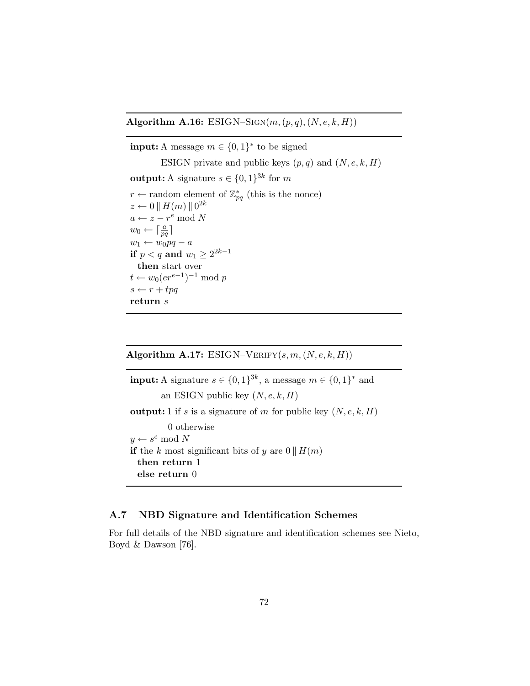Algorithm A.16: ESIGN–SIGN( $m, (p, q), (N, e, k, H)$ )

**input:** A message  $m \in \{0, 1\}^*$  to be signed ESIGN private and public keys  $(p, q)$  and  $(N, e, k, H)$ **output:** A signature  $s \in \{0,1\}^{3k}$  for m  $r \leftarrow$  random element of  $\mathbb{Z}_{pq}^*$  (this is the nonce)  $z \leftarrow 0 \parallel H(m) \parallel 0^{2k}$  $a \leftarrow z - r^e \bmod N$  $w_0 \leftarrow \lceil \frac{a}{pq} \rceil$  $w_1 \leftarrow w_0 pq - a$ if  $p < q$  and  $w_1 \geq 2^{2k-1}$ then start over  $t \leftarrow w_0(e^{e-1})^{-1} \mod p$  $s \leftarrow r + tpq$ return s

Algorithm A.17: ESIGN–VERIFY $(s, m, (N, e, k, H))$ 

**input:** A signature  $s \in \{0,1\}^{3k}$ , a message  $m \in \{0,1\}^*$  and an ESIGN public key  $(N, e, k, H)$ **output:** 1 if s is a signature of m for public key  $(N, e, k, H)$ 0 otherwise  $y \leftarrow s^e \mod N$ if the k most significant bits of y are  $0 \parallel H(m)$ then return 1 else return 0

## A.7 NBD Signature and Identification Schemes

For full details of the NBD signature and identification schemes see Nieto, Boyd & Dawson [76].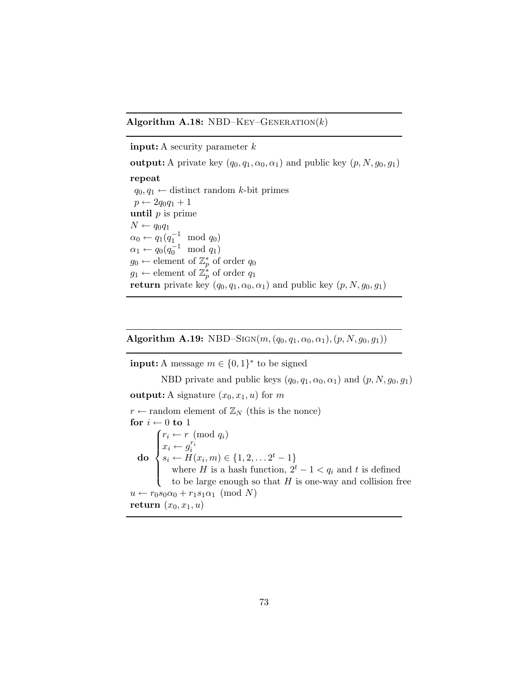## Algorithm A.18: NBD–KEY–GENERATION $(k)$

## **input:** A security parameter  $k$

output: A private key  $(q_0, q_1, \alpha_0, \alpha_1)$  and public key  $(p, N, g_0, g_1)$ 

repeat

 $q_0, q_1 \leftarrow$  distinct random k-bit primes  $p \leftarrow 2q_0q_1 + 1$ until  $p$  is prime  $N \leftarrow q_0 q_1$  $\alpha_0 \leftarrow q_1(q_1^{-1} \mod q_0)$  $\alpha_1 \leftarrow q_0(q_0^{-1} \mod q_1)$  $g_0 \leftarrow$  element of  $\mathbb{Z}_p^*$  of order  $q_0$  $g_1 \leftarrow$  element of  $\mathbb{Z}_p^*$  of order  $q_1$ return private key  $(q_0, q_1, \alpha_0, \alpha_1)$  and public key  $(p, N, g_0, g_1)$ 

Algorithm A.19: NBD–SIGN( $m, (q_0, q_1, \alpha_0, \alpha_1), (p, N, g_0, g_1)$ )

**input:** A message  $m \in \{0, 1\}^*$  to be signed

NBD private and public keys  $(q_0, q_1, \alpha_0, \alpha_1)$  and  $(p, N, g_0, g_1)$ output: A signature  $(x_0, x_1, u)$  for m  $r \leftarrow$  random element of  $\mathbb{Z}_N$  (this is the nonce) for  $i \leftarrow 0$  to 1

do  $\sqrt{ }$  $\int$  $\overline{\mathcal{L}}$  $r_i \leftarrow r \pmod{q_i}$  $x_i \leftarrow g_i^{r_i}$ <br>  $s_i \leftarrow H(x_i, m) \in \{1, 2, \dots 2^t - 1\}$ where H is a hash function,  $2^t - 1 < q_i$  and t is defined to be large enough so that  $H$  is one-way and collision free  $u \leftarrow r_0 s_0 \alpha_0 + r_1 s_1 \alpha_1 \pmod{N}$ return  $(x_0, x_1, u)$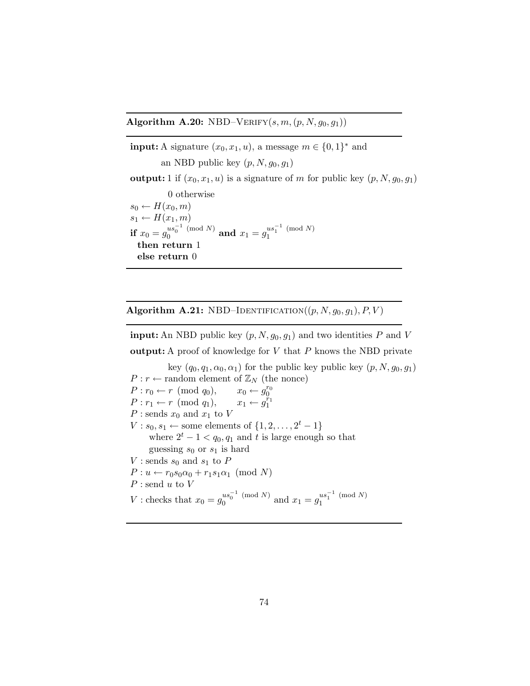Algorithm A.20: NBD–VERIFY $(s, m, (p, N, g_0, g_1))$ 

**input:** A signature  $(x_0, x_1, u)$ , a message  $m \in \{0, 1\}^*$  and an NBD public key  $(p, N, g_0, g_1)$ output: 1 if  $(x_0, x_1, u)$  is a signature of m for public key  $(p, N, g_0, g_1)$ 0 otherwise  $s_0 \leftarrow H(x_0, m)$  $s_1 \leftarrow H(x_1, m)$  ${\bf if}\,\, x_0 = g_0^{us_0^{-1}\pmod{N}}$  $\frac{us_0^{-1} \pmod{N}}{0}$  and  $x_1 = g_1^{us_1^{-1} \pmod{N}}$ 1 then return 1 else return 0

Algorithm A.21: NBD–IDENTIFICATION $((p, N, g_0, g_1), P, V)$ 

**input:** An NBD public key  $(p, N, g_0, g_1)$  and two identities P and V **output:** A proof of knowledge for  $V$  that  $P$  knows the NBD private

key  $(q_0, q_1, \alpha_0, \alpha_1)$  for the public key public key  $(p, N, g_0, g_1)$  $P: r \leftarrow$  random element of  $\mathbb{Z}_N$  (the nonce)  $P: r_0 \leftarrow r \pmod{q_0},$  $\begin{matrix} r_0\ 0\ r_1\ 1 \end{matrix}$  $P: r_1 \leftarrow r \pmod{q_1},$  $P$ : sends  $x_0$  and  $x_1$  to  $V$  $V: s_0, s_1 \leftarrow$  some elements of  $\{1, 2, \ldots, 2^t - 1\}$ where  $2^t - 1 < q_0, q_1$  and t is large enough so that guessing  $s_0$  or  $s_1$  is hard V : sends  $s_0$  and  $s_1$  to P  $P: u \leftarrow r_0 s_0 \alpha_0 + r_1 s_1 \alpha_1 \pmod{N}$  $P$ : send u to  $V$ V : checks that  $x_0 = g_0^{us_0^{-1} \pmod{N}}$  $u s_0^{-1} \pmod{N}$  and  $x_1 = g_1^{us_1^{-1} \pmod{N}}$ 1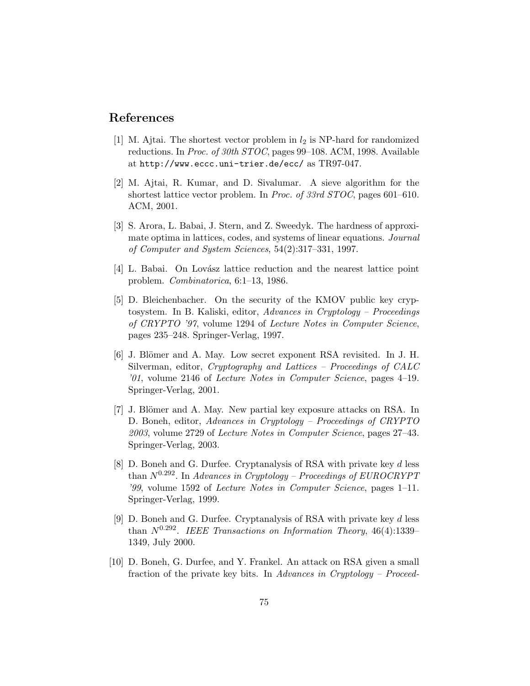## References

- [1] M. Ajtai. The shortest vector problem in  $l_2$  is NP-hard for randomized reductions. In Proc. of 30th STOC, pages 99–108. ACM, 1998. Available at http://www.eccc.uni-trier.de/ecc/ as TR97-047.
- [2] M. Ajtai, R. Kumar, and D. Sivalumar. A sieve algorithm for the shortest lattice vector problem. In Proc. of 33rd STOC, pages 601–610. ACM, 2001.
- [3] S. Arora, L. Babai, J. Stern, and Z. Sweedyk. The hardness of approximate optima in lattices, codes, and systems of linear equations. Journal of Computer and System Sciences, 54(2):317–331, 1997.
- [4] L. Babai. On Lovász lattice reduction and the nearest lattice point problem. Combinatorica, 6:1–13, 1986.
- [5] D. Bleichenbacher. On the security of the KMOV public key cryptosystem. In B. Kaliski, editor, Advances in Cryptology – Proceedings of CRYPTO '97, volume 1294 of Lecture Notes in Computer Science, pages 235–248. Springer-Verlag, 1997.
- [6] J. Blömer and A. May. Low secret exponent RSA revisited. In J. H. Silverman, editor, Cryptography and Lattices – Proceedings of CALC '01, volume 2146 of Lecture Notes in Computer Science, pages 4–19. Springer-Verlag, 2001.
- [7] J. Blömer and A. May. New partial key exposure attacks on RSA. In D. Boneh, editor, Advances in Cryptology – Proceedings of CRYPTO 2003, volume 2729 of Lecture Notes in Computer Science, pages 27–43. Springer-Verlag, 2003.
- [8] D. Boneh and G. Durfee. Cryptanalysis of RSA with private key d less than  $N^{0.292}$ . In Advances in Cryptology – Proceedings of EUROCRYPT '99, volume 1592 of Lecture Notes in Computer Science, pages 1–11. Springer-Verlag, 1999.
- [9] D. Boneh and G. Durfee. Cryptanalysis of RSA with private key d less than  $N^{0.292}$ . IEEE Transactions on Information Theory, 46(4):1339– 1349, July 2000.
- [10] D. Boneh, G. Durfee, and Y. Frankel. An attack on RSA given a small fraction of the private key bits. In Advances in Cryptology – Proceed-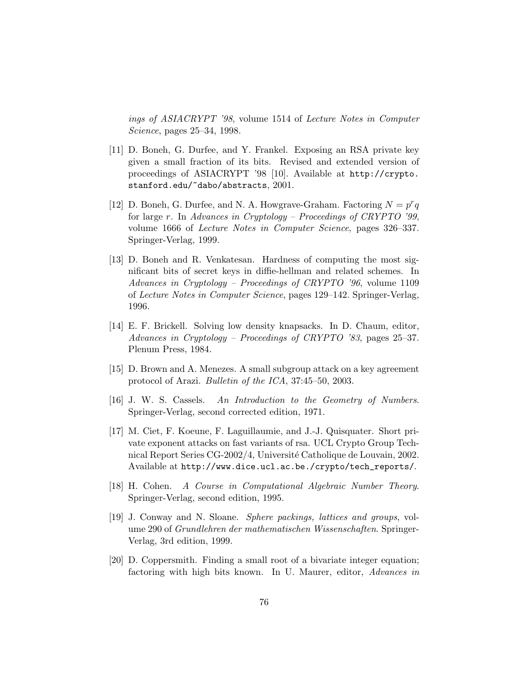ings of ASIACRYPT '98, volume 1514 of Lecture Notes in Computer Science, pages 25–34, 1998.

- [11] D. Boneh, G. Durfee, and Y. Frankel. Exposing an RSA private key given a small fraction of its bits. Revised and extended version of proceedings of ASIACRYPT '98 [10]. Available at http://crypto. stanford.edu/~dabo/abstracts, 2001.
- [12] D. Boneh, G. Durfee, and N. A. Howgrave-Graham. Factoring  $N = p^r q$ for large r. In Advances in Cryptology – Proceedings of CRYPTO '99, volume 1666 of Lecture Notes in Computer Science, pages 326–337. Springer-Verlag, 1999.
- [13] D. Boneh and R. Venkatesan. Hardness of computing the most significant bits of secret keys in diffie-hellman and related schemes. In Advances in Cryptology – Proceedings of CRYPTO '96, volume 1109 of Lecture Notes in Computer Science, pages 129–142. Springer-Verlag, 1996.
- [14] E. F. Brickell. Solving low density knapsacks. In D. Chaum, editor, Advances in Cryptology – Proceedings of CRYPTO '83, pages 25–37. Plenum Press, 1984.
- [15] D. Brown and A. Menezes. A small subgroup attack on a key agreement protocol of Arazi. Bulletin of the ICA, 37:45–50, 2003.
- [16] J. W. S. Cassels. An Introduction to the Geometry of Numbers. Springer-Verlag, second corrected edition, 1971.
- [17] M. Ciet, F. Koeune, F. Laguillaumie, and J.-J. Quisquater. Short private exponent attacks on fast variants of rsa. UCL Crypto Group Technical Report Series CG-2002/4, Université Catholique de Louvain, 2002. Available at http://www.dice.ucl.ac.be./crypto/tech\_reports/.
- [18] H. Cohen. A Course in Computational Algebraic Number Theory. Springer-Verlag, second edition, 1995.
- [19] J. Conway and N. Sloane. Sphere packings, lattices and groups, volume 290 of Grundlehren der mathematischen Wissenschaften. Springer-Verlag, 3rd edition, 1999.
- [20] D. Coppersmith. Finding a small root of a bivariate integer equation; factoring with high bits known. In U. Maurer, editor, Advances in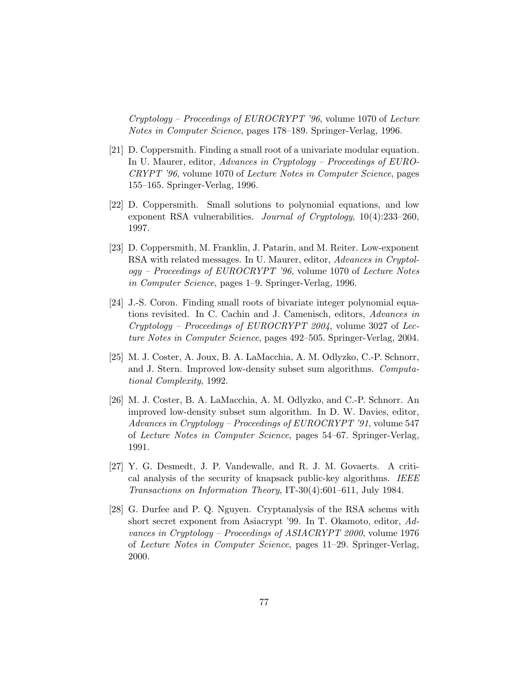Cryptology – Proceedings of EUROCRYPT '96, volume 1070 of Lecture Notes in Computer Science, pages 178–189. Springer-Verlag, 1996.

- [21] D. Coppersmith. Finding a small root of a univariate modular equation. In U. Maurer, editor, Advances in Cryptology – Proceedings of EURO-CRYPT '96, volume 1070 of Lecture Notes in Computer Science, pages 155–165. Springer-Verlag, 1996.
- [22] D. Coppersmith. Small solutions to polynomial equations, and low exponent RSA vulnerabilities. Journal of Cryptology, 10(4):233–260, 1997.
- [23] D. Coppersmith, M. Franklin, J. Patarin, and M. Reiter. Low-exponent RSA with related messages. In U. Maurer, editor, Advances in Cryptology – Proceedings of EUROCRYPT '96, volume 1070 of Lecture Notes in Computer Science, pages 1–9. Springer-Verlag, 1996.
- [24] J.-S. Coron. Finding small roots of bivariate integer polynomial equations revisited. In C. Cachin and J. Camenisch, editors, Advances in  $Cryptology - Proceedings of EUROCRYPT 2004$ , volume 3027 of Lecture Notes in Computer Science, pages 492–505. Springer-Verlag, 2004.
- [25] M. J. Coster, A. Joux, B. A. LaMacchia, A. M. Odlyzko, C.-P. Schnorr, and J. Stern. Improved low-density subset sum algorithms. Computational Complexity, 1992.
- [26] M. J. Coster, B. A. LaMacchia, A. M. Odlyzko, and C.-P. Schnorr. An improved low-density subset sum algorithm. In D. W. Davies, editor, Advances in Cryptology – Proceedings of EUROCRYPT '91, volume 547 of Lecture Notes in Computer Science, pages 54–67. Springer-Verlag, 1991.
- [27] Y. G. Desmedt, J. P. Vandewalle, and R. J. M. Govaerts. A critical analysis of the security of knapsack public-key algorithms. IEEE Transactions on Information Theory, IT-30(4):601–611, July 1984.
- [28] G. Durfee and P. Q. Nguyen. Cryptanalysis of the RSA schems with short secret exponent from Asiacrypt '99. In T. Okamoto, editor, Advances in Cryptology – Proceedings of ASIACRYPT 2000, volume 1976 of Lecture Notes in Computer Science, pages 11–29. Springer-Verlag, 2000.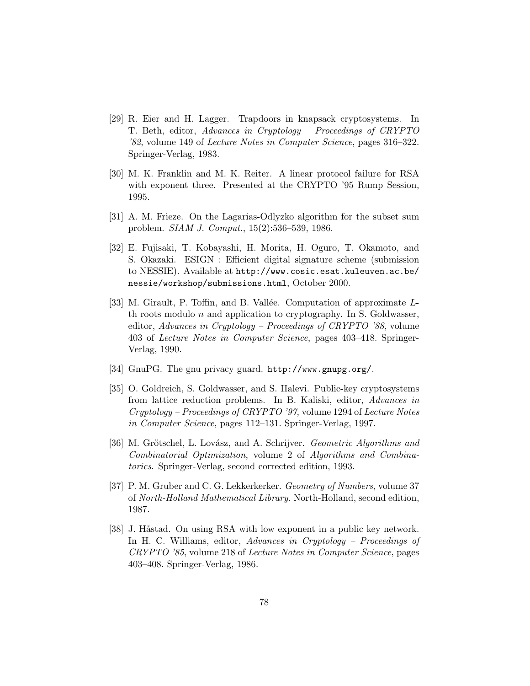- [29] R. Eier and H. Lagger. Trapdoors in knapsack cryptosystems. In T. Beth, editor, Advances in Cryptology – Proceedings of CRYPTO '82, volume 149 of Lecture Notes in Computer Science, pages 316–322. Springer-Verlag, 1983.
- [30] M. K. Franklin and M. K. Reiter. A linear protocol failure for RSA with exponent three. Presented at the CRYPTO '95 Rump Session, 1995.
- [31] A. M. Frieze. On the Lagarias-Odlyzko algorithm for the subset sum problem. SIAM J. Comput., 15(2):536–539, 1986.
- [32] E. Fujisaki, T. Kobayashi, H. Morita, H. Oguro, T. Okamoto, and S. Okazaki. ESIGN : Efficient digital signature scheme (submission to NESSIE). Available at http://www.cosic.esat.kuleuven.ac.be/ nessie/workshop/submissions.html, October 2000.
- [33] M. Girault, P. Toffin, and B. Vallée. Computation of approximate Lth roots modulo  $n$  and application to cryptography. In S. Goldwasser, editor, Advances in Cryptology – Proceedings of CRYPTO '88, volume 403 of Lecture Notes in Computer Science, pages 403–418. Springer-Verlag, 1990.
- [34] GnuPG. The gnu privacy guard. http://www.gnupg.org/.
- [35] O. Goldreich, S. Goldwasser, and S. Halevi. Public-key cryptosystems from lattice reduction problems. In B. Kaliski, editor, Advances in Cryptology – Proceedings of CRYPTO '97, volume 1294 of Lecture Notes in Computer Science, pages 112–131. Springer-Verlag, 1997.
- [36] M. Grötschel, L. Lovász, and A. Schrijver. Geometric Algorithms and Combinatorial Optimization, volume 2 of Algorithms and Combinatorics. Springer-Verlag, second corrected edition, 1993.
- [37] P. M. Gruber and C. G. Lekkerkerker. Geometry of Numbers, volume 37 of North-Holland Mathematical Library. North-Holland, second edition, 1987.
- [38] J. Håstad. On using RSA with low exponent in a public key network. In H. C. Williams, editor, Advances in Cryptology – Proceedings of CRYPTO '85, volume 218 of Lecture Notes in Computer Science, pages 403–408. Springer-Verlag, 1986.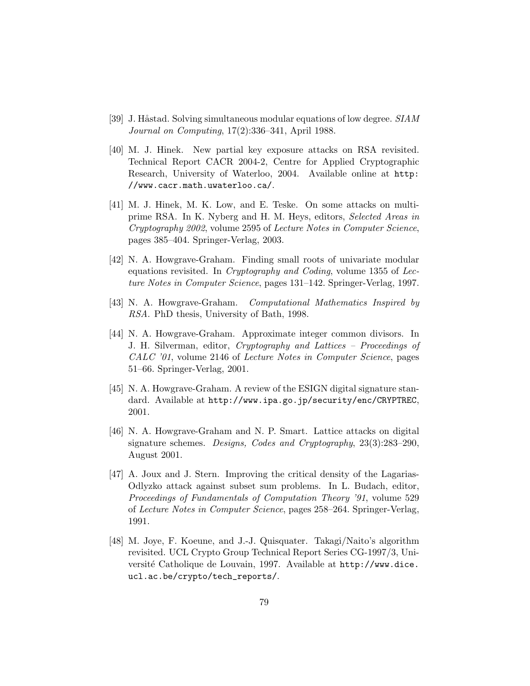- [39] J. Håstad. Solving simultaneous modular equations of low degree. SIAM Journal on Computing, 17(2):336–341, April 1988.
- [40] M. J. Hinek. New partial key exposure attacks on RSA revisited. Technical Report CACR 2004-2, Centre for Applied Cryptographic Research, University of Waterloo, 2004. Available online at http: //www.cacr.math.uwaterloo.ca/.
- [41] M. J. Hinek, M. K. Low, and E. Teske. On some attacks on multiprime RSA. In K. Nyberg and H. M. Heys, editors, Selected Areas in Cryptography 2002, volume 2595 of Lecture Notes in Computer Science, pages 385–404. Springer-Verlag, 2003.
- [42] N. A. Howgrave-Graham. Finding small roots of univariate modular equations revisited. In Cryptography and Coding, volume 1355 of Lecture Notes in Computer Science, pages 131–142. Springer-Verlag, 1997.
- [43] N. A. Howgrave-Graham. Computational Mathematics Inspired by RSA. PhD thesis, University of Bath, 1998.
- [44] N. A. Howgrave-Graham. Approximate integer common divisors. In J. H. Silverman, editor, Cryptography and Lattices – Proceedings of CALC '01, volume 2146 of Lecture Notes in Computer Science, pages 51–66. Springer-Verlag, 2001.
- [45] N. A. Howgrave-Graham. A review of the ESIGN digital signature standard. Available at http://www.ipa.go.jp/security/enc/CRYPTREC, 2001.
- [46] N. A. Howgrave-Graham and N. P. Smart. Lattice attacks on digital signature schemes. Designs, Codes and Cryptography, 23(3):283–290, August 2001.
- [47] A. Joux and J. Stern. Improving the critical density of the Lagarias-Odlyzko attack against subset sum problems. In L. Budach, editor, Proceedings of Fundamentals of Computation Theory '91, volume 529 of Lecture Notes in Computer Science, pages 258–264. Springer-Verlag, 1991.
- [48] M. Joye, F. Koeune, and J.-J. Quisquater. Takagi/Naito's algorithm revisited. UCL Crypto Group Technical Report Series CG-1997/3, Université Catholique de Louvain, 1997. Available at http://www.dice. ucl.ac.be/crypto/tech\_reports/.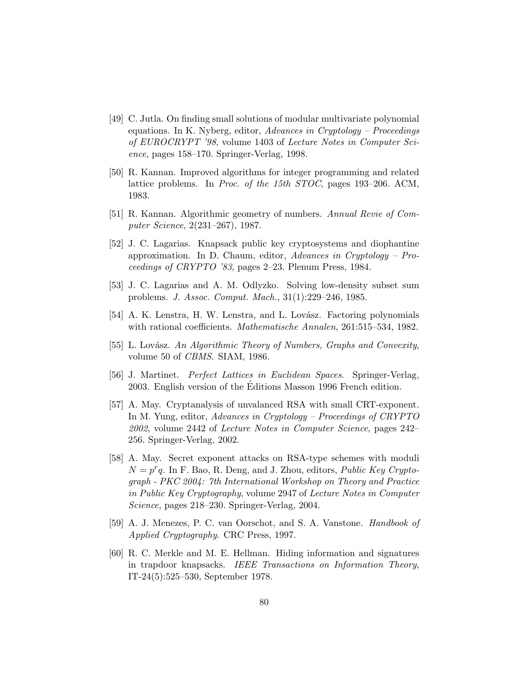- [49] C. Jutla. On finding small solutions of modular multivariate polynomial equations. In K. Nyberg, editor, Advances in Cryptology – Proceedings of EUROCRYPT '98, volume 1403 of Lecture Notes in Computer Science, pages 158–170. Springer-Verlag, 1998.
- [50] R. Kannan. Improved algorithms for integer programming and related lattice problems. In Proc. of the 15th STOC, pages 193–206. ACM, 1983.
- [51] R. Kannan. Algorithmic geometry of numbers. Annual Revie of Computer Science, 2(231–267), 1987.
- [52] J. C. Lagarias. Knapsack public key cryptosystems and diophantine approximation. In D. Chaum, editor, Advances in Cryptology – Proceedings of CRYPTO '83, pages 2–23. Plenum Press, 1984.
- [53] J. C. Lagarias and A. M. Odlyzko. Solving low-density subset sum problems. J. Assoc. Comput. Mach., 31(1):229–246, 1985.
- [54] A. K. Lenstra, H. W. Lenstra, and L. Lovász. Factoring polynomials with rational coefficients. Mathematische Annalen, 261:515–534, 1982.
- [55] L. Lovász. An Algorithmic Theory of Numbers, Graphs and Convexity, volume 50 of CBMS. SIAM, 1986.
- [56] J. Martinet. Perfect Lattices in Euclidean Spaces. Springer-Verlag, 2003. English version of the Editions Masson 1996 French edition. ´
- [57] A. May. Cryptanalysis of unvalanced RSA with small CRT-exponent. In M. Yung, editor, Advances in Cryptology – Proceedings of CRYPTO 2002, volume 2442 of Lecture Notes in Computer Science, pages 242– 256. Springer-Verlag, 2002.
- [58] A. May. Secret exponent attacks on RSA-type schemes with moduli  $N = p^r q$ . In F. Bao, R. Deng, and J. Zhou, editors, *Public Key Crypto*graph - PKC 2004: 7th International Workshop on Theory and Practice in Public Key Cryptography, volume 2947 of Lecture Notes in Computer Science, pages 218–230. Springer-Verlag, 2004.
- [59] A. J. Menezes, P. C. van Oorschot, and S. A. Vanstone. Handbook of Applied Cryptography. CRC Press, 1997.
- [60] R. C. Merkle and M. E. Hellman. Hiding information and signatures in trapdoor knapsacks. IEEE Transactions on Information Theory, IT-24(5):525–530, September 1978.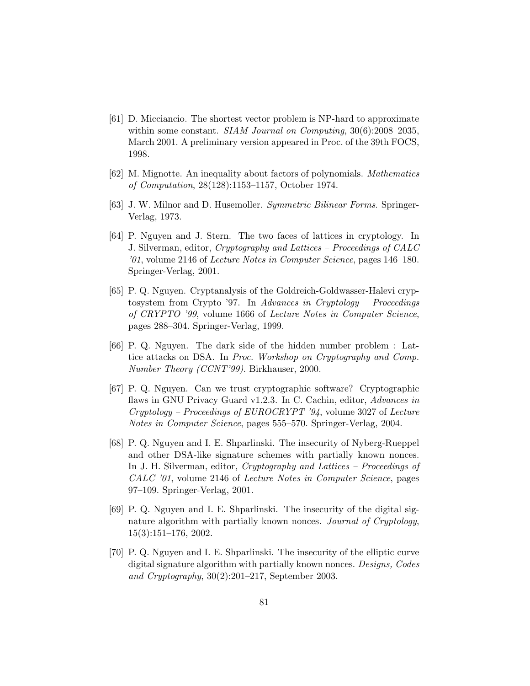- [61] D. Micciancio. The shortest vector problem is NP-hard to approximate within some constant. *SIAM Journal on Computing*, 30(6):2008–2035, March 2001. A preliminary version appeared in Proc. of the 39th FOCS, 1998.
- [62] M. Mignotte. An inequality about factors of polynomials. Mathematics of Computation, 28(128):1153–1157, October 1974.
- [63] J. W. Milnor and D. Husemoller. Symmetric Bilinear Forms. Springer-Verlag, 1973.
- [64] P. Nguyen and J. Stern. The two faces of lattices in cryptology. In J. Silverman, editor, Cryptography and Lattices – Proceedings of CALC '01, volume 2146 of Lecture Notes in Computer Science, pages 146–180. Springer-Verlag, 2001.
- [65] P. Q. Nguyen. Cryptanalysis of the Goldreich-Goldwasser-Halevi cryptosystem from Crypto '97. In Advances in Cryptology – Proceedings of CRYPTO '99, volume 1666 of Lecture Notes in Computer Science, pages 288–304. Springer-Verlag, 1999.
- [66] P. Q. Nguyen. The dark side of the hidden number problem : Lattice attacks on DSA. In Proc. Workshop on Cryptography and Comp. Number Theory (CCNT'99). Birkhauser, 2000.
- [67] P. Q. Nguyen. Can we trust cryptographic software? Cryptographic flaws in GNU Privacy Guard v1.2.3. In C. Cachin, editor, Advances in Cryptology – Proceedings of EUROCRYPT '94, volume 3027 of Lecture Notes in Computer Science, pages 555–570. Springer-Verlag, 2004.
- [68] P. Q. Nguyen and I. E. Shparlinski. The insecurity of Nyberg-Rueppel and other DSA-like signature schemes with partially known nonces. In J. H. Silverman, editor, Cryptography and Lattices – Proceedings of CALC '01, volume 2146 of Lecture Notes in Computer Science, pages 97–109. Springer-Verlag, 2001.
- [69] P. Q. Nguyen and I. E. Shparlinski. The insecurity of the digital signature algorithm with partially known nonces. Journal of Cryptology, 15(3):151–176, 2002.
- [70] P. Q. Nguyen and I. E. Shparlinski. The insecurity of the elliptic curve digital signature algorithm with partially known nonces. Designs, Codes and Cryptography, 30(2):201–217, September 2003.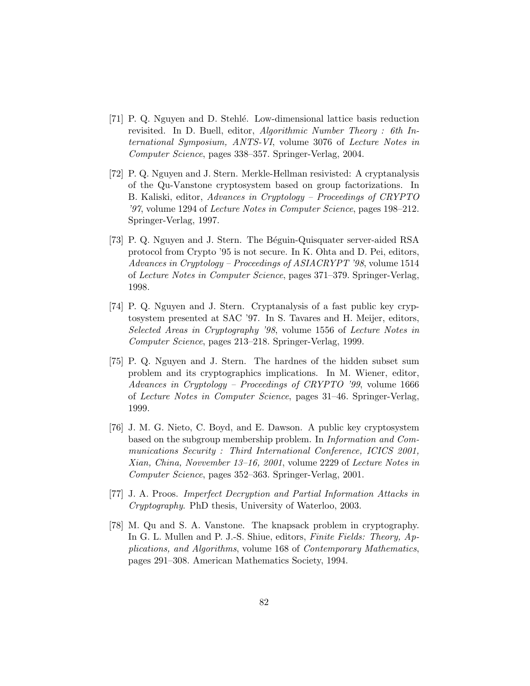- [71] P. Q. Nguyen and D. Stehlé. Low-dimensional lattice basis reduction revisited. In D. Buell, editor, Algorithmic Number Theory : 6th International Symposium, ANTS-VI, volume 3076 of Lecture Notes in Computer Science, pages 338–357. Springer-Verlag, 2004.
- [72] P. Q. Nguyen and J. Stern. Merkle-Hellman resivisted: A cryptanalysis of the Qu-Vanstone cryptosystem based on group factorizations. In B. Kaliski, editor, Advances in Cryptology – Proceedings of CRYPTO '97, volume 1294 of Lecture Notes in Computer Science, pages 198–212. Springer-Verlag, 1997.
- [73] P. Q. Nguyen and J. Stern. The Béguin-Quisquater server-aided RSA protocol from Crypto '95 is not secure. In K. Ohta and D. Pei, editors, Advances in Cryptology – Proceedings of ASIACRYPT '98, volume 1514 of Lecture Notes in Computer Science, pages 371–379. Springer-Verlag, 1998.
- [74] P. Q. Nguyen and J. Stern. Cryptanalysis of a fast public key cryptosystem presented at SAC '97. In S. Tavares and H. Meijer, editors, Selected Areas in Cryptography '98, volume 1556 of Lecture Notes in Computer Science, pages 213–218. Springer-Verlag, 1999.
- [75] P. Q. Nguyen and J. Stern. The hardnes of the hidden subset sum problem and its cryptographics implications. In M. Wiener, editor, Advances in Cryptology – Proceedings of CRYPTO '99, volume 1666 of Lecture Notes in Computer Science, pages 31–46. Springer-Verlag, 1999.
- [76] J. M. G. Nieto, C. Boyd, and E. Dawson. A public key cryptosystem based on the subgroup membership problem. In Information and Communications Security : Third International Conference, ICICS 2001, Xian, China, Novvember 13–16, 2001, volume 2229 of Lecture Notes in Computer Science, pages 352–363. Springer-Verlag, 2001.
- [77] J. A. Proos. Imperfect Decryption and Partial Information Attacks in Cryptography. PhD thesis, University of Waterloo, 2003.
- [78] M. Qu and S. A. Vanstone. The knapsack problem in cryptography. In G. L. Mullen and P. J.-S. Shiue, editors, Finite Fields: Theory, Applications, and Algorithms, volume 168 of Contemporary Mathematics, pages 291–308. American Mathematics Society, 1994.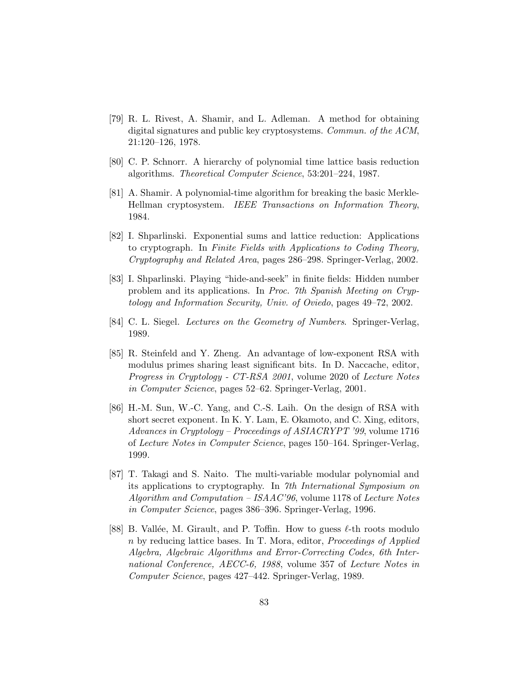- [79] R. L. Rivest, A. Shamir, and L. Adleman. A method for obtaining digital signatures and public key cryptosystems. Commun. of the ACM, 21:120–126, 1978.
- [80] C. P. Schnorr. A hierarchy of polynomial time lattice basis reduction algorithms. Theoretical Computer Science, 53:201–224, 1987.
- [81] A. Shamir. A polynomial-time algorithm for breaking the basic Merkle-Hellman cryptosystem. IEEE Transactions on Information Theory, 1984.
- [82] I. Shparlinski. Exponential sums and lattice reduction: Applications to cryptograph. In Finite Fields with Applications to Coding Theory, Cryptography and Related Area, pages 286–298. Springer-Verlag, 2002.
- [83] I. Shparlinski. Playing "hide-and-seek" in finite fields: Hidden number problem and its applications. In Proc. 7th Spanish Meeting on Cryptology and Information Security, Univ. of Oviedo, pages 49–72, 2002.
- [84] C. L. Siegel. Lectures on the Geometry of Numbers. Springer-Verlag, 1989.
- [85] R. Steinfeld and Y. Zheng. An advantage of low-exponent RSA with modulus primes sharing least significant bits. In D. Naccache, editor, Progress in Cryptology - CT-RSA 2001, volume 2020 of Lecture Notes in Computer Science, pages 52–62. Springer-Verlag, 2001.
- [86] H.-M. Sun, W.-C. Yang, and C.-S. Laih. On the design of RSA with short secret exponent. In K. Y. Lam, E. Okamoto, and C. Xing, editors, Advances in Cryptology – Proceedings of ASIACRYPT '99, volume 1716 of Lecture Notes in Computer Science, pages 150–164. Springer-Verlag, 1999.
- [87] T. Takagi and S. Naito. The multi-variable modular polynomial and its applications to cryptography. In 7th International Symposium on  $Algorithm and Computation - ISAAC'96$ , volume 1178 of Lecture Notes in Computer Science, pages 386–396. Springer-Verlag, 1996.
- [88] B. Vallée, M. Girault, and P. Toffin. How to guess  $\ell$ -th roots modulo n by reducing lattice bases. In T. Mora, editor, Proceedings of Applied Algebra, Algebraic Algorithms and Error-Correcting Codes, 6th International Conference, AECC-6, 1988, volume 357 of Lecture Notes in Computer Science, pages 427–442. Springer-Verlag, 1989.